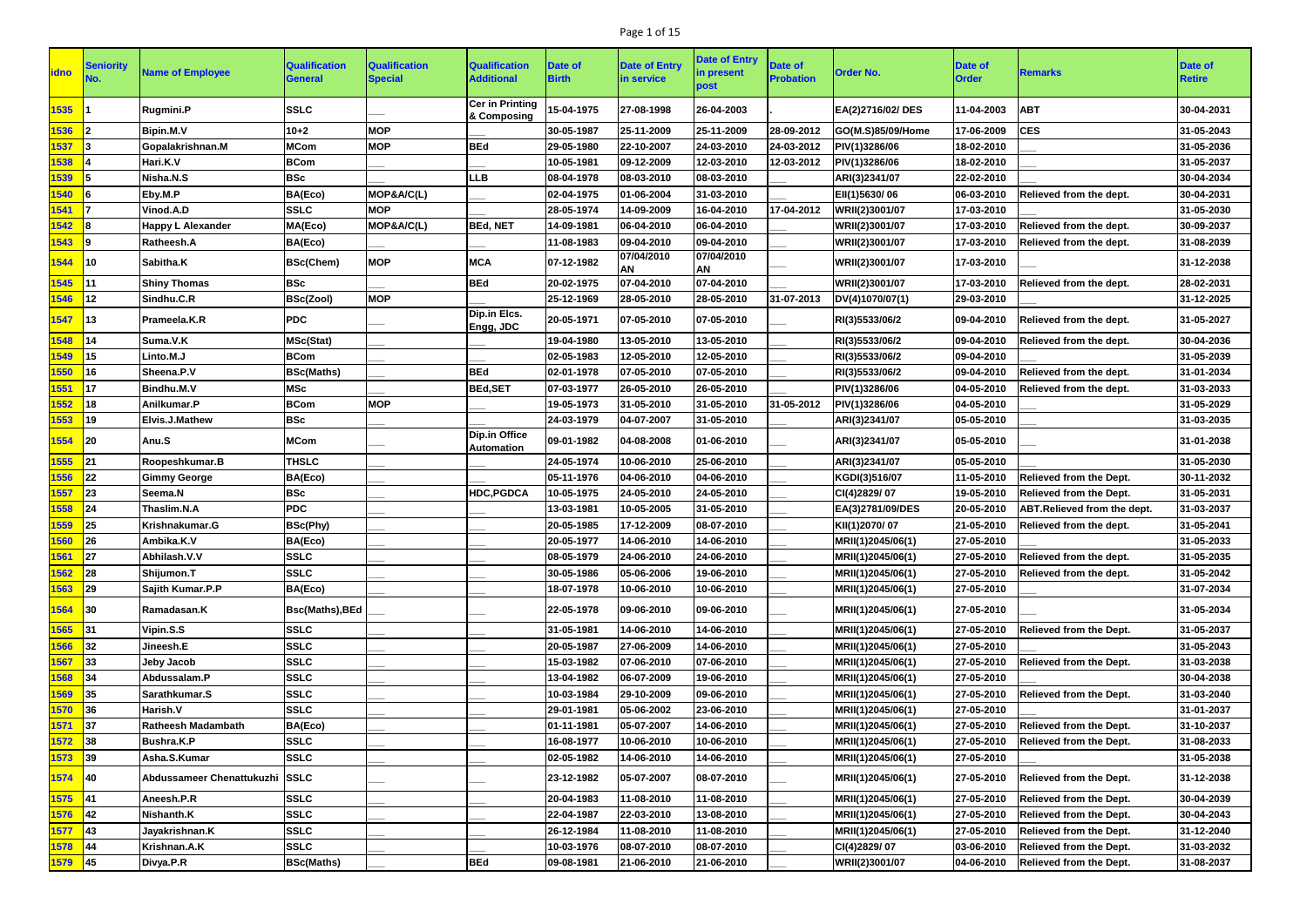## Page 1 of 15

| <b>idno</b>           | Seniority         | <b>Name of Employee</b>        | <b>Qualification</b><br>General | <b>Qualification</b><br><b>Special</b> | <b>Qualification</b><br><b>Additional</b> | Date of<br>Birth | <b>Date of Entry</b><br>in service | <b>Date of Entry</b><br>in present<br>post | <b>Date of</b><br><b>Probation</b> | <b>Order No.</b>  | <b>Date of</b><br><b>Order</b> | <b>Remarks</b>                 | <b>Date of</b><br><b>Retire</b> |
|-----------------------|-------------------|--------------------------------|---------------------------------|----------------------------------------|-------------------------------------------|------------------|------------------------------------|--------------------------------------------|------------------------------------|-------------------|--------------------------------|--------------------------------|---------------------------------|
| 1535                  |                   | Rugmini.P                      | <b>SSLC</b>                     |                                        | <b>Cer in Printing</b><br>& Composing     | 15-04-1975       | 27-08-1998                         | 26-04-2003                                 |                                    | EA(2)2716/02/DES  | 11-04-2003                     | <b>ABT</b>                     | 30-04-2031                      |
| 1536                  |                   | <b>Bipin.M.V</b>               | $10 + 2$                        | <b>MOP</b>                             |                                           | 30-05-1987       | 25-11-2009                         | 25-11-2009                                 | 28-09-2012                         | GO(M.S)85/09/Home | 17-06-2009                     | <b>CES</b>                     | 31-05-2043                      |
| 537                   |                   | Gopalakrishnan.M               | <b>MCom</b>                     | <b>MOP</b>                             | <b>BEd</b>                                | 29-05-1980       | 22-10-2007                         | 24-03-2010                                 | 24-03-2012                         | PIV(1)3286/06     | 18-02-2010                     |                                | 31-05-2036                      |
| 1538                  |                   | Hari.K.V                       | <b>BCom</b>                     |                                        |                                           | 10-05-1981       | 09-12-2009                         | 12-03-2010                                 | 12-03-2012                         | PIV(1)3286/06     | 18-02-2010                     |                                | 31-05-2037                      |
| 1539                  |                   | Nisha.N.S                      | <b>BSc</b>                      |                                        | <b>LLB</b>                                | 08-04-1978       | 08-03-2010                         | 08-03-2010                                 |                                    | ARI(3)2341/07     | 22-02-2010                     |                                | 30-04-2034                      |
| 540                   |                   | Eby.M.P                        | BA(Eco)                         | MOP&A/C(L)                             |                                           | 02-04-1975       | 01-06-2004                         | 31-03-2010                                 |                                    | EII(1)5630/06     | 06-03-2010                     | Relieved from the dept.        | 30-04-2031                      |
| 1541                  |                   | Vinod.A.D                      | <b>SSLC</b>                     | <b>MOP</b>                             |                                           | 28-05-1974       | 14-09-2009                         | 16-04-2010                                 | 17-04-2012                         | WRII(2)3001/07    | 17-03-2010                     |                                | 31-05-2030                      |
| 542                   | 18                | <b>Happy L Alexander</b>       | MA(Eco)                         | MOP&A/C(L)                             | <b>BEd, NET</b>                           | 14-09-1981       | 06-04-2010                         | 06-04-2010                                 |                                    | WRII(2)3001/07    | 17-03-2010                     | Relieved from the dept.        | 30-09-2037                      |
| 1543                  | l9                | Ratheesh.A                     | BA(Eco)                         |                                        |                                           | 11-08-1983       | 09-04-2010                         | 09-04-2010                                 |                                    | WRII(2)3001/07    | 17-03-2010                     | Relieved from the dept.        | 31-08-2039                      |
| 1544                  | <u> 110</u>       | Sabitha.K                      | <b>BSc(Chem)</b>                | <b>MOP</b>                             | <b>MCA</b>                                | 07-12-1982       | 07/04/2010<br>ΑN                   | 07/04/2010<br>AN                           |                                    | WRII(2)3001/07    | 17-03-2010                     |                                | 31-12-2038                      |
| 545                   | <u> 111</u>       | <b>Shiny Thomas</b>            | <b>BSc</b>                      |                                        | <b>BEd</b>                                | 20-02-1975       | 07-04-2010                         | 07-04-2010                                 |                                    | WRII(2)3001/07    | 17-03-2010                     | Relieved from the dept.        | 28-02-2031                      |
| 1546                  | $ 12\rangle$      | Sindhu.C.R                     | <b>BSc(Zool)</b>                | <b>MOP</b>                             |                                           | 25-12-1969       | 28-05-2010                         | 28-05-2010                                 | 31-07-2013                         | DV(4)1070/07(1)   | 29-03-2010                     |                                | 31-12-2025                      |
| 1547                  | $\blacksquare$ 13 | Prameela.K.R                   | <b>PDC</b>                      |                                        | Dip.in Elcs.<br>Engg, JDC                 | 20-05-1971       | 07-05-2010                         | 07-05-2010                                 |                                    | RI(3)5533/06/2    | 09-04-2010                     | Relieved from the dept.        | 31-05-2027                      |
| 548                   | <b>14</b>         | Suma.V.K                       | <b>MSc(Stat)</b>                |                                        |                                           | 19-04-1980       | 13-05-2010                         | 13-05-2010                                 |                                    | RI(3)5533/06/2    | 09-04-2010                     | Relieved from the dept.        | 30-04-2036                      |
| 549                   | l15               | Linto.M.J                      | <b>BCom</b>                     |                                        |                                           | 02-05-1983       | 12-05-2010                         | 12-05-2010                                 |                                    | RI(3)5533/06/2    | 09-04-2010                     |                                | 31-05-2039                      |
| 1550                  | <b>16</b>         | Sheena.P.V                     | <b>BSc(Maths)</b>               |                                        | <b>BEd</b>                                | 02-01-1978       | 07-05-2010                         | 07-05-2010                                 |                                    | RI(3)5533/06/2    | 09-04-2010                     | Relieved from the dept.        | 31-01-2034                      |
| 551                   | 17                | Bindhu.M.V                     | <b>MSc</b>                      |                                        | <b>BEd,SET</b>                            | 07-03-1977       | 26-05-2010                         | 26-05-2010                                 |                                    | PIV(1)3286/06     | 04-05-2010                     | Relieved from the dept.        | 31-03-2033                      |
| 552                   | 18                | Anilkumar.P                    | <b>BCom</b>                     | <b>MOP</b>                             |                                           | 19-05-1973       | 31-05-2010                         | 31-05-2010                                 | 31-05-2012                         | PIV(1)3286/06     | 04-05-2010                     |                                | 31-05-2029                      |
| 1553                  | l19               | Elvis.J.Mathew                 | <b>BSc</b>                      |                                        |                                           | 24-03-1979       | 04-07-2007                         | 31-05-2010                                 |                                    | ARI(3)2341/07     | 05-05-2010                     |                                | 31-03-2035                      |
| 1554                  | $ 20\rangle$      | Anu.S                          | <b>MCom</b>                     |                                        | <b>Dip.in Office</b><br><b>Automation</b> | 09-01-1982       | 04-08-2008                         | 01-06-2010                                 |                                    | ARI(3)2341/07     | 05-05-2010                     |                                | 31-01-2038                      |
| 1555                  | 21                | Roopeshkumar.B                 | <b>THSLC</b>                    |                                        |                                           | 24-05-1974       | 10-06-2010                         | 25-06-2010                                 |                                    | ARI(3)2341/07     | 05-05-2010                     |                                | 31-05-2030                      |
| 556                   | 22                | <b>Gimmy George</b>            | BA(Eco)                         |                                        |                                           | 05-11-1976       | 04-06-2010                         | 04-06-2010                                 |                                    | KGDI(3)516/07     | 11-05-2010                     | <b>Relieved from the Dept.</b> | 30-11-2032                      |
| 557                   | 23                | Seema.N                        | <b>BSc</b>                      |                                        | <b>HDC, PGDCA</b>                         | 10-05-1975       | 24-05-2010                         | 24-05-2010                                 |                                    | CI(4)2829/07      | 19-05-2010                     | <b>Relieved from the Dept.</b> | 31-05-2031                      |
| 1558                  | 24                | Thaslim.N.A                    | <b>PDC</b>                      |                                        |                                           | 13-03-1981       | 10-05-2005                         | 31-05-2010                                 |                                    | EA(3)2781/09/DES  | 20-05-2010                     | ABT.Relieved from the dept.    | 31-03-2037                      |
| 1559                  | 25                | Krishnakumar.G                 | <b>BSc(Phy)</b>                 |                                        |                                           | 20-05-1985       | 17-12-2009                         | 08-07-2010                                 |                                    | KII(1)2070/07     | 21-05-2010                     | Relieved from the dept.        | 31-05-2041                      |
| 1560                  | 26                | Ambika.K.V                     | BA(Eco)                         |                                        |                                           | 20-05-1977       | 14-06-2010                         | 14-06-2010                                 |                                    | MRII(1)2045/06(1) | 27-05-2010                     |                                | 31-05-2033                      |
| 1561                  | 27                | Abhilash.V.V                   | <b>SSLC</b>                     |                                        |                                           | 08-05-1979       | 24-06-2010                         | 24-06-2010                                 |                                    | MRII(1)2045/06(1) | 27-05-2010                     | Relieved from the dept.        | 31-05-2035                      |
| 1562                  | 28                | Shijumon.T                     | <b>SSLC</b>                     |                                        |                                           | 30-05-1986       | 05-06-2006                         | 19-06-2010                                 |                                    | MRII(1)2045/06(1) | 27-05-2010                     | Relieved from the dept.        | 31-05-2042                      |
| 1563 29               |                   | Sajith Kumar.P.P               | BA(Eco)                         |                                        |                                           | 18-07-1978       | 10-06-2010                         | 10-06-2010                                 |                                    | MRII(1)2045/06(1) | 27-05-2010                     |                                | 31-07-2034                      |
| 1564 30               |                   | Ramadasan.K                    | Bsc(Maths), BEd                 |                                        |                                           | 22-05-1978       | 09-06-2010                         | 09-06-2010                                 |                                    | MRII(1)2045/06(1) | 27-05-2010                     |                                | 31-05-2034                      |
| 1565 31               |                   | Vipin.S.S                      | <b>SSLC</b>                     |                                        |                                           | 31-05-1981       | 14-06-2010                         | 14-06-2010                                 |                                    | MRII(1)2045/06(1) | 27-05-2010                     | Relieved from the Dept.        | 31-05-2037                      |
| 1566                  | 32                | <b>Jineesh.E</b>               | <b>SSLC</b>                     |                                        |                                           | 20-05-1987       | 27-06-2009                         | 14-06-2010                                 |                                    | MRII(1)2045/06(1) | 27-05-2010                     |                                | 31-05-2043                      |
| 1567                  | $\vert$ 33        | Jeby Jacob                     | <b>SSLC</b>                     |                                        |                                           | 15-03-1982       | 07-06-2010                         | 07-06-2010                                 |                                    | MRII(1)2045/06(1) | 27-05-2010                     | <b>Relieved from the Dept.</b> | 31-03-2038                      |
| 1568                  | $\vert$ 34        | Abdussalam.P                   | <b>SSLC</b>                     |                                        |                                           | 13-04-1982       | 06-07-2009                         | 19-06-2010                                 |                                    | MRII(1)2045/06(1) | 27-05-2010                     |                                | 30-04-2038                      |
| 1569                  | $\vert$ 35        | Sarathkumar.S                  | <b>SSLC</b>                     |                                        |                                           | 10-03-1984       | 29-10-2009                         | 09-06-2010                                 |                                    | MRII(1)2045/06(1) | 27-05-2010                     | Relieved from the Dept.        | 31-03-2040                      |
| 1570                  | $\vert$ 36        | Harish.V                       | <b>SSLC</b>                     |                                        |                                           | 29-01-1981       | 05-06-2002                         | 23-06-2010                                 |                                    | MRII(1)2045/06(1) | 27-05-2010                     |                                | 31-01-2037                      |
| 1571                  | $\vert$ 37        | <b>Ratheesh Madambath</b>      | BA(Eco)                         |                                        |                                           | 01-11-1981       | 05-07-2007                         | 14-06-2010                                 |                                    | MRII(1)2045/06(1) | 27-05-2010                     | Relieved from the Dept.        | 31-10-2037                      |
| 1572                  | 38                | <b>Bushra.K.P</b>              | <b>SSLC</b>                     |                                        |                                           | 16-08-1977       | 10-06-2010                         | 10-06-2010                                 |                                    | MRII(1)2045/06(1) | 27-05-2010                     | <b>Relieved from the Dept.</b> | 31-08-2033                      |
| 1573                  | $\vert$ 39        | Asha.S.Kumar                   | <b>SSLC</b>                     |                                        |                                           | 02-05-1982       | 14-06-2010                         | 14-06-2010                                 |                                    | MRII(1)2045/06(1) | 27-05-2010                     |                                | 31-05-2038                      |
| 1574 40               |                   | Abdussameer Chenattukuzhi SSLC |                                 |                                        |                                           | 23-12-1982       | 05-07-2007                         | 08-07-2010                                 |                                    | MRII(1)2045/06(1) | 27-05-2010                     | Relieved from the Dept.        | 31-12-2038                      |
| <mark>1575 </mark> 41 |                   | Aneesh.P.R                     | <b>SSLC</b>                     |                                        |                                           | 20-04-1983       | 11-08-2010                         | 11-08-2010                                 |                                    | MRII(1)2045/06(1) | 27-05-2010                     | Relieved from the Dept.        | 30-04-2039                      |
| 1576                  | $\vert$ 42        | Nishanth.K                     | <b>SSLC</b>                     |                                        |                                           | 22-04-1987       | 22-03-2010                         | 13-08-2010                                 |                                    | MRII(1)2045/06(1) | 27-05-2010                     | <b>Relieved from the Dept.</b> | 30-04-2043                      |
| 577                   | $\vert$ 43        | Jayakrishnan.K                 | <b>SSLC</b>                     |                                        |                                           | 26-12-1984       | 11-08-2010                         | 11-08-2010                                 |                                    | MRII(1)2045/06(1) | 27-05-2010                     | <b>Relieved from the Dept.</b> | 31-12-2040                      |
| 1578                  | $\sqrt{44}$       | Krishnan.A.K                   | <b>SSLC</b>                     |                                        |                                           | 10-03-1976       | 08-07-2010                         | 08-07-2010                                 |                                    | CI(4)2829/07      | 03-06-2010                     | Relieved from the Dept.        | 31-03-2032                      |
| 1579 45               |                   | Divya.P.R                      | <b>BSc(Maths)</b>               |                                        | <b>BEd</b>                                | 09-08-1981       | 21-06-2010                         | 21-06-2010                                 |                                    | WRII(2)3001/07    | 04-06-2010                     | <b>Relieved from the Dept.</b> | 31-08-2037                      |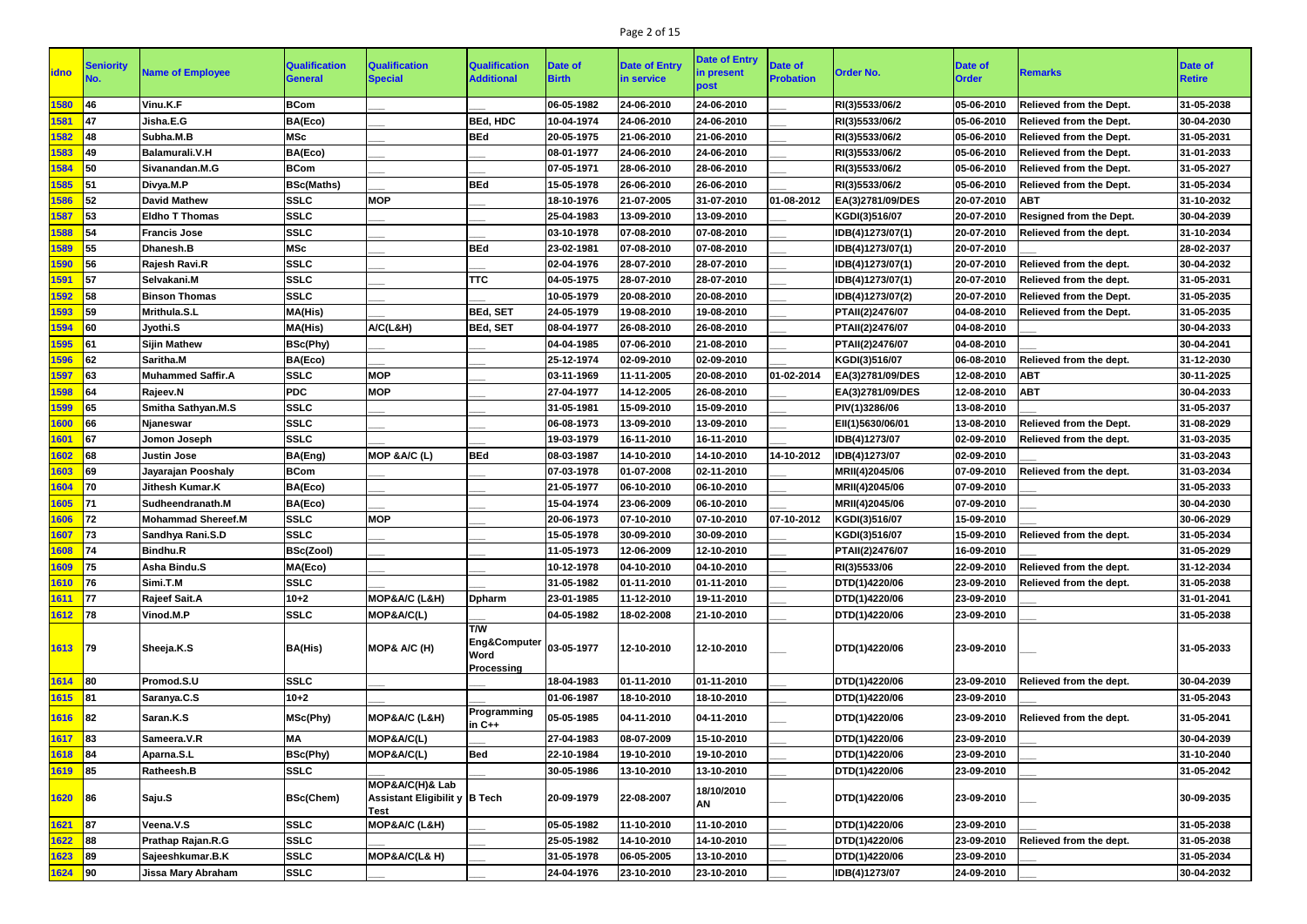## Page 2 of 15

| <b>idno</b> | Seniority  | <b>Name of Employee</b>   | <b>Qualification</b><br>General | <b>Qualification</b><br><b>Special</b>                          | <b>Qualification</b><br><b>Additional</b>                   | Date of<br><b>Birth</b> | <b>Date of Entry</b><br>in service | <b>Date of Entry</b><br>in present<br>post | <b>Date of</b><br><b>Probation</b> | <b>Order No.</b> | Date of<br><b>Order</b> | Remarks                             | <b>Date of</b><br><b>Retire</b> |
|-------------|------------|---------------------------|---------------------------------|-----------------------------------------------------------------|-------------------------------------------------------------|-------------------------|------------------------------------|--------------------------------------------|------------------------------------|------------------|-------------------------|-------------------------------------|---------------------------------|
| 1580        | 46         | Vinu.K.F                  | <b>BCom</b>                     |                                                                 |                                                             | 06-05-1982              | 24-06-2010                         | 24-06-2010                                 |                                    | RI(3)5533/06/2   | 05-06-2010              | <b>Relieved from the Dept.</b>      | 31-05-2038                      |
| 1581        | <b>147</b> | Jisha.E.G                 | BA(Eco)                         |                                                                 | <b>BEd, HDC</b>                                             | 10-04-1974              | 24-06-2010                         | 24-06-2010                                 |                                    | RI(3)5533/06/2   | 05-06-2010              | <b>Relieved from the Dept.</b>      | 30-04-2030                      |
| 1582        | 48         | Subha.M.B                 | <b>MSc</b>                      |                                                                 | <b>BEd</b>                                                  | 20-05-1975              | 21-06-2010                         | 21-06-2010                                 |                                    | RI(3)5533/06/2   | 05-06-2010              | Relieved from the Dept.             | 31-05-2031                      |
| 1583        | <b>149</b> | Balamurali.V.H            | BA(Eco)                         |                                                                 |                                                             | 08-01-1977              | 24-06-2010                         | 24-06-2010                                 |                                    | RI(3)5533/06/2   | 05-06-2010              | Relieved from the Dept.             | 31-01-2033                      |
| 1584        | 50         | Sivanandan.M.G            | <b>BCom</b>                     |                                                                 |                                                             | 07-05-1971              | 28-06-2010                         | 28-06-2010                                 |                                    | RI(3)5533/06/2   | 05-06-2010              | <b>Relieved from the Dept.</b>      | 31-05-2027                      |
| 1585        | 51         | Divya.M.P                 | <b>BSc(Maths)</b>               |                                                                 | <b>BEd</b>                                                  | 15-05-1978              | 26-06-2010                         | 26-06-2010                                 |                                    | RI(3)5533/06/2   | 05-06-2010              | <b>Relieved from the Dept.</b>      | 31-05-2034                      |
| 1586        | 52         | David Mathew              | <b>SSLC</b>                     | <b>MOP</b>                                                      |                                                             | 18-10-1976              | 21-07-2005                         | 31-07-2010                                 | 01-08-2012                         | EA(3)2781/09/DES | 20-07-2010              | <b>ABT</b>                          | 31-10-2032                      |
| 1587        | 53         | <b>IEIdho T Thomas</b>    | <b>SSLC</b>                     |                                                                 |                                                             | 25-04-1983              | 13-09-2010                         | 13-09-2010                                 |                                    | KGDI(3)516/07    | 20-07-2010              | <b>Resigned from the Dept.</b>      | 30-04-2039                      |
| 1588        | 54         | <b>Francis Jose</b>       | <b>SSLC</b>                     |                                                                 |                                                             | 03-10-1978              | 07-08-2010                         | 07-08-2010                                 |                                    | IDB(4)1273/07(1) | 20-07-2010              | Relieved from the dept.             | 31-10-2034                      |
| 1589        | 55         | Dhanesh.B                 | <b>MSc</b>                      |                                                                 | <b>BEd</b>                                                  | 23-02-1981              | 07-08-2010                         | 07-08-2010                                 |                                    | IDB(4)1273/07(1) | 20-07-2010              |                                     | 28-02-2037                      |
| 1590        | 56         | Rajesh Ravi.R             | <b>SSLC</b>                     |                                                                 |                                                             | 02-04-1976              | 28-07-2010                         | 28-07-2010                                 |                                    | IDB(4)1273/07(1) | 20-07-2010              | Relieved from the dept.             | 30-04-2032                      |
| 1591        | 57         | Selvakani.M               | <b>SSLC</b>                     |                                                                 | <b>TTC</b>                                                  | 04-05-1975              | 28-07-2010                         | 28-07-2010                                 |                                    | IDB(4)1273/07(1) | 20-07-2010              | Relieved from the dept.             | 31-05-2031                      |
| 1592        | 58         | <b>Binson Thomas</b>      | <b>SSLC</b>                     |                                                                 |                                                             | 10-05-1979              | 20-08-2010                         | 20-08-2010                                 |                                    | IDB(4)1273/07(2) | 20-07-2010              | Relieved from the Dept.             | 31-05-2035                      |
| 1593        | 59         | Mrithula.S.L              | MA(His)                         |                                                                 | <b>BEd, SET</b>                                             | 24-05-1979              | 19-08-2010                         | 19-08-2010                                 |                                    | PTAII(2)2476/07  | 04-08-2010              | <b>Relieved from the Dept.</b>      | 31-05-2035                      |
| 1594        | l60        | Jyothi.S                  | MA(His)                         | A/C(L&H)                                                        | <b>BEd, SET</b>                                             | 08-04-1977              | 26-08-2010                         | 26-08-2010                                 |                                    | PTAII(2)2476/07  | 04-08-2010              |                                     | 30-04-2033                      |
| 1595        | 61         | <b>Sijin Mathew</b>       | BSc(Phy)                        |                                                                 |                                                             | 04-04-1985              | 07-06-2010                         | 21-08-2010                                 |                                    | PTAII(2)2476/07  | 04-08-2010              |                                     | 30-04-2041                      |
| 1596        | 62         | Saritha.M                 | BA(Eco)                         |                                                                 |                                                             | 25-12-1974              | 02-09-2010                         | 02-09-2010                                 |                                    | KGDI(3)516/07    | 06-08-2010              | Relieved from the dept.             | 31-12-2030                      |
| 1597        | 63         | <b>Muhammed Saffir.A</b>  | <b>SSLC</b>                     | <b>MOP</b>                                                      |                                                             | 03-11-1969              | 11-11-2005                         | 20-08-2010                                 | 01-02-2014                         | EA(3)2781/09/DES | 12-08-2010              | <b>ABT</b>                          | 30-11-2025                      |
| 1598        | 64         | Rajeev.N                  | <b>PDC</b>                      | <b>MOP</b>                                                      |                                                             | 27-04-1977              | 14-12-2005                         | 26-08-2010                                 |                                    | EA(3)2781/09/DES | 12-08-2010              | <b>ABT</b>                          | 30-04-2033                      |
| 1599        | 65         | Smitha Sathyan.M.S        | <b>SSLC</b>                     |                                                                 |                                                             | 31-05-1981              | 15-09-2010                         | 15-09-2010                                 |                                    | PIV(1)3286/06    | 13-08-2010              |                                     | 31-05-2037                      |
| 1600        | 66         | <b>Njaneswar</b>          | <b>SSLC</b>                     |                                                                 |                                                             | 06-08-1973              | 13-09-2010                         | 13-09-2010                                 |                                    | EII(1)5630/06/01 | 13-08-2010              | Relieved from the Dept.             | 31-08-2029                      |
| 1601        | 67         | Jomon Joseph              | <b>SSLC</b>                     |                                                                 |                                                             | 19-03-1979              | 16-11-2010                         | 16-11-2010                                 |                                    | IDB(4)1273/07    | 02-09-2010              | Relieved from the dept.             | 31-03-2035                      |
| 1602        | 68         | Justin Jose               | BA(Eng)                         | MOP &A/C (L)                                                    | <b>BEd</b>                                                  | 08-03-1987              | 14-10-2010                         | 14-10-2010                                 | 14-10-2012                         | IDB(4)1273/07    | 02-09-2010              |                                     | 31-03-2043                      |
| 1603        | 69         | Jayarajan Pooshaly        | <b>BCom</b>                     |                                                                 |                                                             | 07-03-1978              | 01-07-2008                         | 02-11-2010                                 |                                    | MRII(4)2045/06   | 07-09-2010              | Relieved from the dept.             | 31-03-2034                      |
| 1604        | <b>170</b> | Jithesh Kumar.K           | BA(Eco)                         |                                                                 |                                                             | 21-05-1977              | 06-10-2010                         | 06-10-2010                                 |                                    | MRII(4)2045/06   | 07-09-2010              |                                     | 31-05-2033                      |
| 1605        | I71        | Sudheendranath.M          | BA(Eco)                         |                                                                 |                                                             | 15-04-1974              | 23-06-2009                         | 06-10-2010                                 |                                    | MRII(4)2045/06   | 07-09-2010              |                                     | 30-04-2030                      |
| 1606        | 72         | <b>Mohammad Shereef.M</b> | <b>SSLC</b>                     | <b>MOP</b>                                                      |                                                             | 20-06-1973              | 07-10-2010                         | 07-10-2010                                 | 07-10-2012                         | KGDI(3)516/07    | 15-09-2010              |                                     | 30-06-2029                      |
| $1607$ 73   |            | Sandhya Rani.S.D          | <b>SSLC</b>                     |                                                                 |                                                             | 15-05-1978              | 30-09-2010                         | 30-09-2010                                 |                                    | KGDI(3)516/07    |                         | 15-09-2010  Relieved from the dept. | 31-05-2034                      |
| 1608 74     |            | <b>Bindhu.R</b>           | BSc(Zool)                       |                                                                 |                                                             | 11-05-1973              | 12-06-2009                         | 12-10-2010                                 |                                    | PTAII(2)2476/07  | 16-09-2010              |                                     | 31-05-2029                      |
| 1609 75     |            | Asha Bindu.S              | MA(Eco)                         |                                                                 |                                                             | 10-12-1978              | 04-10-2010                         | 04-10-2010                                 |                                    | RI(3)5533/06     | 22-09-2010              | Relieved from the dept.             | 31-12-2034                      |
| $1610$ 76   |            | Simi.T.M                  | <b>SSLC</b>                     |                                                                 |                                                             | 31-05-1982              | 01-11-2010                         | 01-11-2010                                 |                                    | DTD(1)4220/06    | 23-09-2010              | Relieved from the dept.             | 31-05-2038                      |
| $1611$ 77   |            | <b>Rajeef Sait.A</b>      | $10 + 2$                        | MOP&A/C (L&H)                                                   | <b>Dpharm</b>                                               | 23-01-1985              | 11-12-2010                         | 19-11-2010                                 |                                    | DTD(1)4220/06    | 23-09-2010              |                                     | 31-01-2041                      |
| $1612$ 78   |            | Vinod.M.P                 | <b>SSLC</b>                     | MOP&A/C(L)                                                      |                                                             | 04-05-1982              | 18-02-2008                         | 21-10-2010                                 |                                    | DTD(1)4220/06    | 23-09-2010              |                                     | 31-05-2038                      |
| 1613 79     |            | Sheeja.K.S                | <b>BA(His)</b>                  | MOP& A/C (H)                                                    | <b>T/W</b><br>Eng&Computer 03-05-1977<br>Word<br>Processing |                         | 12-10-2010                         | 12-10-2010                                 |                                    | DTD(1)4220/06    | 23-09-2010              |                                     | 31-05-2033                      |
| $1614$ 80   |            | Promod.S.U                | <b>SSLC</b>                     |                                                                 |                                                             | 18-04-1983              | 01-11-2010                         | 01-11-2010                                 |                                    | DTD(1)4220/06    | 23-09-2010              | Relieved from the dept.             | 30-04-2039                      |
| $1615$ 81   |            | Saranya.C.S               | $10 + 2$                        |                                                                 |                                                             | 01-06-1987              | 18-10-2010                         | 18-10-2010                                 |                                    | DTD(1)4220/06    | 23-09-2010              |                                     | 31-05-2043                      |
| $1616$ 82   |            | Saran.K.S                 | MSc(Phy)                        | MOP&A/C (L&H)                                                   | Programming<br>$in C++$                                     | 05-05-1985              | 04-11-2010                         | 04-11-2010                                 |                                    | DTD(1)4220/06    | 23-09-2010              | Relieved from the dept.             | 31-05-2041                      |
| $1617$ 83   |            | Sameera.V.R               | MA                              | MOP&A/C(L)                                                      |                                                             | 27-04-1983              | 08-07-2009                         | 15-10-2010                                 |                                    | DTD(1)4220/06    | 23-09-2010              |                                     | 30-04-2039                      |
| 1618 84     |            | Aparna.S.L                | BSc(Phy)                        | MOP&A/C(L)                                                      | <b>Bed</b>                                                  | 22-10-1984              | 19-10-2010                         | 19-10-2010                                 |                                    | DTD(1)4220/06    | 23-09-2010              |                                     | 31-10-2040                      |
| 1619 85     |            | Ratheesh.B                | <b>SSLC</b>                     |                                                                 |                                                             | 30-05-1986              | 13-10-2010                         | 13-10-2010                                 |                                    | DTD(1)4220/06    | 23-09-2010              |                                     | 31-05-2042                      |
| $1620$ 86   |            | Saju.S                    | <b>BSc(Chem)</b>                | MOP&A/C(H)& Lab<br>Assistant Eligibilit y B Tech<br><b>Test</b> |                                                             | 20-09-1979              | 22-08-2007                         | 18/10/2010<br>AN                           |                                    | DTD(1)4220/06    | 23-09-2010              |                                     | 30-09-2035                      |
| $1621$ 87   |            | Veena.V.S                 | <b>SSLC</b>                     | MOP&A/C (L&H)                                                   |                                                             | 05-05-1982              | 11-10-2010                         | 11-10-2010                                 |                                    | DTD(1)4220/06    | 23-09-2010              |                                     | 31-05-2038                      |
| 1622        | 88         | Prathap Rajan.R.G         | <b>SSLC</b>                     |                                                                 |                                                             | 25-05-1982              | 14-10-2010                         | 14-10-2010                                 |                                    | DTD(1)4220/06    | 23-09-2010              | Relieved from the dept.             | 31-05-2038                      |
| $1623$ 89   |            | Sajeeshkumar.B.K          | <b>SSLC</b>                     | MOP&A/C(L& H)                                                   |                                                             | 31-05-1978              | 06-05-2005                         | 13-10-2010                                 |                                    | DTD(1)4220/06    | 23-09-2010              |                                     | 31-05-2034                      |
| $1624$ 90   |            | <b>Jissa Mary Abraham</b> | <b>SSLC</b>                     |                                                                 |                                                             | 24-04-1976              | 23-10-2010                         | 23-10-2010                                 |                                    | IDB(4)1273/07    | 24-09-2010              |                                     | 30-04-2032                      |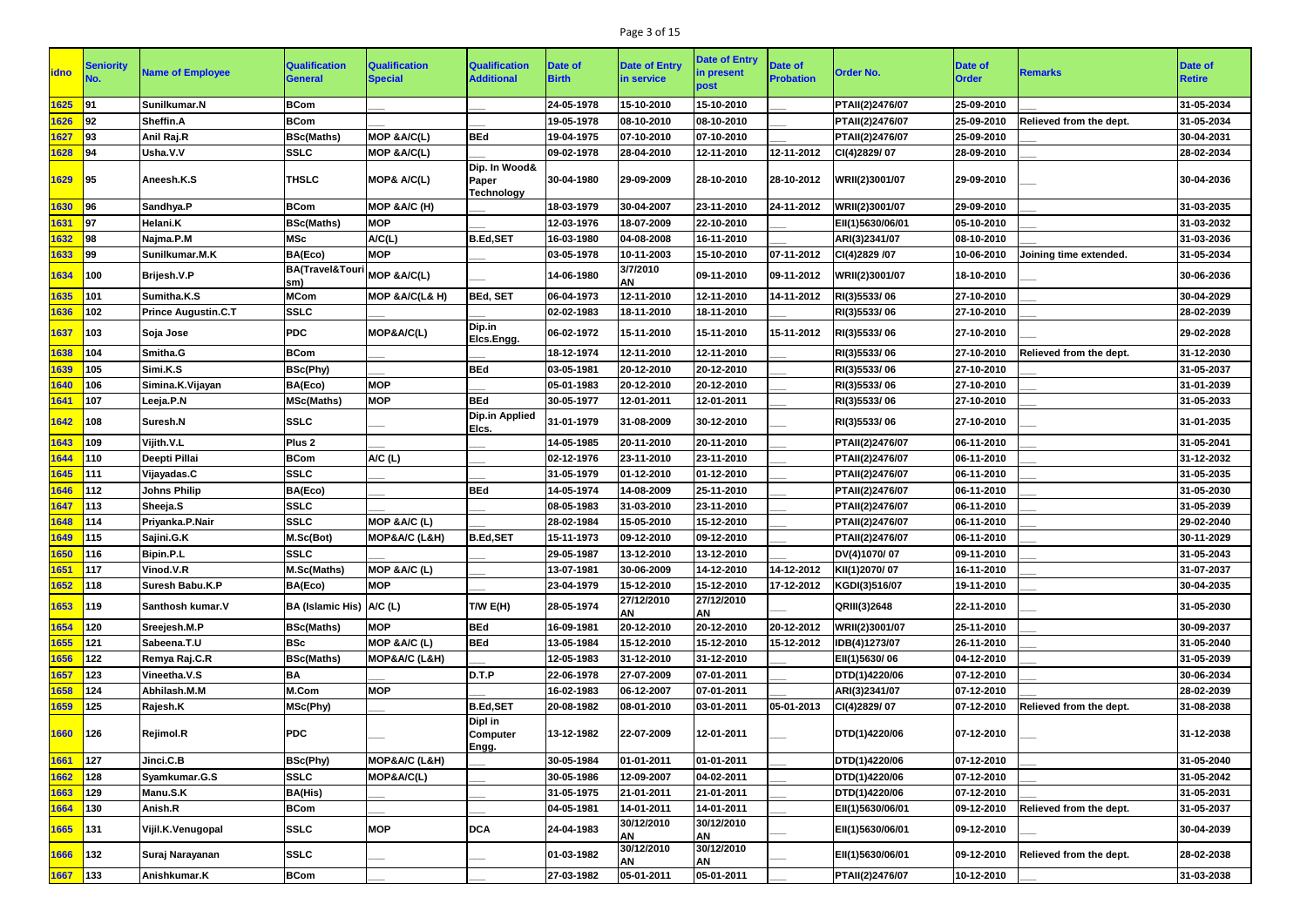## Page 3 of 15

|             | <b>Seniority</b> |                            | <b>Qualification</b>              | <b>Qualification</b>   | <b>Qualification</b>                 | <b>Date of</b> | <b>Date of Entry</b>    | <b>Date of Entry</b>    | <b>Date of</b>   |                  | Date of      |                         | Date of       |
|-------------|------------------|----------------------------|-----------------------------------|------------------------|--------------------------------------|----------------|-------------------------|-------------------------|------------------|------------------|--------------|-------------------------|---------------|
| <b>idno</b> |                  | <b>Name of Employee</b>    | <b>General</b>                    | <b>Special</b>         | <b>Additional</b>                    | <b>Birth</b>   | in service              | in present<br>post      | <b>Probation</b> | <b>Order No.</b> | <b>Order</b> | <b>Remarks</b>          | <b>Retire</b> |
| 1625        | l91              | Sunilkumar.N               | <b>BCom</b>                       |                        |                                      | 24-05-1978     | 15-10-2010              | 15-10-2010              |                  | PTAII(2)2476/07  | 25-09-2010   |                         | 31-05-2034    |
| 1626        | 92               | Sheffin.A                  | <b>BCom</b>                       |                        |                                      | 19-05-1978     | 08-10-2010              | 08-10-2010              |                  | PTAII(2)2476/07  | 25-09-2010   | Relieved from the dept. | 31-05-2034    |
| 1627        | 93               | Anil Raj.R                 | <b>BSc(Maths)</b>                 | MOP & A/C(L)           | <b>BEd</b>                           | 19-04-1975     | 07-10-2010              | 07-10-2010              |                  | PTAII(2)2476/07  | 25-09-2010   |                         | 30-04-2031    |
| 1628        | <b>94</b>        | Usha.V.V                   | <b>SSLC</b>                       | MOP & A/C(L)           |                                      | 09-02-1978     | 28-04-2010              | 12-11-2010              | 12-11-2012       | CI(4)2829/07     | 28-09-2010   |                         | 28-02-2034    |
| 1629        | <b>195</b>       | Aneesh.K.S                 | <b>THSLC</b>                      | <b>MOP&amp; A/C(L)</b> | Dip. In Wood&<br>Paper<br>Technology | 30-04-1980     | 29-09-2009              | 28-10-2010              | 28-10-2012       | WRII(2)3001/07   | 29-09-2010   |                         | 30-04-2036    |
| 1630        | <b>96</b>        | Sandhya.P                  | <b>BCom</b>                       | MOP &A/C (H)           |                                      | 18-03-1979     | 30-04-2007              | 23-11-2010              | 24-11-2012       | WRII(2)3001/07   | 29-09-2010   |                         | 31-03-2035    |
| 1631        | 97               | Helani.K                   | <b>BSc(Maths)</b>                 | <b>MOP</b>             |                                      | 12-03-1976     | 18-07-2009              | 22-10-2010              |                  | EII(1)5630/06/01 | 05-10-2010   |                         | 31-03-2032    |
| 1632        | <b>98</b>        | Najma.P.M                  | <b>MSc</b>                        | A/C(L)                 | <b>B.Ed,SET</b>                      | 16-03-1980     | 04-08-2008              | 16-11-2010              |                  | ARI(3)2341/07    | 08-10-2010   |                         | 31-03-2036    |
| 1633        | 99               | Sunilkumar.M.K             | BA(Eco)                           | <b>MOP</b>             |                                      | 03-05-1978     | 10-11-2003              | 15-10-2010              | 07-11-2012       | CI(4)2829 /07    | 10-06-2010   | Joining time extended.  | 31-05-2034    |
| 1634        | 100              | <b>Brijesh.V.P</b>         | <b>BA(Travel&amp;Touri</b><br>sm) | MOP & A/C(L)           |                                      | 14-06-1980     | 3/7/2010<br>AN          | 09-11-2010              | 09-11-2012       | WRII(2)3001/07   | 18-10-2010   |                         | 30-06-2036    |
| 1635        | 101              | Sumitha.K.S                | <b>MCom</b>                       | MOP & A/C(L& H)        | <b>BEd, SET</b>                      | 06-04-1973     | 12-11-2010              | 12-11-2010              | 14-11-2012       | RI(3)5533/06     | 27-10-2010   |                         | 30-04-2029    |
| 1636        | 102              | <b>Prince Augustin.C.T</b> | <b>SSLC</b>                       |                        |                                      | 02-02-1983     | 18-11-2010              | 18-11-2010              |                  | RI(3)5533/06     | 27-10-2010   |                         | 28-02-2039    |
| 1637        | 103              | Soja Jose                  | <b>PDC</b>                        | MOP&A/C(L)             | Dip.in<br>Elcs.Engg.                 | 06-02-1972     | 15-11-2010              | 15-11-2010              | 15-11-2012       | RI(3)5533/06     | 27-10-2010   |                         | 29-02-2028    |
| 1638        | 104              | Smitha.G                   | <b>BCom</b>                       |                        |                                      | 18-12-1974     | 12-11-2010              | 12-11-2010              |                  | RI(3)5533/06     | 27-10-2010   | Relieved from the dept. | 31-12-2030    |
| 1639        | 105              | Simi.K.S                   | <b>BSc(Phy)</b>                   |                        | <b>BEd</b>                           | 03-05-1981     | 20-12-2010              | 20-12-2010              |                  | RI(3)5533/06     | 27-10-2010   |                         | 31-05-2037    |
| 1640        | 106              | Simina.K.Vijayan           | BA(Eco)                           | <b>MOP</b>             |                                      | 05-01-1983     | 20-12-2010              | 20-12-2010              |                  | RI(3)5533/06     | 27-10-2010   |                         | 31-01-2039    |
| 1641        | 107              | Leeja.P.N                  | <b>MSc(Maths)</b>                 | <b>MOP</b>             | <b>BEd</b>                           | 30-05-1977     | 12-01-2011              | 12-01-2011              |                  | RI(3)5533/06     | 27-10-2010   |                         | 31-05-2033    |
| 1642        | 108              | Suresh.N                   | <b>SSLC</b>                       |                        | <b>Dip.in Applied</b><br>Elcs.       | 31-01-1979     | 31-08-2009              | 30-12-2010              |                  | RI(3)5533/06     | 27-10-2010   |                         | 31-01-2035    |
| 1643        | 109              | Vijith.V.L                 | Plus <sub>2</sub>                 |                        |                                      | 14-05-1985     | 20-11-2010              | 20-11-2010              |                  | PTAII(2)2476/07  | 06-11-2010   |                         | 31-05-2041    |
| 1644        | 110              | <b>Deepti Pillai</b>       | <b>BCom</b>                       | A/C (L)                |                                      | 02-12-1976     | 23-11-2010              | 23-11-2010              |                  | PTAII(2)2476/07  | 06-11-2010   |                         | 31-12-2032    |
| 1645        | 111              | Vijayadas.C                | <b>SSLC</b>                       |                        |                                      | 31-05-1979     | 01-12-2010              | 01-12-2010              |                  | PTAII(2)2476/07  | 06-11-2010   |                         | 31-05-2035    |
| 1646        | 112              | <b>Johns Philip</b>        | BA(Eco)                           |                        | <b>BEd</b>                           | 14-05-1974     | 14-08-2009              | 25-11-2010              |                  | PTAII(2)2476/07  | 06-11-2010   |                         | 31-05-2030    |
| 1647        | 113              | Sheeja.S                   | <b>SSLC</b>                       |                        |                                      | 08-05-1983     | 31-03-2010              | 23-11-2010              |                  | PTAII(2)2476/07  | 06-11-2010   |                         | 31-05-2039    |
| 1648        | 114              | Priyanka.P.Nair            | <b>SSLC</b>                       | MOP &A/C (L)           |                                      | 28-02-1984     | 15-05-2010              | 15-12-2010              |                  | PTAII(2)2476/07  | 06-11-2010   |                         | 29-02-2040    |
| 1649        | $ 115\rangle$    | Sajini.G.K                 | M.Sc(Bot)                         | MOP&A/C (L&H)          | <b>B.Ed,SET</b>                      | 15-11-1973     | 09-12-2010              | 09-12-2010              |                  | PTAII(2)2476/07  | 06-11-2010   |                         | 30-11-2029    |
| 1650        | 116              | Bipin.P.L                  | <b>SSLC</b>                       |                        |                                      | 29-05-1987     | 13-12-2010              | 13-12-2010              |                  | DV(4)1070/07     | 09-11-2010   |                         | 31-05-2043    |
| 1651        | 117              | Vinod.V.R                  | M.Sc(Maths)                       | MOP & A/C (L)          |                                      | 13-07-1981     | 30-06-2009              | 14-12-2010              | 14-12-2012       | KII(1)2070/07    | 16-11-2010   |                         | 31-07-2037    |
| 1652        | 118              | Suresh Babu.K.P            | BA(Eco)                           | <b>MOP</b>             |                                      | 23-04-1979     | 15-12-2010              | 15-12-2010              | 17-12-2012       | KGDI(3)516/07    | 19-11-2010   |                         | 30-04-2035    |
| 1653        | 119              | Santhosh kumar.V           | BA (Islamic His) A/C (L)          |                        | TWE(H)                               | 28-05-1974     | 27/12/2010<br><b>AN</b> | 27/12/2010<br><b>AN</b> |                  | QRIII(3)2648     | 22-11-2010   |                         | 31-05-2030    |
| 1654        | 120              | Sreejesh.M.P               | <b>BSc(Maths)</b>                 | <b>MOP</b>             | <b>BEd</b>                           | 16-09-1981     | 20-12-2010              | 20-12-2010              | 20-12-2012       | WRII(2)3001/07   | 25-11-2010   |                         | 30-09-2037    |
| 1655        | 121              | Sabeena.T.U                | <b>BSc</b>                        | MOP &A/C (L)           | <b>BEd</b>                           | 13-05-1984     | 15-12-2010              | 15-12-2010              | 15-12-2012       | IDB(4)1273/07    | 26-11-2010   |                         | 31-05-2040    |
| 1656        | 122              | Remya Raj.C.R              | <b>BSc(Maths)</b>                 | MOP&A/C (L&H)          |                                      | 12-05-1983     | 31-12-2010              | 31-12-2010              |                  | EII(1)5630/06    | 04-12-2010   |                         | 31-05-2039    |
| 1657        | 123              | Vineetha.V.S               | <b>BA</b>                         |                        | D.T.P                                | 22-06-1978     | 27-07-2009              | 07-01-2011              |                  | DTD(1)4220/06    | 07-12-2010   |                         | 30-06-2034    |
| 1658        | 124              | Abhilash.M.M               | M.Com                             | <b>MOP</b>             |                                      | 16-02-1983     | 06-12-2007              | 07-01-2011              |                  | ARI(3)2341/07    | 07-12-2010   |                         | 28-02-2039    |
| 1659        | 125              | Rajesh.K                   | MSc(Phy)                          |                        | <b>B.Ed,SET</b>                      | 20-08-1982     | 08-01-2010              | 03-01-2011              | 05-01-2013       | CI(4)2829/07     | 07-12-2010   | Relieved from the dept. | 31-08-2038    |
| 1660        | 126              | Rejimol.R                  | <b>PDC</b>                        |                        | Dipl in<br><b>Computer</b><br>Engg.  | 13-12-1982     | 22-07-2009              | 12-01-2011              |                  | DTD(1)4220/06    | 07-12-2010   |                         | 31-12-2038    |
| 1661        | 127              | Jinci.C.B                  | <b>BSc(Phy)</b>                   | MOP&A/C (L&H)          |                                      | 30-05-1984     | 01-01-2011              | 01-01-2011              |                  | DTD(1)4220/06    | 07-12-2010   |                         | 31-05-2040    |
| 1662        | 128              | Syamkumar.G.S              | <b>SSLC</b>                       | MOP&A/C(L)             |                                      | 30-05-1986     | 12-09-2007              | 04-02-2011              |                  | DTD(1)4220/06    | 07-12-2010   |                         | 31-05-2042    |
| 1663        | 129              | Manu.S.K                   | <b>BA(His)</b>                    |                        |                                      | 31-05-1975     | 21-01-2011              | 21-01-2011              |                  | DTD(1)4220/06    | 07-12-2010   |                         | 31-05-2031    |
| 1664        | 130              | Anish.R                    | <b>BCom</b>                       |                        |                                      | 04-05-1981     | 14-01-2011              | 14-01-2011              |                  | EII(1)5630/06/01 | 09-12-2010   | Relieved from the dept. | 31-05-2037    |
| 1665        | 131              | Vijil.K.Venugopal          | <b>SSLC</b>                       | <b>MOP</b>             | <b>DCA</b>                           | 24-04-1983     | 30/12/2010<br><b>AN</b> | 30/12/2010<br>AN        |                  | EII(1)5630/06/01 | 09-12-2010   |                         | 30-04-2039    |
| 1666        | 132              | Suraj Narayanan            | <b>SSLC</b>                       |                        |                                      | 01-03-1982     | 30/12/2010<br><b>AN</b> | 30/12/2010<br><b>AN</b> |                  | EII(1)5630/06/01 | 09-12-2010   | Relieved from the dept. | 28-02-2038    |
| 1667        | 133              | Anishkumar.K               | <b>BCom</b>                       |                        |                                      | 27-03-1982     | 05-01-2011              | 05-01-2011              |                  | PTAII(2)2476/07  | 10-12-2010   |                         | 31-03-2038    |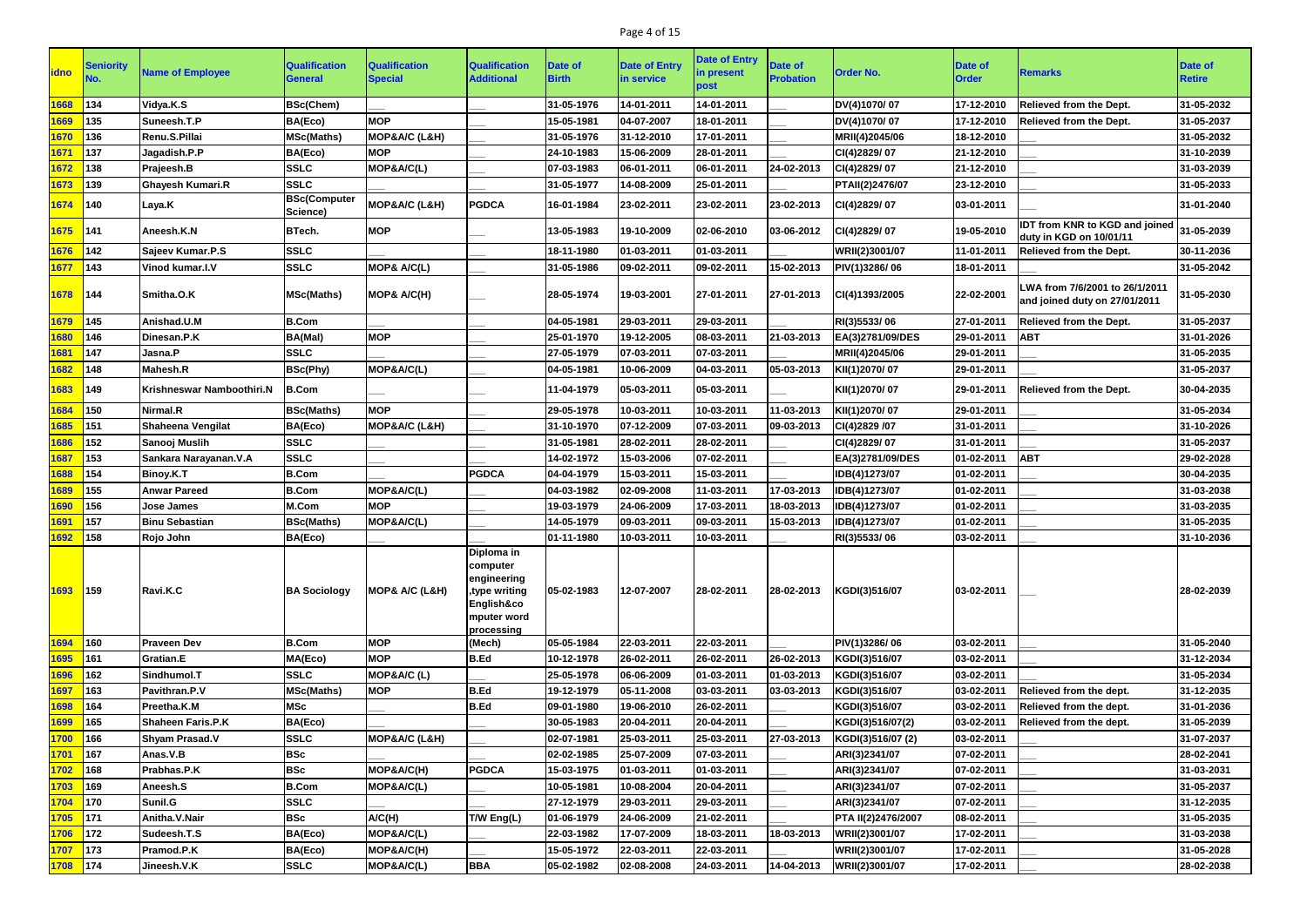## Page 4 of 15

| <b>idno</b> | <b>Seniority</b> | <b>Name of Employee</b>   | <b>Qualification</b><br>General | <b>Qualification</b><br><b>Special</b> | <b>Qualification</b><br><b>Additional</b>                                                         | <b>Date of</b><br><b>Birth</b> | <b>Date of Entry</b><br>in service | <b>Date of Entry</b><br>in present<br>post | <b>Date of</b><br><b>Probation</b> | <b>Order No.</b>      | <b>Date of</b><br><b>Order</b> | <b>Remarks</b>                                                   | Date of<br><b>Retire</b> |
|-------------|------------------|---------------------------|---------------------------------|----------------------------------------|---------------------------------------------------------------------------------------------------|--------------------------------|------------------------------------|--------------------------------------------|------------------------------------|-----------------------|--------------------------------|------------------------------------------------------------------|--------------------------|
| 1668        | 134              | Vidya.K.S                 | <b>BSc(Chem)</b>                |                                        |                                                                                                   | 31-05-1976                     | 14-01-2011                         | 14-01-2011                                 |                                    | DV(4)1070/07          | 17-12-2010                     | Relieved from the Dept.                                          | 31-05-2032               |
| 1669        | 135              | Suneesh.T.P               | BA(Eco)                         | <b>MOP</b>                             |                                                                                                   | 15-05-1981                     | 04-07-2007                         | 18-01-2011                                 |                                    | DV(4)1070/07          | 17-12-2010                     | Relieved from the Dept.                                          | 31-05-2037               |
| 1670        | 136              | Renu.S.Pillai             | <b>MSc(Maths)</b>               | MOP&A/C (L&H)                          |                                                                                                   | 31-05-1976                     | 31-12-2010                         | 17-01-2011                                 |                                    | MRII(4)2045/06        | 18-12-2010                     |                                                                  | 31-05-2032               |
| 1671        | 137              | Jagadish.P.P              | BA(Eco)                         | <b>MOP</b>                             |                                                                                                   | 24-10-1983                     | 15-06-2009                         | 28-01-2011                                 |                                    | CI(4)2829/07          | 21-12-2010                     |                                                                  | 31-10-2039               |
| 1672        | 138              | Prajeesh.B                | <b>SSLC</b>                     | MOP&A/C(L)                             |                                                                                                   | 07-03-1983                     | 06-01-2011                         | 06-01-2011                                 | 24-02-2013                         | CI(4)2829/07          | 21-12-2010                     |                                                                  | 31-03-2039               |
| 1673        | 139              | <b>Ghayesh Kumari.R</b>   | <b>SSLC</b>                     |                                        |                                                                                                   | 31-05-1977                     | 14-08-2009                         | 25-01-2011                                 |                                    | PTAII(2)2476/07       | 23-12-2010                     |                                                                  | 31-05-2033               |
| 1674        | 140              | Laya.K                    | <b>BSc(Computer</b><br>Science) | MOP&A/C (L&H)                          | <b>PGDCA</b>                                                                                      | 16-01-1984                     | 23-02-2011                         | 23-02-2011                                 | 23-02-2013                         | CI(4)2829/07          | 03-01-2011                     |                                                                  | 31-01-2040               |
| 1675        | 141              | Aneesh.K.N                | <b>BTech.</b>                   | <b>MOP</b>                             |                                                                                                   | 13-05-1983                     | 19-10-2009                         | 02-06-2010                                 | 03-06-2012                         | CI(4)2829/07          | 19-05-2010                     | <b>IDT from KNR to KGD and joined</b><br>duty in KGD on 10/01/11 | 31-05-2039               |
| 1676        | 142              | Sajeev Kumar.P.S          | <b>SSLC</b>                     |                                        |                                                                                                   | 18-11-1980                     | 01-03-2011                         | 01-03-2011                                 |                                    | <b>WRII(2)3001/07</b> | 11-01-2011                     | <b>Relieved from the Dept.</b>                                   | 30-11-2036               |
| 1677        | 143              | Vinod kumar.I.V           | <b>SSLC</b>                     | MOP& A/C(L)                            |                                                                                                   | 31-05-1986                     | 09-02-2011                         | 09-02-2011                                 | 15-02-2013                         | PIV(1)3286/06         | 18-01-2011                     |                                                                  | 31-05-2042               |
| 1678        | 144              | Smitha.O.K                | <b>MSc(Maths)</b>               | MOP& A/C(H)                            |                                                                                                   | 28-05-1974                     | 19-03-2001                         | 27-01-2011                                 | 27-01-2013                         | CI(4)1393/2005        | 22-02-2001                     | WA from 7/6/2001 to 26/1/2011<br>and joined duty on 27/01/2011   | 31-05-2030               |
| 1679        | 145              | Anishad.U.M               | <b>B.Com</b>                    |                                        |                                                                                                   | 04-05-1981                     | 29-03-2011                         | 29-03-2011                                 |                                    | RI(3)5533/06          | 27-01-2011                     | Relieved from the Dept.                                          | 31-05-2037               |
| 1680        | 146              | Dinesan.P.K               | BA(Mal)                         | <b>MOP</b>                             |                                                                                                   | 25-01-1970                     | 19-12-2005                         | 08-03-2011                                 | 21-03-2013                         | EA(3)2781/09/DES      | 29-01-2011                     | <b>ABT</b>                                                       | 31-01-2026               |
| 1681        | 147              | Jasna.P                   | <b>SSLC</b>                     |                                        |                                                                                                   | 27-05-1979                     | 07-03-2011                         | 07-03-2011                                 |                                    | MRII(4)2045/06        | 29-01-2011                     |                                                                  | 31-05-2035               |
| 1682        | 148              | <b>Mahesh.R</b>           | <b>BSc(Phy)</b>                 | MOP&A/C(L)                             |                                                                                                   | 04-05-1981                     | 10-06-2009                         | 04-03-2011                                 | 05-03-2013                         | KII(1)2070/07         | 29-01-2011                     |                                                                  | 31-05-2037               |
| 1683        | 149              | Krishneswar Namboothiri.N | <b>B.Com</b>                    |                                        |                                                                                                   | 11-04-1979                     | 05-03-2011                         | 05-03-2011                                 |                                    | KII(1)2070/07         | 29-01-2011                     | <b>Relieved from the Dept.</b>                                   | 30-04-2035               |
| 1684        | 150              | Nirmal.R                  | <b>BSc(Maths)</b>               | <b>MOP</b>                             |                                                                                                   | 29-05-1978                     | 10-03-2011                         | 10-03-2011                                 | 11-03-2013                         | KII(1)2070/07         | 29-01-2011                     |                                                                  | 31-05-2034               |
| 1685        | 151              | <b>Shaheena Vengilat</b>  | BA(Eco)                         | MOP&A/C (L&H)                          |                                                                                                   | 31-10-1970                     | 07-12-2009                         | 07-03-2011                                 | 09-03-2013                         | CI(4)2829 /07         | 31-01-2011                     |                                                                  | 31-10-2026               |
| 1686        | 152              | Sanooj Muslih             | <b>SSLC</b>                     |                                        |                                                                                                   | 31-05-1981                     | 28-02-2011                         | 28-02-2011                                 |                                    | CI(4)2829/07          | 31-01-2011                     |                                                                  | 31-05-2037               |
| 1687        | 153              | Sankara Narayanan.V.A     | <b>SSLC</b>                     |                                        |                                                                                                   | 14-02-1972                     | 15-03-2006                         | 07-02-2011                                 |                                    | EA(3)2781/09/DES      | 01-02-2011                     | <b>ABT</b>                                                       | 29-02-2028               |
| 1688        | 154              | <b>Binoy.K.T</b>          | <b>B.Com</b>                    |                                        | <b>PGDCA</b>                                                                                      | 04-04-1979                     | 15-03-2011                         | 15-03-2011                                 |                                    | IDB(4)1273/07         | 01-02-2011                     |                                                                  | 30-04-2035               |
| 1689        | 155              | <b>Anwar Pareed</b>       | <b>B.Com</b>                    | MOP&A/C(L)                             |                                                                                                   | 04-03-1982                     | 02-09-2008                         | 11-03-2011                                 | 17-03-2013                         | IDB(4)1273/07         | 01-02-2011                     |                                                                  | 31-03-2038               |
| 1690        | 156              | <b>Jose James</b>         | M.Com                           | <b>MOP</b>                             |                                                                                                   | 19-03-1979                     | 24-06-2009                         | 17-03-2011                                 | 18-03-2013                         | IDB(4)1273/07         | 01-02-2011                     |                                                                  | 31-03-2035               |
| 1691        | 157              | <b>Binu Sebastian</b>     | <b>BSc(Maths)</b>               | MOP&A/C(L)                             |                                                                                                   | 14-05-1979                     | 09-03-2011                         | 09-03-2011                                 | 15-03-2013                         | IDB(4)1273/07         | 01-02-2011                     |                                                                  | 31-05-2035               |
| 1692 158    |                  | Rojo John                 | BA(Eco)                         |                                        |                                                                                                   | 01-11-1980                     | 10-03-2011                         | 10-03-2011                                 |                                    | RI(3)5533/06          | 03-02-2011                     |                                                                  | 31-10-2036               |
| 1693 159    |                  | Ravi.K.C                  | <b>BA Sociology</b>             | MOP& A/C (L&H)                         | Diploma in<br>computer<br>engineering<br>type writing,<br>English&co<br>mputer word<br>processing | 05-02-1983                     | 12-07-2007                         | 28-02-2011                                 | 28-02-2013                         | KGDI(3)516/07         | 03-02-2011                     |                                                                  | 28-02-2039               |
| 1694        | 160              | <b>Praveen Dev</b>        | <b>B.Com</b>                    | <b>MOP</b>                             | (Mech)                                                                                            | 05-05-1984                     | 22-03-2011                         | 22-03-2011                                 |                                    | PIV(1)3286/06         | 03-02-2011                     |                                                                  | 31-05-2040               |
| 1695        | 161              | Gratian.E                 | MA(Eco)                         | <b>MOP</b>                             | <b>B.Ed</b>                                                                                       | 10-12-1978                     | 26-02-2011                         | 26-02-2011                                 | 26-02-2013                         | KGDI(3)516/07         | 03-02-2011                     |                                                                  | 31-12-2034               |
| 1696        | 162              | Sindhumol.T               | <b>SSLC</b>                     | MOP&A/C (L)                            |                                                                                                   | 25-05-1978                     | 06-06-2009                         | 01-03-2011                                 | 01-03-2013                         | KGDI(3)516/07         | 03-02-2011                     |                                                                  | 31-05-2034               |
| 1697        | 163              | Pavithran.P.V             | <b>MSc(Maths)</b>               | <b>MOP</b>                             | B.Ed                                                                                              | 19-12-1979                     | 05-11-2008                         | 03-03-2011                                 | 03-03-2013                         | KGDI(3)516/07         | 03-02-2011                     | Relieved from the dept.                                          | 31-12-2035               |
| 1698        | 164              | Preetha.K.M               | <b>MSc</b>                      |                                        | <b>B.Ed</b>                                                                                       | 09-01-1980                     | 19-06-2010                         | 26-02-2011                                 |                                    | KGDI(3)516/07         | 03-02-2011                     | Relieved from the dept.                                          | 31-01-2036               |
| 1699        | 165              | Shaheen Faris.P.K         | BA(Eco)                         |                                        |                                                                                                   | 30-05-1983                     | 20-04-2011                         | 20-04-2011                                 |                                    | KGDI(3)516/07(2)      | 03-02-2011                     | Relieved from the dept.                                          | 31-05-2039               |
| 1700        | 166              | <b>Shyam Prasad.V</b>     | <b>SSLC</b>                     | MOP&A/C (L&H)                          |                                                                                                   | 02-07-1981                     | 25-03-2011                         | 25-03-2011                                 | 27-03-2013                         | KGDI(3)516/07 (2)     | 03-02-2011                     |                                                                  | 31-07-2037               |
| 1701        | 167              | Anas.V.B                  | <b>BSc</b>                      |                                        |                                                                                                   | 02-02-1985                     | 25-07-2009                         | 07-03-2011                                 |                                    | ARI(3)2341/07         | 07-02-2011                     |                                                                  | 28-02-2041               |
| 1702        | 168              | Prabhas.P.K               | <b>BSc</b>                      | MOP&A/C(H)                             | <b>PGDCA</b>                                                                                      | 15-03-1975                     | 01-03-2011                         | 01-03-2011                                 |                                    | ARI(3)2341/07         | 07-02-2011                     |                                                                  | 31-03-2031               |
| 1703        | 169              | Aneesh.S                  | <b>B.Com</b>                    | MOP&A/C(L)                             |                                                                                                   | 10-05-1981                     | 10-08-2004                         | 20-04-2011                                 |                                    | ARI(3)2341/07         | 07-02-2011                     |                                                                  | 31-05-2037               |
| 1704        | 170              | Sunil.G                   | <b>SSLC</b>                     |                                        |                                                                                                   | 27-12-1979                     | 29-03-2011                         | 29-03-2011                                 |                                    | ARI(3)2341/07         | 07-02-2011                     |                                                                  | 31-12-2035               |
| 1705        | <b>171</b>       | Anitha.V.Nair             | <b>BSc</b>                      | A/C(H)                                 | T/W Eng(L)                                                                                        | 01-06-1979                     | 24-06-2009                         | 21-02-2011                                 |                                    | PTA II(2)2476/2007    | 08-02-2011                     |                                                                  | 31-05-2035               |
| 1706        | $ 172\rangle$    | Sudeesh.T.S               | BA(Eco)                         | MOP&A/C(L)                             |                                                                                                   | 22-03-1982                     | 17-07-2009                         | 18-03-2011                                 | 18-03-2013                         | WRII(2)3001/07        | 17-02-2011                     |                                                                  | 31-03-2038               |
| 1707        | 173              | <b>Pramod.P.K</b>         | BA(Eco)                         | MOP&A/C(H)                             |                                                                                                   | 15-05-1972                     | 22-03-2011                         | 22-03-2011                                 |                                    | WRII(2)3001/07        | 17-02-2011                     |                                                                  | 31-05-2028               |
| 1708 174    |                  | Jineesh.V.K               | <b>SSLC</b>                     | MOP&A/C(L)                             | <b>BBA</b>                                                                                        | 05-02-1982                     | 02-08-2008                         | 24-03-2011                                 | 14-04-2013                         | WRII(2)3001/07        | 17-02-2011                     |                                                                  | 28-02-2038               |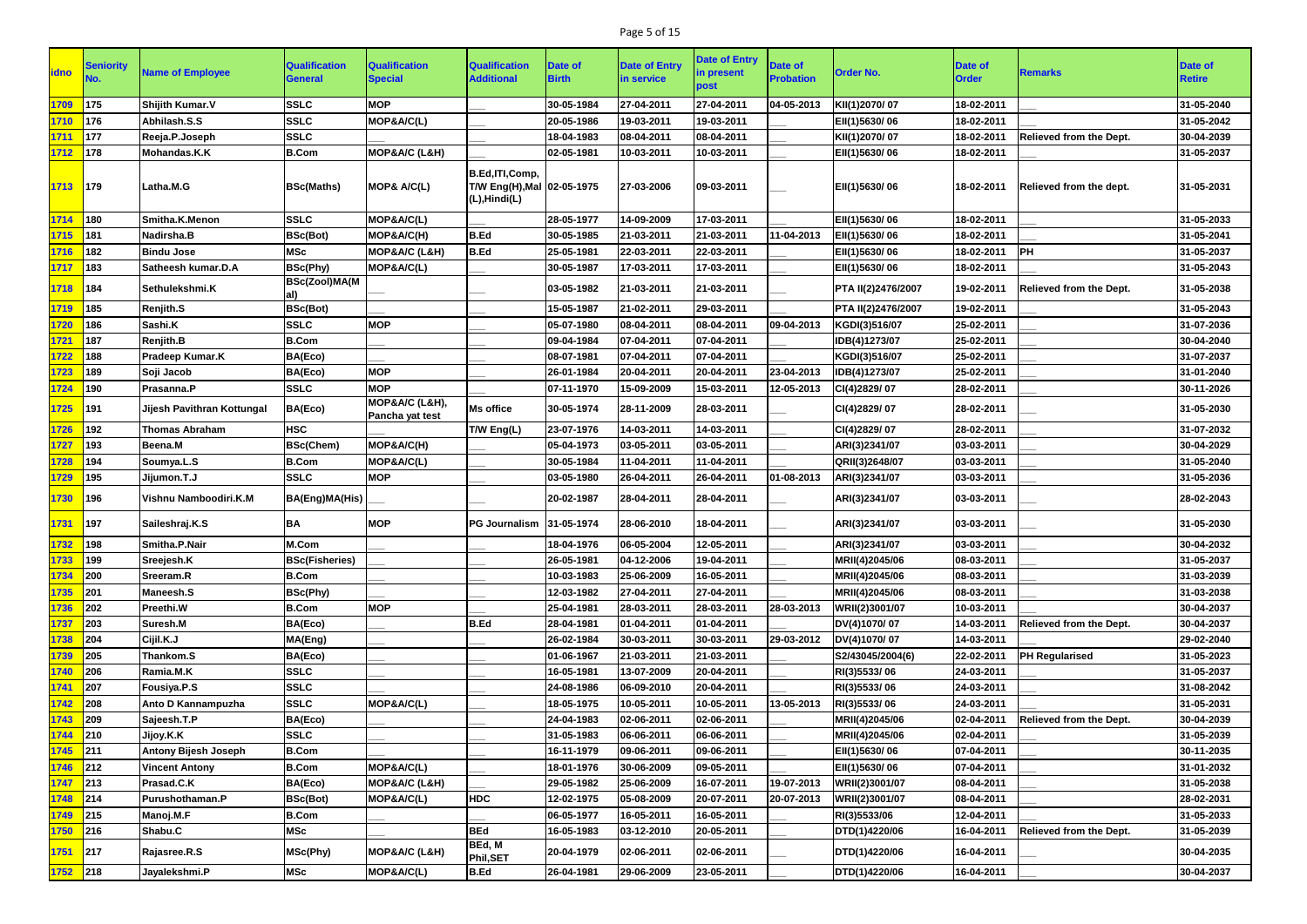## Page 5 of 15

| <b>idno</b> | <b>Seniority</b> | <b>Name of Employee</b>     | <b>Qualification</b><br><b>General</b> | <b>Qualification</b><br><b>Special</b> | <b>Qualification</b><br><b>Additional</b>                          | Date of<br><b>Birth</b> | <b>Date of Entry</b><br>in service | <b>Date of Entry</b><br>in present<br>post | <b>Date of</b><br><b>Probation</b> | <b>Order No.</b>   | <b>Date of</b><br><b>Order</b> | <b>Remarks</b>                 | <b>Date of</b><br><b>Retire</b> |
|-------------|------------------|-----------------------------|----------------------------------------|----------------------------------------|--------------------------------------------------------------------|-------------------------|------------------------------------|--------------------------------------------|------------------------------------|--------------------|--------------------------------|--------------------------------|---------------------------------|
| 1709        | 175              | Shijith Kumar.V             | <b>SSLC</b>                            | <b>MOP</b>                             |                                                                    | 30-05-1984              | 27-04-2011                         | 27-04-2011                                 | 04-05-2013                         | KII(1)2070/07      | 18-02-2011                     |                                | 31-05-2040                      |
| 1710        | 176              | Abhilash.S.S                | <b>SSLC</b>                            | MOP&A/C(L)                             |                                                                    | 20-05-1986              | 19-03-2011                         | 19-03-2011                                 |                                    | EII(1)5630/06      | 18-02-2011                     |                                | 31-05-2042                      |
| 1711        | 177              | Reeja.P.Joseph              | <b>SSLC</b>                            |                                        |                                                                    | 18-04-1983              | 08-04-2011                         | 08-04-2011                                 |                                    | KII(1)2070/07      | 18-02-2011                     | <b>Relieved from the Dept.</b> | 30-04-2039                      |
| 1712        | 178              | Mohandas.K.K                | <b>B.Com</b>                           | MOP&A/C (L&H)                          |                                                                    | 02-05-1981              | 10-03-2011                         | 10-03-2011                                 |                                    | EII(1)5630/06      | 18-02-2011                     |                                | 31-05-2037                      |
| 1713        | 179              | Latha.M.G                   | <b>BSc(Maths)</b>                      | MOP& A/C(L)                            | B.Ed, ITI, Comp,<br>T/W Eng(H), Mal 02-05-1975<br>$(L)$ , Hindi(L) |                         | 27-03-2006                         | 09-03-2011                                 |                                    | EII(1)5630/06      | 18-02-2011                     | Relieved from the dept.        | 31-05-2031                      |
| 1714        | 180              | Smitha.K.Menon              | <b>SSLC</b>                            | MOP&A/C(L)                             |                                                                    | 28-05-1977              | 14-09-2009                         | 17-03-2011                                 |                                    | EII(1)5630/06      | 18-02-2011                     |                                | 31-05-2033                      |
| 1715        | 181              | Nadirsha.B                  | <b>BSc(Bot)</b>                        | MOP&A/C(H)                             | <b>B.Ed</b>                                                        | 30-05-1985              | 21-03-2011                         | 21-03-2011                                 | 11-04-2013                         | EII(1)5630/06      | 18-02-2011                     |                                | 31-05-2041                      |
| 1716        | 182              | <b>Bindu Jose</b>           | <b>MSc</b>                             | MOP&A/C (L&H)                          | <b>B.Ed</b>                                                        | 25-05-1981              | 22-03-2011                         | 22-03-2011                                 |                                    | EII(1)5630/06      | 18-02-2011                     | <b>PH</b>                      | 31-05-2037                      |
| 1717        | 183              | Satheesh kumar.D.A          | <b>BSc(Phy)</b>                        | MOP&A/C(L)                             |                                                                    | 30-05-1987              | 17-03-2011                         | 17-03-2011                                 |                                    | EII(1)5630/06      | 18-02-2011                     |                                | 31-05-2043                      |
| 1718        | 184              | Sethulekshmi.K              | <b>BSc(Zool)MA(M</b>                   |                                        |                                                                    | 03-05-1982              | 21-03-2011                         | 21-03-2011                                 |                                    | PTA II(2)2476/2007 | 19-02-2011                     | Relieved from the Dept.        | 31-05-2038                      |
| 1719        | 185              | <b>Renjith.S</b>            | <b>BSc(Bot)</b>                        |                                        |                                                                    | 15-05-1987              | 21-02-2011                         | 29-03-2011                                 |                                    | PTA II(2)2476/2007 | 19-02-2011                     |                                | 31-05-2043                      |
| 1720        | 186              | Sashi.K                     | <b>SSLC</b>                            | <b>MOP</b>                             |                                                                    | 05-07-1980              | 08-04-2011                         | 08-04-2011                                 | 09-04-2013                         | KGDI(3)516/07      | 25-02-2011                     |                                | 31-07-2036                      |
| 1721        | 187              | <b>Renjith.B</b>            | <b>B.Com</b>                           |                                        |                                                                    | 09-04-1984              | 07-04-2011                         | 07-04-2011                                 |                                    | IDB(4)1273/07      | 25-02-2011                     |                                | 30-04-2040                      |
| 1722        | 188              | Pradeep Kumar.K             | BA(Eco)                                |                                        |                                                                    | 08-07-1981              | 07-04-2011                         | 07-04-2011                                 |                                    | KGDI(3)516/07      | 25-02-2011                     |                                | 31-07-2037                      |
| 1723        | 189              | Soji Jacob                  | BA(Eco)                                | <b>MOP</b>                             |                                                                    | 26-01-1984              | 20-04-2011                         | 20-04-2011                                 | 23-04-2013                         | IDB(4)1273/07      | 25-02-2011                     |                                | 31-01-2040                      |
| 1724        | 190              | Prasanna.P                  | <b>SSLC</b>                            | <b>MOP</b>                             |                                                                    | 07-11-1970              | 15-09-2009                         | 15-03-2011                                 | 12-05-2013                         | CI(4)2829/07       | 28-02-2011                     |                                | 30-11-2026                      |
| 1725        | 191              | Jijesh Pavithran Kottungal  | BA(Eco)                                | MOP&A/C (L&H),<br>Pancha yat test      | <b>Ms office</b>                                                   | 30-05-1974              | 28-11-2009                         | 28-03-2011                                 |                                    | CI(4)2829/07       | 28-02-2011                     |                                | 31-05-2030                      |
| 1726        | 192              | Thomas Abraham              | <b>HSC</b>                             |                                        | T/W Eng(L)                                                         | 23-07-1976              | 14-03-2011                         | 14-03-2011                                 |                                    | CI(4)2829/07       | 28-02-2011                     |                                | 31-07-2032                      |
| 1727        | 193              | Beena.M                     | <b>BSc(Chem)</b>                       | MOP&A/C(H)                             |                                                                    | 05-04-1973              | 03-05-2011                         | 03-05-2011                                 |                                    | ARI(3)2341/07      | 03-03-2011                     |                                | 30-04-2029                      |
| 1728        | 194              | Soumya.L.S                  | <b>B.Com</b>                           | MOP&A/C(L)                             |                                                                    | 30-05-1984              | 11-04-2011                         | 11-04-2011                                 |                                    | QRII(3)2648/07     | 03-03-2011                     |                                | 31-05-2040                      |
| 1729        | 195              | Jijumon.T.J                 | <b>SSLC</b>                            | <b>MOP</b>                             |                                                                    | 03-05-1980              | 26-04-2011                         | 26-04-2011                                 | 01-08-2013                         | ARI(3)2341/07      | 03-03-2011                     |                                | 31-05-2036                      |
| 1730        | 196              | Vishnu Namboodiri.K.M       | <b>BA(Eng)MA(His)</b>                  |                                        |                                                                    | 20-02-1987              | 28-04-2011                         | 28-04-2011                                 |                                    | ARI(3)2341/07      | 03-03-2011                     |                                | 28-02-2043                      |
| 1731        | 197              | Saileshraj.K.S              | <b>BA</b>                              | <b>MOP</b>                             | <b>PG Journalism 31-05-1974</b>                                    |                         | 28-06-2010                         | 18-04-2011                                 |                                    | ARI(3)2341/07      | 03-03-2011                     |                                | 31-05-2030                      |
| 1732        | 198              | Smitha.P.Nair               | M.Com                                  |                                        |                                                                    | 18-04-1976              | 06-05-2004                         | 12-05-2011                                 |                                    | ARI(3)2341/07      | 03-03-2011                     |                                | 30-04-2032                      |
| 1733        | 199              | Sreejesh.K                  | <b>BSc(Fisheries)</b>                  |                                        |                                                                    | 26-05-1981              | 04-12-2006                         | 19-04-2011                                 |                                    | MRII(4)2045/06     | 08-03-2011                     |                                | 31-05-2037                      |
| 1734        | 200              | Sreeram.R                   | <b>B.Com</b>                           |                                        |                                                                    | 10-03-1983              | 25-06-2009                         | 16-05-2011                                 |                                    | MRII(4)2045/06     | 08-03-2011                     |                                | 31-03-2039                      |
| 1735        | 201              | <b>Maneesh.S</b>            | <b>BSc(Phy)</b>                        |                                        |                                                                    | 12-03-1982              | 27-04-2011                         | 27-04-2011                                 |                                    | MRII(4)2045/06     | 08-03-2011                     |                                | 31-03-2038                      |
| 1736        | 202              | Preethi.W                   | <b>B.Com</b>                           | <b>MOP</b>                             |                                                                    | 25-04-1981              | 28-03-2011                         | 28-03-2011                                 | 28-03-2013                         | WRII(2)3001/07     | 10-03-2011                     |                                | 30-04-2037                      |
| 1737        | 203              | Suresh.M                    | BA(Eco)                                |                                        | <b>B.Ed</b>                                                        | 28-04-1981              | 01-04-2011                         | 01-04-2011                                 |                                    | DV(4)1070/07       | 14-03-2011                     | <b>Relieved from the Dept.</b> | 30-04-2037                      |
| 1738        | 204              | Cijil.K.J                   | MA(Eng)                                |                                        |                                                                    | 26-02-1984              | 30-03-2011                         | 30-03-2011                                 | 29-03-2012                         | DV(4)1070/07       | 14-03-2011                     |                                | 29-02-2040                      |
| 1739        | 205              | Thankom.S                   | BA(Eco)                                |                                        |                                                                    | 01-06-1967              | 21-03-2011                         | 21-03-2011                                 |                                    | S2/43045/2004(6)   | 22-02-2011                     | <b>PH Regularised</b>          | 31-05-2023                      |
| 1740        | 206              | Ramia.M.K                   | <b>SSLC</b>                            |                                        |                                                                    | 16-05-1981              | 13-07-2009                         | 20-04-2011                                 |                                    | RI(3)5533/06       | 24-03-2011                     |                                | 31-05-2037                      |
| 1741        | 207              | Fousiya.P.S                 | <b>SSLC</b>                            |                                        |                                                                    | 24-08-1986              | 06-09-2010                         | 20-04-2011                                 |                                    | RI(3)5533/06       | 24-03-2011                     |                                | 31-08-2042                      |
| 1742        | 208              | Anto D Kannampuzha          | <b>SSLC</b>                            | MOP&A/C(L)                             |                                                                    | 18-05-1975              | 10-05-2011                         | 10-05-2011                                 | 13-05-2013                         | RI(3)5533/06       | 24-03-2011                     |                                | 31-05-2031                      |
| 1743        | 209              | Sajeesh.T.P                 | BA(Eco)                                |                                        |                                                                    | 24-04-1983              | 02-06-2011                         | 02-06-2011                                 |                                    | MRII(4)2045/06     | 02-04-2011                     | <b>Relieved from the Dept.</b> | 30-04-2039                      |
| 1744        | 210              | Jijoy.K.K                   | <b>SSLC</b>                            |                                        |                                                                    | 31-05-1983              | 06-06-2011                         | 06-06-2011                                 |                                    | MRII(4)2045/06     | 02-04-2011                     |                                | 31-05-2039                      |
| 1745        | 211              | <b>Antony Bijesh Joseph</b> | <b>B.Com</b>                           |                                        |                                                                    | 16-11-1979              | 09-06-2011                         | 09-06-2011                                 |                                    | EII(1)5630/06      | 07-04-2011                     |                                | 30-11-2035                      |
| 1746        | 212              | <b>Vincent Antony</b>       | <b>B.Com</b>                           | MOP&A/C(L)                             |                                                                    | 18-01-1976              | 30-06-2009                         | 09-05-2011                                 |                                    | EII(1)5630/06      | 07-04-2011                     |                                | 31-01-2032                      |
| 1747        | 213              | Prasad.C.K                  | BA(Eco)                                | MOP&A/C (L&H)                          |                                                                    | 29-05-1982              | 25-06-2009                         | 16-07-2011                                 | 19-07-2013                         | WRII(2)3001/07     | 08-04-2011                     |                                | 31-05-2038                      |
| 1748        | 214              | Purushothaman.P             | <b>BSc(Bot)</b>                        | MOP&A/C(L)                             | <b>HDC</b>                                                         | 12-02-1975              | 05-08-2009                         | 20-07-2011                                 | 20-07-2013                         | WRII(2)3001/07     | 08-04-2011                     |                                | 28-02-2031                      |
| 1749        | 215              | Manoj.M.F                   | <b>B.Com</b>                           |                                        |                                                                    | 06-05-1977              | 16-05-2011                         | 16-05-2011                                 |                                    | RI(3)5533/06       | 12-04-2011                     |                                | 31-05-2033                      |
| 1750        | 216              | Shabu.C                     | <b>MSc</b>                             |                                        | <b>BEd</b>                                                         | 16-05-1983              | 03-12-2010                         | 20-05-2011                                 |                                    | DTD(1)4220/06      | 16-04-2011                     | <b>Relieved from the Dept.</b> | 31-05-2039                      |
| 1751        | 217              | Rajasree.R.S                | MSc(Phy)                               | MOP&A/C (L&H)                          | BEd, M<br><b>Phil,SET</b>                                          | 20-04-1979              | 02-06-2011                         | 02-06-2011                                 |                                    | DTD(1)4220/06      | 16-04-2011                     |                                | 30-04-2035                      |
| 1752 218    |                  | Jayalekshmi.P               | <b>MSc</b>                             | MOP&A/C(L)                             | <b>B.Ed</b>                                                        | 26-04-1981              | 29-06-2009                         | 23-05-2011                                 |                                    | DTD(1)4220/06      | 16-04-2011                     |                                | 30-04-2037                      |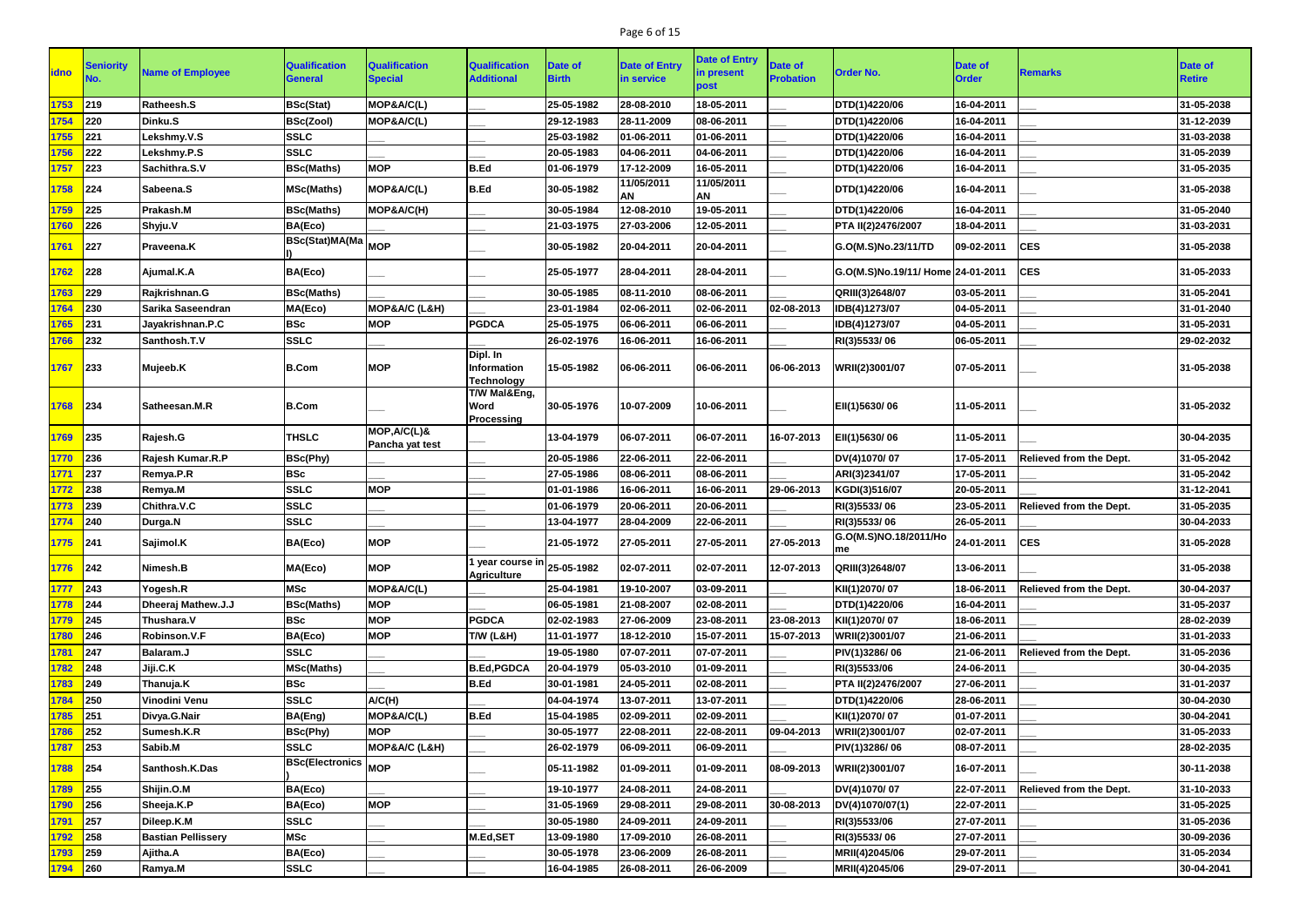## Page 6 of 15

| idno     | <b>Seniority</b> | <b>Name of Employee</b>   | <b>Qualification</b><br><b>General</b> | <b>Qualification</b><br><b>Special</b> | <b>Qualification</b><br><b>Additional</b>                          | <b>Date of</b><br><b>Birth</b> | <b>Date of Entry</b><br>in service | <b>Date of Entry</b><br>in present<br>post | Date of<br><b>Probation</b> | <b>Order No.</b>                  | <b>Date of</b><br><b>Order</b> | <b>Remarks</b>                 | Date of<br><b>Retire</b> |
|----------|------------------|---------------------------|----------------------------------------|----------------------------------------|--------------------------------------------------------------------|--------------------------------|------------------------------------|--------------------------------------------|-----------------------------|-----------------------------------|--------------------------------|--------------------------------|--------------------------|
| 1753     | 219              | Ratheesh.S                | <b>BSc(Stat)</b>                       | MOP&A/C(L)                             |                                                                    | 25-05-1982                     | 28-08-2010                         | 18-05-2011                                 |                             | DTD(1)4220/06                     | 16-04-2011                     |                                | 31-05-2038               |
| 1754     | 220              | Dinku.S                   | <b>BSc(Zool)</b>                       | MOP&A/C(L)                             |                                                                    | 29-12-1983                     | 28-11-2009                         | 08-06-2011                                 |                             | DTD(1)4220/06                     | 16-04-2011                     |                                | 31-12-2039               |
| 1755     | 221              | Lekshmy.V.S               | <b>SSLC</b>                            |                                        |                                                                    | 25-03-1982                     | 01-06-2011                         | 01-06-2011                                 |                             | DTD(1)4220/06                     | 16-04-2011                     |                                | 31-03-2038               |
| 1756     | 222              | Lekshmy.P.S               | <b>SSLC</b>                            |                                        |                                                                    | 20-05-1983                     | 04-06-2011                         | 04-06-2011                                 |                             | DTD(1)4220/06                     | 16-04-2011                     |                                | 31-05-2039               |
| 1757     | 223              | Sachithra.S.V             | <b>BSc(Maths)</b>                      | <b>MOP</b>                             | B.Ed                                                               | 01-06-1979                     | 17-12-2009                         | 16-05-2011                                 |                             | DTD(1)4220/06                     | 16-04-2011                     |                                | 31-05-2035               |
| 1758     | 224              | Sabeena.S                 | <b>MSc(Maths)</b>                      | MOP&A/C(L)                             | B.Ed                                                               | 30-05-1982                     | 11/05/2011<br>AN                   | 11/05/2011<br><b>AN</b>                    |                             | DTD(1)4220/06                     | 16-04-2011                     |                                | 31-05-2038               |
| 1759     | 225              | Prakash.M                 | <b>BSc(Maths)</b>                      | MOP&A/C(H)                             |                                                                    | 30-05-1984                     | 12-08-2010                         | 19-05-2011                                 |                             | DTD(1)4220/06                     | 16-04-2011                     |                                | 31-05-2040               |
| 1760     | 226              | Shyju.V                   | BA(Eco)                                |                                        |                                                                    | 21-03-1975                     | 27-03-2006                         | 12-05-2011                                 |                             | PTA II(2)2476/2007                | 18-04-2011                     |                                | 31-03-2031               |
| 1761     | 227              | <b>Praveena.K</b>         | BSc(Stat)MA(Ma MOP                     |                                        |                                                                    | 30-05-1982                     | 20-04-2011                         | 20-04-2011                                 |                             | G.O(M.S)No.23/11/TD               | 09-02-2011                     | <b>CES</b>                     | 31-05-2038               |
| 1762     | 228              | Ajumal.K.A                | BA(Eco)                                |                                        |                                                                    | 25-05-1977                     | 28-04-2011                         | 28-04-2011                                 |                             | G.O(M.S)No.19/11/ Home 24-01-2011 |                                | <b>CES</b>                     | 31-05-2033               |
| 1763     | 229              | Rajkrishnan.G             | <b>BSc(Maths)</b>                      |                                        |                                                                    | 30-05-1985                     | 08-11-2010                         | 08-06-2011                                 |                             | QRIII(3)2648/07                   | 03-05-2011                     |                                | 31-05-2041               |
| 1764     | 230              | Sarika Saseendran         | MA(Eco)                                | MOP&A/C (L&H)                          |                                                                    | 23-01-1984                     | 02-06-2011                         | 02-06-2011                                 | 02-08-2013                  | IDB(4)1273/07                     | 04-05-2011                     |                                | 31-01-2040               |
| 1765     | 231              | Jayakrishnan.P.C          | <b>BSc</b>                             | <b>MOP</b>                             | <b>PGDCA</b>                                                       | 25-05-1975                     | 06-06-2011                         | 06-06-2011                                 |                             | IDB(4)1273/07                     | 04-05-2011                     |                                | 31-05-2031               |
| 1766     | 232              | Santhosh.T.V              | <b>SSLC</b>                            |                                        |                                                                    | 26-02-1976                     | 16-06-2011                         | 16-06-2011                                 |                             | RI(3)5533/06                      | 06-05-2011                     |                                | 29-02-2032               |
| 1767     | 233              | Mujeeb.K                  | <b>B.Com</b>                           | <b>MOP</b>                             | Dipl. In<br>Information<br><b>Technology</b>                       | 15-05-1982                     | 06-06-2011                         | 06-06-2011                                 | 06-06-2013                  | WRII(2)3001/07                    | 07-05-2011                     |                                | 31-05-2038               |
| 1768     | 234              | <b>Satheesan.M.R</b>      | <b>B.Com</b>                           |                                        | T/W Mal&Eng,<br><b>Word</b><br><b>Processing</b>                   | 30-05-1976                     | 10-07-2009                         | 10-06-2011                                 |                             | EII(1)5630/06                     | 11-05-2011                     |                                | 31-05-2032               |
| 1769     | 235              | Rajesh.G                  | <b>THSLC</b>                           | MOP, A/C(L)&<br>Pancha yat test        |                                                                    | 13-04-1979                     | 06-07-2011                         | 06-07-2011                                 | 16-07-2013                  | EII(1)5630/06                     | 11-05-2011                     |                                | 30-04-2035               |
| 1770     | 236              | Rajesh Kumar.R.P          | <b>BSc(Phy)</b>                        |                                        |                                                                    | 20-05-1986                     | 22-06-2011                         | 22-06-2011                                 |                             | DV(4)1070/07                      | 17-05-2011                     | <b>Relieved from the Dept.</b> | 31-05-2042               |
| 1771     | 237              | Remya.P.R                 | <b>BSc</b>                             |                                        |                                                                    | 27-05-1986                     | 08-06-2011                         | 08-06-2011                                 |                             | ARI(3)2341/07                     | 17-05-2011                     |                                | 31-05-2042               |
| 1772     | 238              | Remya.M                   | <b>SSLC</b>                            | <b>MOP</b>                             |                                                                    | 01-01-1986                     | 16-06-2011                         | 16-06-2011                                 | 29-06-2013                  | KGDI(3)516/07                     | 20-05-2011                     |                                | 31-12-2041               |
| 1773     | 239              | Chithra.V.C               | <b>SSLC</b>                            |                                        |                                                                    | 01-06-1979                     | 20-06-2011                         | 20-06-2011                                 |                             | RI(3)5533/06                      | 23-05-2011                     | <b>Relieved from the Dept.</b> | 31-05-2035               |
| 1774     | 240              | Durga.N                   | <b>SSLC</b>                            |                                        |                                                                    | 13-04-1977                     | 28-04-2009                         | 22-06-2011                                 |                             | RI(3)5533/06                      | 26-05-2011                     |                                | 30-04-2033               |
| 1775 241 |                  | Sajimol.K                 | BA(Eco)                                | <b>MOP</b>                             |                                                                    | 21-05-1972                     | 27-05-2011                         | 27-05-2011                                 | 27-05-2013                  | G.O(M.S)NO.18/2011/Ho<br>me       | 24-01-2011                     | <b>CES</b>                     | 31-05-2028               |
| 1776     | $ 242\rangle$    | Nimesh.B                  | MA(Eco)                                | <b>MOP</b>                             | $\sqrt{1}$ year course in $\vert$ 25-05-1982<br><b>Agriculture</b> |                                | 02-07-2011                         | 02-07-2011                                 | 12-07-2013                  | QRIII(3)2648/07                   | 13-06-2011                     |                                | 31-05-2038               |
| 1777     | 243              | Yogesh.R                  | <b>MSc</b>                             | MOP&A/C(L)                             |                                                                    | 25-04-1981                     | 19-10-2007                         | 03-09-2011                                 |                             | KII(1)2070/07                     | 18-06-2011                     | Relieved from the Dept.        | 30-04-2037               |
| 1778     | 244              | Dheeraj Mathew.J.J        | <b>BSc(Maths)</b>                      | <b>MOP</b>                             |                                                                    | 06-05-1981                     | 21-08-2007                         | 02-08-2011                                 |                             | DTD(1)4220/06                     | 16-04-2011                     |                                | 31-05-2037               |
| 1779     | 245              | Thushara.V                | <b>BSc</b>                             | <b>MOP</b>                             | <b>PGDCA</b>                                                       | 02-02-1983                     | 27-06-2009                         | 23-08-2011                                 | 23-08-2013                  | KII(1)2070/07                     | 18-06-2011                     |                                | 28-02-2039               |
| 1780     | 246              | Robinson.V.F              | BA(Eco)                                | <b>MOP</b>                             | T/W (L&H)                                                          | 11-01-1977                     | 18-12-2010                         | 15-07-2011                                 | 15-07-2013                  | WRII(2)3001/07                    | 21-06-2011                     |                                | 31-01-2033               |
| 1781     | 247              | Balaram.J                 | <b>SSLC</b>                            |                                        |                                                                    | 19-05-1980                     | 07-07-2011                         | 07-07-2011                                 |                             | PIV(1)3286/06                     | 21-06-2011                     | <b>Relieved from the Dept.</b> | 31-05-2036               |
| 1782     | 248              | Jiji.C.K                  | <b>MSc(Maths)</b>                      |                                        | <b>B.Ed, PGDCA</b>                                                 | 20-04-1979                     | 05-03-2010                         | 01-09-2011                                 |                             | RI(3)5533/06                      | 24-06-2011                     |                                | 30-04-2035               |
| 1783     | 249              | Thanuja.K                 | <b>BSc</b>                             |                                        | B.Ed                                                               | 30-01-1981                     | 24-05-2011                         | 02-08-2011                                 |                             | PTA II(2)2476/2007                | 27-06-2011                     |                                | 31-01-2037               |
| 1784     | 250              | Vinodini Venu             | <b>SSLC</b>                            | A/C(H)                                 |                                                                    | 04-04-1974                     | 13-07-2011                         | 13-07-2011                                 |                             | DTD(1)4220/06                     | 28-06-2011                     |                                | 30-04-2030               |
| 1785     | 251              | Divya.G.Nair              | <b>BA(Eng)</b>                         | MOP&A/C(L)                             | B.Ed                                                               | 15-04-1985                     | 02-09-2011                         | 02-09-2011                                 |                             | KII(1)2070/07                     | 01-07-2011                     |                                | 30-04-2041               |
| 1786     | 252              | Sumesh.K.R                | BSc(Phy)                               | <b>MOP</b>                             |                                                                    | 30-05-1977                     | 22-08-2011                         | 22-08-2011                                 | 09-04-2013                  | WRII(2)3001/07                    | 02-07-2011                     |                                | 31-05-2033               |
| 1787     | 253              | Sabib.M                   | <b>SSLC</b>                            | MOP&A/C (L&H)                          |                                                                    | 26-02-1979                     | 06-09-2011                         | 06-09-2011                                 |                             | PIV(1)3286/06                     | 08-07-2011                     |                                | 28-02-2035               |
| 1788     | 254              | Santhosh.K.Das            | <b>BSc(Electronics MOP</b>             |                                        |                                                                    | 05-11-1982                     | 01-09-2011                         | 01-09-2011                                 | 08-09-2013                  | WRII(2)3001/07                    | 16-07-2011                     |                                | 30-11-2038               |
| 1789     | 255              | Shijin.O.M                | BA(Eco)                                |                                        |                                                                    | 19-10-1977                     | 24-08-2011                         | 24-08-2011                                 |                             | DV(4)1070/07                      | 22-07-2011                     | <b>Relieved from the Dept.</b> | 31-10-2033               |
| 1790     | 256              | Sheeja.K.P                | BA(Eco)                                | <b>MOP</b>                             |                                                                    | 31-05-1969                     | 29-08-2011                         | 29-08-2011                                 | 30-08-2013                  | DV(4)1070/07(1)                   | 22-07-2011                     |                                | 31-05-2025               |
| 1791     | 257              | Dileep.K.M                | <b>SSLC</b>                            |                                        |                                                                    | 30-05-1980                     | 24-09-2011                         | 24-09-2011                                 |                             | RI(3)5533/06                      | 27-07-2011                     |                                | 31-05-2036               |
| 1792     | 258              | <b>Bastian Pellissery</b> | <b>MSc</b>                             |                                        | M.Ed,SET                                                           | 13-09-1980                     | 17-09-2010                         | 26-08-2011                                 |                             | RI(3)5533/06                      | 27-07-2011                     |                                | 30-09-2036               |
| 1793     | 259              | Ajitha.A                  | BA(Eco)                                |                                        |                                                                    | 30-05-1978                     | 23-06-2009                         | 26-08-2011                                 |                             | MRII(4)2045/06                    | 29-07-2011                     |                                | 31-05-2034               |
| 1794     | $ 260\rangle$    | Ramya.M                   | <b>SSLC</b>                            |                                        |                                                                    | 16-04-1985                     | 26-08-2011                         | 26-06-2009                                 |                             | MRII(4)2045/06                    | 29-07-2011                     |                                | 30-04-2041               |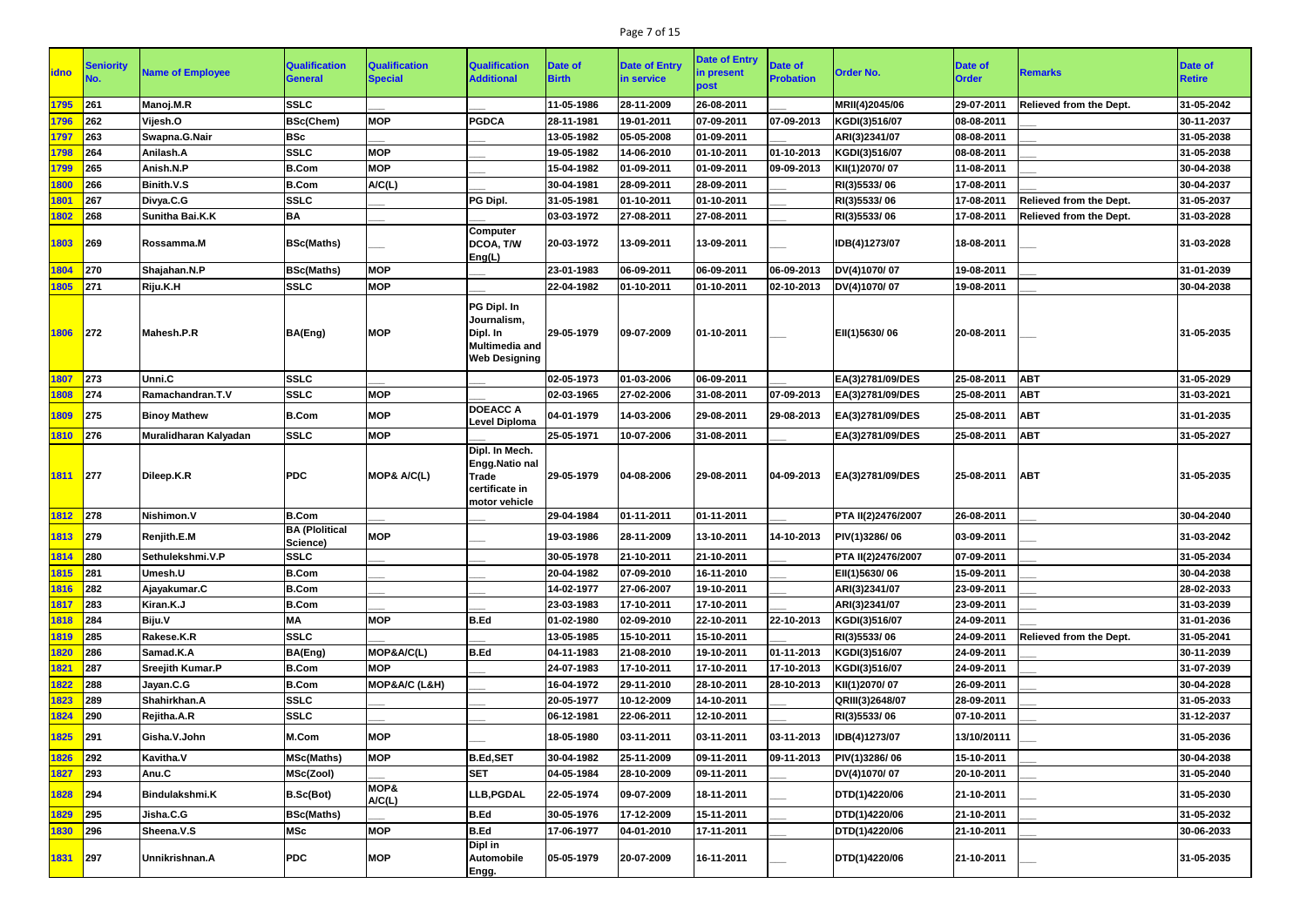## Page 7 of 15

| <b>lidno</b> | <b>Seniority</b> | <b>Name of Employee</b> | <b>Qualification</b><br>General   | <b>Qualification</b><br><b>Special</b> | <b>Qualification</b><br><b>Additional</b>                                               | Date of<br><b>Birth</b> | <b>Date of Entry</b><br>in service | <b>Date of Entry</b><br>in present<br>post | <b>Date of</b><br><b>Probation</b> | <b>Order No.</b>   | <b>Date of</b><br><b>Order</b> | <b>Remarks</b>                 | <b>Date of</b><br><b>Retire</b> |
|--------------|------------------|-------------------------|-----------------------------------|----------------------------------------|-----------------------------------------------------------------------------------------|-------------------------|------------------------------------|--------------------------------------------|------------------------------------|--------------------|--------------------------------|--------------------------------|---------------------------------|
| 1795         | 261              | Manoj.M.R               | <b>SSLC</b>                       |                                        |                                                                                         | 11-05-1986              | 28-11-2009                         | 26-08-2011                                 |                                    | MRII(4)2045/06     | 29-07-2011                     | <b>Relieved from the Dept.</b> | 31-05-2042                      |
| 1796         | 262              | Vijesh.O                | <b>BSc(Chem)</b>                  | <b>MOP</b>                             | <b>PGDCA</b>                                                                            | 28-11-1981              | 19-01-2011                         | 07-09-2011                                 | 07-09-2013                         | KGDI(3)516/07      | 08-08-2011                     |                                | 30-11-2037                      |
| 1797         | 263              | Swapna.G.Nair           | <b>BSc</b>                        |                                        |                                                                                         | 13-05-1982              | 05-05-2008                         | 01-09-2011                                 |                                    | ARI(3)2341/07      | 08-08-2011                     |                                | 31-05-2038                      |
| 1798         | 264              | Anilash.A               | <b>SSLC</b>                       | <b>MOP</b>                             |                                                                                         | 19-05-1982              | 14-06-2010                         | 01-10-2011                                 | 01-10-2013                         | KGDI(3)516/07      | 08-08-2011                     |                                | 31-05-2038                      |
| 1799         | 265              | Anish.N.P               | <b>B.Com</b>                      | <b>MOP</b>                             |                                                                                         | 15-04-1982              | 01-09-2011                         | 01-09-2011                                 | 09-09-2013                         | KII(1)2070/07      | 11-08-2011                     |                                | 30-04-2038                      |
| 1800         | 266              | <b>Binith.V.S</b>       | <b>B.Com</b>                      | A/C(L)                                 |                                                                                         | 30-04-1981              | 28-09-2011                         | 28-09-2011                                 |                                    | RI(3)5533/06       | 17-08-2011                     |                                | 30-04-2037                      |
| 1801         | 267              | Divya.C.G               | <b>SSLC</b>                       |                                        | <b>PG Dipl</b>                                                                          | 31-05-1981              | 01-10-2011                         | 01-10-2011                                 |                                    | RI(3)5533/06       | 17-08-2011                     | Relieved from the Dept.        | 31-05-2037                      |
| 1802         | 268              | Sunitha Bai.K.K         | <b>BA</b>                         |                                        |                                                                                         | 03-03-1972              | 27-08-2011                         | 27-08-2011                                 |                                    | RI(3)5533/06       | 17-08-2011                     | Relieved from the Dept.        | 31-03-2028                      |
| 1803         | 269              | Rossamma.M              | <b>BSc(Maths)</b>                 |                                        | <b>Computer</b><br>DCOA, T/W<br>Eng(L)                                                  | 20-03-1972              | 13-09-2011                         | 13-09-2011                                 |                                    | IDB(4)1273/07      | 18-08-2011                     |                                | 31-03-2028                      |
| 1804         | 270              | Shajahan.N.P            | <b>BSc(Maths)</b>                 | <b>MOP</b>                             |                                                                                         | 23-01-1983              | 06-09-2011                         | 06-09-2011                                 | 06-09-2013                         | DV(4)1070/07       | 19-08-2011                     |                                | 31-01-2039                      |
| 1805         | 271              | Riju.K.H                | <b>SSLC</b>                       | <b>MOP</b>                             |                                                                                         | 22-04-1982              | 01-10-2011                         | 01-10-2011                                 | 02-10-2013                         | DV(4)1070/07       | 19-08-2011                     |                                | 30-04-2038                      |
| 1806 272     |                  | Mahesh.P.R              | BA(Eng)                           | <b>MOP</b>                             | PG Dipl. In<br>Journalism,<br>Dipl. In<br><b>Multimedia and</b><br><b>Web Designing</b> | 29-05-1979              | 09-07-2009                         | 01-10-2011                                 |                                    | EII(1)5630/06      | 20-08-2011                     |                                | 31-05-2035                      |
| 1807         | 273              | <b>Unni.C</b>           | <b>SSLC</b>                       |                                        |                                                                                         | 02-05-1973              | 01-03-2006                         | 06-09-2011                                 |                                    | EA(3)2781/09/DES   | 25-08-2011                     | <b>ABT</b>                     | 31-05-2029                      |
| 1808         | 274              | Ramachandran.T.V        | <b>SSLC</b>                       | <b>MOP</b>                             |                                                                                         | 02-03-1965              | 27-02-2006                         | 31-08-2011                                 | 07-09-2013                         | EA(3)2781/09/DES   | 25-08-2011                     | <b>ABT</b>                     | 31-03-2021                      |
| 1809         | 275              | <b>Binoy Mathew</b>     | <b>B.Com</b>                      | <b>MOP</b>                             | <b>DOEACC A</b><br>Level Diploma                                                        | 04-01-1979              | 14-03-2006                         | 29-08-2011                                 | 29-08-2013                         | EA(3)2781/09/DES   | 25-08-2011                     | <b>ABT</b>                     | 31-01-2035                      |
| 1810         | 276              | Muralidharan Kalyadan   | <b>SSLC</b>                       | <b>MOP</b>                             |                                                                                         | 25-05-1971              | 10-07-2006                         | 31-08-2011                                 |                                    | EA(3)2781/09/DES   | 25-08-2011                     | <b>ABT</b>                     | 31-05-2027                      |
| 1811 277     |                  | Dileep.K.R              | <b>PDC</b>                        | MOP& A/C(L)                            | Dipl. In Mech.<br>Engg.Natio nal<br><b>Trade</b><br>certificate in<br>motor vehicle     | 29-05-1979              | 04-08-2006                         | 29-08-2011                                 | 04-09-2013                         | EA(3)2781/09/DES   | 25-08-2011                     | <b>ABT</b>                     | 31-05-2035                      |
| 1812         | 278              | Nishimon.V              | <b>B.Com</b>                      |                                        |                                                                                         | 29-04-1984              | 01-11-2011                         | 01-11-2011                                 |                                    | PTA II(2)2476/2007 | 26-08-2011                     |                                | 30-04-2040                      |
| 1813 279     |                  | Renjith.E.M             | <b>BA (Plolitical</b><br>Science) | <b>MOP</b>                             |                                                                                         | 19-03-1986              | 28-11-2009                         | 13-10-2011                                 | 14-10-2013                         | PIV(1)3286/06      | 03-09-2011                     |                                | 31-03-2042                      |
| 1814 280     |                  | Sethulekshmi.V.P        | <b>SSLC</b>                       |                                        |                                                                                         | 30-05-1978              | 21-10-2011                         | 21-10-2011                                 |                                    | PTA II(2)2476/2007 | 07-09-2011                     |                                | 31-05-2034                      |
| 1815         | 281              | Umesh.U                 | <b>B.Com</b>                      |                                        |                                                                                         | 20-04-1982              | 07-09-2010                         | 16-11-2010                                 |                                    | EII(1)5630/06      | 15-09-2011                     |                                | 30-04-2038                      |
| 1816         | 282              | Ajayakumar.C            | <b>B.Com</b>                      |                                        |                                                                                         | 14-02-1977              | 27-06-2007                         | 19-10-2011                                 |                                    | ARI(3)2341/07      | 23-09-2011                     |                                | 28-02-2033                      |
| 1817         | 283              | Kiran.K.J               | <b>B.Com</b>                      |                                        |                                                                                         | 23-03-1983              | 17-10-2011                         | 17-10-2011                                 |                                    | ARI(3)2341/07      | 23-09-2011                     |                                | 31-03-2039                      |
| 1818         | 284              | Biju.V                  | <b>MA</b>                         | <b>MOP</b>                             | <b>B.Ed</b>                                                                             | 01-02-1980              | 02-09-2010                         | 22-10-2011                                 | 22-10-2013                         | KGDI(3)516/07      | 24-09-2011                     |                                | 31-01-2036                      |
| 1819         | 285              | Rakese.K.R              | <b>SSLC</b>                       |                                        |                                                                                         | 13-05-1985              | 15-10-2011                         | 15-10-2011                                 |                                    | RI(3)5533/06       | 24-09-2011                     | Relieved from the Dept.        | 31-05-2041                      |
| 1820         | 286              | Samad.K.A               | BA(Eng)                           | MOP&A/C(L)                             | <b>B.Ed</b>                                                                             | 04-11-1983              | 21-08-2010                         | 19-10-2011                                 | 01-11-2013                         | KGDI(3)516/07      | 24-09-2011                     |                                | 30-11-2039                      |
| 1821         | 287              | <b>Sreejith Kumar.P</b> | <b>B.Com</b>                      | <b>MOP</b>                             |                                                                                         | 24-07-1983              | 17-10-2011                         | 17-10-2011                                 | 17-10-2013                         | KGDI(3)516/07      | 24-09-2011                     |                                | 31-07-2039                      |
| 1822         | 288              | Jayan.C.G               | <b>B.Com</b>                      | MOP&A/C (L&H)                          |                                                                                         | 16-04-1972              | 29-11-2010                         | 28-10-2011                                 | 28-10-2013                         | KII(1)2070/07      | 26-09-2011                     |                                | 30-04-2028                      |
| 1823         | 289              | Shahirkhan.A            | <b>SSLC</b>                       |                                        |                                                                                         | 20-05-1977              | 10-12-2009                         | 14-10-2011                                 |                                    | QRIII(3)2648/07    | 28-09-2011                     |                                | 31-05-2033                      |
| 1824         | 290              | Rejitha.A.R             | <b>SSLC</b>                       |                                        |                                                                                         | 06-12-1981              | 22-06-2011                         | 12-10-2011                                 |                                    | RI(3)5533/06       | 07-10-2011                     |                                | 31-12-2037                      |
| 1825         | 291              | Gisha.V.John            | M.Com                             | <b>MOP</b>                             |                                                                                         | 18-05-1980              | $ 03-11-2011 $                     | 03-11-2011                                 | 03-11-2013                         | IDB(4)1273/07      | 13/10/20111                    |                                | 31-05-2036                      |
| 1826         | 292              | Kavitha.V               | <b>MSc(Maths)</b>                 | <b>MOP</b>                             | <b>B.Ed,SET</b>                                                                         | 30-04-1982              | 25-11-2009                         | 09-11-2011                                 | 09-11-2013                         | PIV(1)3286/06      | 15-10-2011                     |                                | 30-04-2038                      |
| 1827         | $ 293\rangle$    | Anu.C                   | MSc(Zool)                         | MOP&                                   | <b>SET</b>                                                                              | 04-05-1984              | 28-10-2009                         | 09-11-2011                                 |                                    | DV(4)1070/07       | 20-10-2011                     |                                | 31-05-2040                      |
| 1828         | 294              | Bindulakshmi.K          | B.Sc(Bot)                         | A/C(L)                                 | LLB, PGDAL                                                                              | 22-05-1974              | 09-07-2009                         | 18-11-2011                                 |                                    | DTD(1)4220/06      | 21-10-2011                     |                                | 31-05-2030                      |
| 1829         | 295              | Jisha.C.G               | <b>BSc(Maths)</b>                 |                                        | <b>B.Ed</b>                                                                             | 30-05-1976              | 17-12-2009                         | 15-11-2011                                 |                                    | DTD(1)4220/06      | 21-10-2011                     |                                | 31-05-2032                      |
| 1830         | 296              | Sheena.V.S              | <b>MSc</b>                        | <b>MOP</b>                             | <b>B.Ed</b><br>Dipl in                                                                  | 17-06-1977              | 04-01-2010                         | 17-11-2011                                 |                                    | DTD(1)4220/06      | 21-10-2011                     |                                | 30-06-2033                      |
| 1831 297     |                  | Unnikrishnan.A          | <b>PDC</b>                        | <b>MOP</b>                             | <b>Automobile</b><br>Engg.                                                              | 05-05-1979              | 20-07-2009                         | 16-11-2011                                 |                                    | DTD(1)4220/06      | 21-10-2011                     |                                | 31-05-2035                      |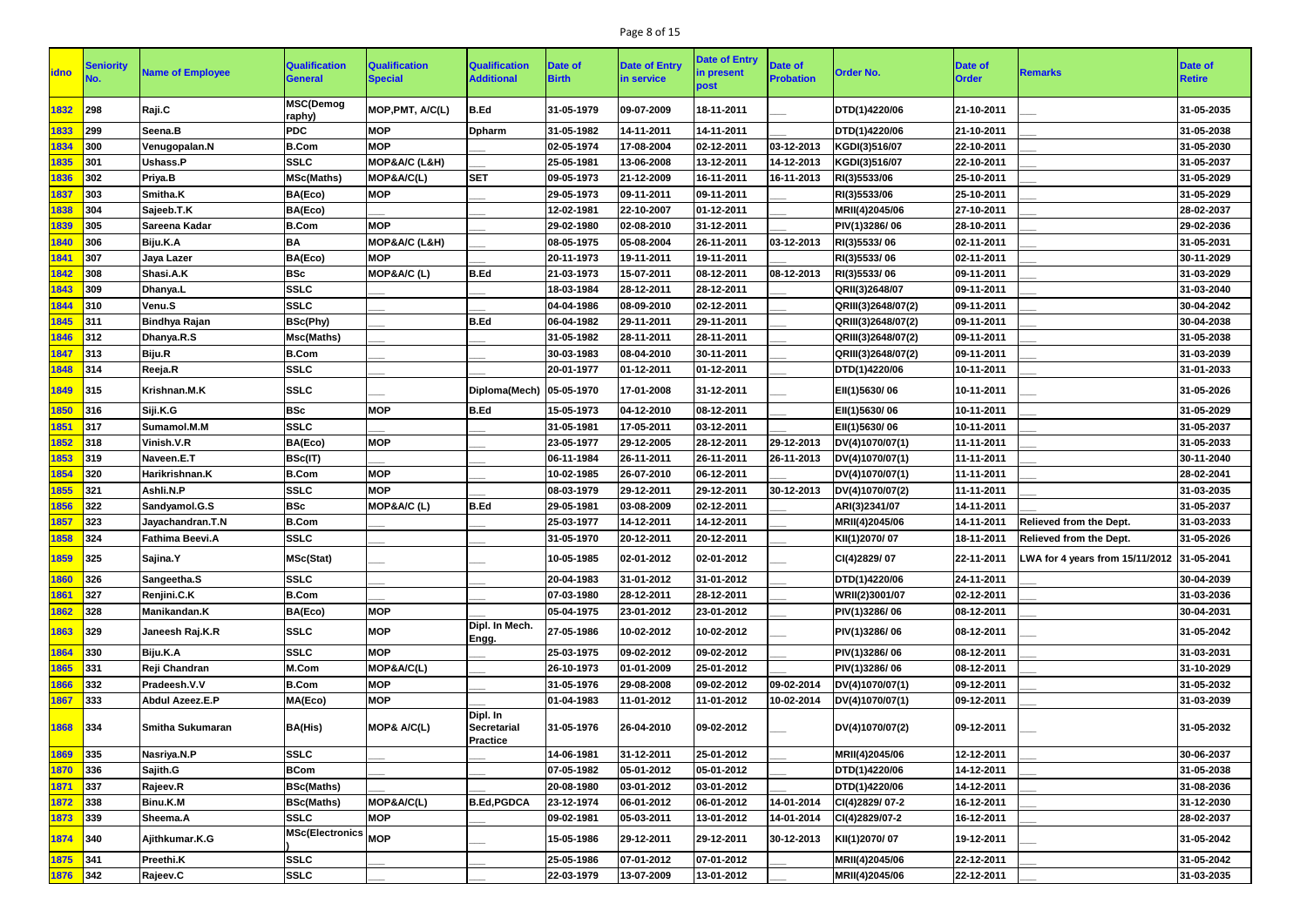## Page 8 of 15

| <b>idno</b> | <b>Seniority</b> | <b>Name of Employee</b> | <b>Qualification</b><br><b>General</b> | <b>Qualification</b><br><b>Special</b> | <b>Qualification</b><br><b>Additional</b>  | Date of<br><b>Birth</b> | <b>Date of Entry</b><br>in service | <b>Date of Entry</b><br>in present<br>post | <b>Date of</b><br><b>Probation</b> | <b>Order No.</b>   | <b>Date of</b><br><b>Order</b> | <b>Remarks</b>                             | Date of<br><b>Retire</b> |
|-------------|------------------|-------------------------|----------------------------------------|----------------------------------------|--------------------------------------------|-------------------------|------------------------------------|--------------------------------------------|------------------------------------|--------------------|--------------------------------|--------------------------------------------|--------------------------|
| 1832        | 298              | Raji.C                  | <b>MSC(Demog</b><br>raphy)             | MOP, PMT, A/C(L)                       | B.Ed                                       | 31-05-1979              | 09-07-2009                         | 18-11-2011                                 |                                    | DTD(1)4220/06      | 21-10-2011                     |                                            | 31-05-2035               |
| 1833        | 299              | Seena.B                 | <b>PDC</b>                             | <b>MOP</b>                             | <b>Dpharm</b>                              | 31-05-1982              | 14-11-2011                         | 14-11-2011                                 |                                    | DTD(1)4220/06      | 21-10-2011                     |                                            | 31-05-2038               |
| 1834        | 300              | Venugopalan.N           | <b>B.Com</b>                           | <b>MOP</b>                             |                                            | 02-05-1974              | 17-08-2004                         | 02-12-2011                                 | 03-12-2013                         | KGDI(3)516/07      | 22-10-2011                     |                                            | 31-05-2030               |
| 1835        | 301              | Ushass.P                | <b>SSLC</b>                            | MOP&A/C (L&H)                          |                                            | 25-05-1981              | 13-06-2008                         | 13-12-2011                                 | 14-12-2013                         | KGDI(3)516/07      | 22-10-2011                     |                                            | 31-05-2037               |
| 1836        | 302              | Priya.B                 | <b>MSc(Maths)</b>                      | MOP&A/C(L)                             | <b>SET</b>                                 | 09-05-1973              | 21-12-2009                         | 16-11-2011                                 | 16-11-2013                         | RI(3)5533/06       | 25-10-2011                     |                                            | 31-05-2029               |
| 1837        | 303              | Smitha.K                | BA(Eco)                                | <b>MOP</b>                             |                                            | 29-05-1973              | 09-11-2011                         | 09-11-2011                                 |                                    | RI(3)5533/06       | 25-10-2011                     |                                            | 31-05-2029               |
| 1838        | 304              | Sajeeb.T.K              | BA(Eco)                                |                                        |                                            | 12-02-1981              | 22-10-2007                         | 01-12-2011                                 |                                    | MRII(4)2045/06     | 27-10-2011                     |                                            | 28-02-2037               |
| 1839        | 305              | Sareena Kadar           | <b>B.Com</b>                           | <b>MOP</b>                             |                                            | 29-02-1980              | 02-08-2010                         | 31-12-2011                                 |                                    | PIV(1)3286/06      | 28-10-2011                     |                                            | 29-02-2036               |
| 1840        | 306              | Biju.K.A                | <b>BA</b>                              | MOP&A/C (L&H)                          |                                            | 08-05-1975              | 05-08-2004                         | 26-11-2011                                 | 03-12-2013                         | RI(3)5533/06       | 02-11-2011                     |                                            | 31-05-2031               |
| 1841        | 307              | Jaya Lazer              | BA(Eco)                                | <b>MOP</b>                             |                                            | 20-11-1973              | 19-11-2011                         | 19-11-2011                                 |                                    | RI(3)5533/06       | 02-11-2011                     |                                            | 30-11-2029               |
| 1842        | 308              | Shasi.A.K               | <b>BSc</b>                             | MOP&A/C(L)                             | B.Ed                                       | 21-03-1973              | 15-07-2011                         | 08-12-2011                                 | 08-12-2013                         | RI(3)5533/06       | 09-11-2011                     |                                            | 31-03-2029               |
| 1843        | 309              | Dhanya.L                | <b>SSLC</b>                            |                                        |                                            | 18-03-1984              | 28-12-2011                         | 28-12-2011                                 |                                    | QRII(3)2648/07     | 09-11-2011                     |                                            | 31-03-2040               |
| 1844        | 310              | Venu.S                  | <b>SSLC</b>                            |                                        |                                            | 04-04-1986              | 08-09-2010                         | 02-12-2011                                 |                                    | QRIII(3)2648/07(2) | 09-11-2011                     |                                            | 30-04-2042               |
| 1845        | 311              | <b>Bindhya Rajan</b>    | <b>BSc(Phy)</b>                        |                                        | B.Ed                                       | 06-04-1982              | 29-11-2011                         | 29-11-2011                                 |                                    | QRIII(3)2648/07(2) | 09-11-2011                     |                                            | 30-04-2038               |
| 1846        | 312              | Dhanya.R.S              | Msc(Maths)                             |                                        |                                            | 31-05-1982              | 28-11-2011                         | 28-11-2011                                 |                                    | QRIII(3)2648/07(2) | 09-11-2011                     |                                            | 31-05-2038               |
| 1847        | 313              | Biju.R                  | <b>B.Com</b>                           |                                        |                                            | 30-03-1983              | 08-04-2010                         | 30-11-2011                                 |                                    | QRIII(3)2648/07(2) | 09-11-2011                     |                                            | 31-03-2039               |
| 1848        | 314              | Reeja.R                 | <b>SSLC</b>                            |                                        |                                            | 20-01-1977              | 01-12-2011                         | 01-12-2011                                 |                                    | DTD(1)4220/06      | 10-11-2011                     |                                            | 31-01-2033               |
| 1849        | 315              | Krishnan.M.K            | <b>SSLC</b>                            |                                        | Diploma(Mech)   05-05-1970                 |                         | 17-01-2008                         | 31-12-2011                                 |                                    | EII(1)5630/06      | 10-11-2011                     |                                            | 31-05-2026               |
| 1850        | 316              | Siji.K.G                | <b>BSc</b>                             | <b>MOP</b>                             | B.Ed                                       | 15-05-1973              | 04-12-2010                         | 08-12-2011                                 |                                    | EII(1)5630/06      | 10-11-2011                     |                                            | 31-05-2029               |
| 1851        | 317              | Sumamol.M.M             | <b>SSLC</b>                            |                                        |                                            | 31-05-1981              | 17-05-2011                         | 03-12-2011                                 |                                    | EII(1)5630/06      | 10-11-2011                     |                                            | 31-05-2037               |
| 1852        | 318              | Vinish.V.R              | BA(Eco)                                | <b>MOP</b>                             |                                            | 23-05-1977              | 29-12-2005                         | 28-12-2011                                 | 29-12-2013                         | DV(4)1070/07(1)    | 11-11-2011                     |                                            | 31-05-2033               |
| 1853        | 319              | Naveen.E.T              | BSc(IT)                                |                                        |                                            | 06-11-1984              | 26-11-2011                         | 26-11-2011                                 | 26-11-2013                         | DV(4)1070/07(1)    | 11-11-2011                     |                                            | 30-11-2040               |
| 1854        | 320              | Harikrishnan.K          | <b>B.Com</b>                           | <b>MOP</b>                             |                                            | 10-02-1985              | 26-07-2010                         | 06-12-2011                                 |                                    | DV(4)1070/07(1)    | 11-11-2011                     |                                            | 28-02-2041               |
| 1855        | 321              | Ashli.N.P               | <b>SSLC</b>                            | <b>MOP</b>                             |                                            | 08-03-1979              | 29-12-2011                         | 29-12-2011                                 | 30-12-2013                         | DV(4)1070/07(2)    | 11-11-2011                     |                                            | 31-03-2035               |
| 1856        | 322              | Sandyamol.G.S           | <b>BSc</b>                             | MOP&A/C (L)                            | <b>B.Ed</b>                                | 29-05-1981              | 03-08-2009                         | 02-12-2011                                 |                                    | ARI(3)2341/07      | 14-11-2011                     |                                            | 31-05-2037               |
| 1857        | 323              | Jayachandran.T.N        | <b>B.Com</b>                           |                                        |                                            | 25-03-1977              | 14-12-2011                         | 14-12-2011                                 |                                    | MRII(4)2045/06     | 14-11-2011                     | Relieved from the Dept.                    | 31-03-2033               |
| 1858        | 324              | Fathima Beevi.A         | <b>SSLC</b>                            |                                        |                                            | 31-05-1970              | 20-12-2011                         | 20-12-2011                                 |                                    | KII(1)2070/07      | 18-11-2011                     | Relieved from the Dept.                    | 31-05-2026               |
| 1859        | 325              | Sajina.Y                | <b>MSc(Stat)</b>                       |                                        |                                            | 10-05-1985              | 02-01-2012                         | 02-01-2012                                 |                                    | CI(4)2829/07       | 22-11-2011                     | LWA for 4 years from 15/11/2012 31-05-2041 |                          |
| 1860        | 326              | Sangeetha.S             | <b>SSLC</b>                            |                                        |                                            | 20-04-1983              | 31-01-2012                         | 31-01-2012                                 |                                    | DTD(1)4220/06      | 24-11-2011                     |                                            | 30-04-2039               |
| 1861        | 327              | Renjini.C.K             | <b>B.Com</b>                           |                                        |                                            | 07-03-1980              | 28-12-2011                         | 28-12-2011                                 |                                    | WRII(2)3001/07     | 02-12-2011                     |                                            | 31-03-2036               |
| 1862        | 328              | Manikandan.K            | BA(Eco)                                | <b>MOP</b>                             |                                            | 05-04-1975              | 23-01-2012                         | 23-01-2012                                 |                                    | PIV(1)3286/06      | 08-12-2011                     |                                            | 30-04-2031               |
| 1863        | 329              | Janeesh Raj.K.R         | <b>SSLC</b>                            | <b>MOP</b>                             | Dipl. In Mech.<br>Engg.                    | 27-05-1986              | 10-02-2012                         | 10-02-2012                                 |                                    | PIV(1)3286/06      | 08-12-2011                     |                                            | 31-05-2042               |
| 1864        | 330              | Biju.K.A                | <b>SSLC</b>                            | <b>MOP</b>                             |                                            | 25-03-1975              | 09-02-2012                         | 09-02-2012                                 |                                    | PIV(1)3286/06      | 08-12-2011                     |                                            | 31-03-2031               |
| 1865        | 331              | Reji Chandran           | M.Com                                  | MOP&A/C(L)                             |                                            | 26-10-1973              | 01-01-2009                         | 25-01-2012                                 |                                    | PIV(1)3286/06      | 08-12-2011                     |                                            | 31-10-2029               |
| 1866        | 332              | Pradeesh.V.V            | <b>B.Com</b>                           | <b>MOP</b>                             |                                            | 31-05-1976              | 29-08-2008                         | 09-02-2012                                 | 09-02-2014                         | DV(4)1070/07(1)    | 09-12-2011                     |                                            | 31-05-2032               |
| 1867        | 333              | Abdul Azeez.E.P         | MA(Eco)                                | <b>MOP</b>                             |                                            | 01-04-1983              | 11-01-2012                         | 11-01-2012                                 | 10-02-2014                         | DV(4)1070/07(1)    | 09-12-2011                     |                                            | 31-03-2039               |
| 1868        | 334              | <b>Smitha Sukumaran</b> | <b>BA(His)</b>                         | MOP& A/C(L)                            | Dipl. In<br>Secretarial<br><b>Practice</b> | 31-05-1976              | 26-04-2010                         | 09-02-2012                                 |                                    | DV(4)1070/07(2)    | 09-12-2011                     |                                            | 31-05-2032               |
| 1869        | 335              | Nasriya.N.P             | <b>SSLC</b>                            |                                        |                                            | 14-06-1981              | 31-12-2011                         | 25-01-2012                                 |                                    | MRII(4)2045/06     | 12-12-2011                     |                                            | 30-06-2037               |
| 1870        | 336              | Sajith.G                | <b>BCom</b>                            |                                        |                                            | 07-05-1982              | 05-01-2012                         | 05-01-2012                                 |                                    | DTD(1)4220/06      | 14-12-2011                     |                                            | 31-05-2038               |
| 1871        | 337              | Rajeev.R                | <b>BSc(Maths)</b>                      |                                        |                                            | 20-08-1980              | 03-01-2012                         | 03-01-2012                                 |                                    | DTD(1)4220/06      | 14-12-2011                     |                                            | 31-08-2036               |
| 1872        | 338              | Binu.K.M                | <b>BSc(Maths)</b>                      | MOP&A/C(L)                             | <b>B.Ed, PGDCA</b>                         | 23-12-1974              | 06-01-2012                         | 06-01-2012                                 | 14-01-2014                         | CI(4)2829/07-2     | 16-12-2011                     |                                            | 31-12-2030               |
| 1873        | 339              | Sheema.A                | <b>SSLC</b>                            | <b>MOP</b>                             |                                            | 09-02-1981              | 05-03-2011                         | 13-01-2012                                 | 14-01-2014                         | CI(4)2829/07-2     | 16-12-2011                     |                                            | 28-02-2037               |
| 1874        | $ 340\rangle$    | Ajithkumar.K.G          | MSc(Electronics MOP                    |                                        |                                            | 15-05-1986              | 29-12-2011                         | 29-12-2011                                 | 30-12-2013                         | KII(1)2070/07      | 19-12-2011                     |                                            | 31-05-2042               |
| 1875        | 341              | Preethi.K               | <b>SSLC</b>                            |                                        |                                            | 25-05-1986              | 07-01-2012                         | 07-01-2012                                 |                                    | MRII(4)2045/06     | 22-12-2011                     |                                            | 31-05-2042               |
| 1876 342    |                  | Rajeev.C                | <b>SSLC</b>                            |                                        |                                            | 22-03-1979              | 13-07-2009                         | 13-01-2012                                 |                                    | MRII(4)2045/06     | 22-12-2011                     |                                            | 31-03-2035               |
|             |                  |                         |                                        |                                        |                                            |                         |                                    |                                            |                                    |                    |                                |                                            |                          |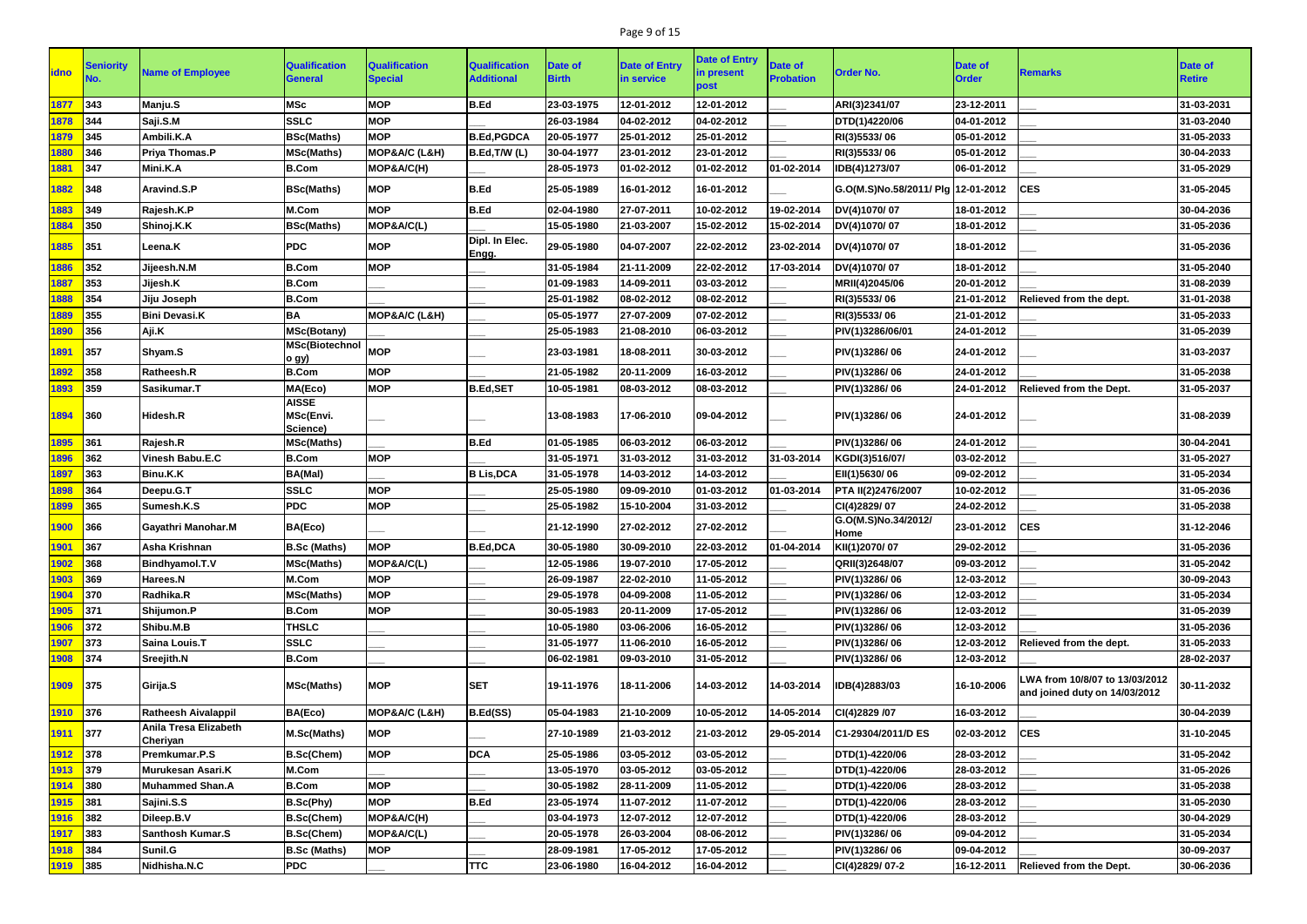## Page 9 of 15

| idno        | <b>Seniority</b> | <b>Name of Employee</b>           | <b>Qualification</b><br>General       | <b>Qualification</b><br><b>Special</b> | <b>Qualification</b><br><b>Additional</b> | <b>Date of</b><br><b>Birth</b> | <b>Date of Entry</b><br>in service | <b>Date of Entry</b><br>in present<br>post | <b>Date of</b><br><b>Probation</b> | <b>Order No.</b>                   | <b>Date of</b><br><b>Order</b> | <b>Remarks</b>                                                 | Date of<br><b>Retire</b> |
|-------------|------------------|-----------------------------------|---------------------------------------|----------------------------------------|-------------------------------------------|--------------------------------|------------------------------------|--------------------------------------------|------------------------------------|------------------------------------|--------------------------------|----------------------------------------------------------------|--------------------------|
| 1877        | 343              | Manju.S                           | <b>MSc</b>                            | <b>MOP</b>                             | B.Ed                                      | 23-03-1975                     | 12-01-2012                         | 12-01-2012                                 |                                    | ARI(3)2341/07                      | 23-12-2011                     |                                                                | 31-03-2031               |
| 1878        | 344              | Saji.S.M                          | <b>SSLC</b>                           | <b>MOP</b>                             |                                           | 26-03-1984                     | 04-02-2012                         | 04-02-2012                                 |                                    | DTD(1)4220/06                      | 04-01-2012                     |                                                                | 31-03-2040               |
|             | 345              | Ambili.K.A                        |                                       | <b>MOP</b>                             | <b>B.Ed, PGDCA</b>                        |                                |                                    | 25-01-2012                                 |                                    |                                    | 05-01-2012                     |                                                                | 31-05-2033               |
| 1879        |                  |                                   | <b>BSc(Maths)</b>                     |                                        |                                           | 20-05-1977                     | 25-01-2012                         |                                            |                                    | RI(3)5533/06                       |                                |                                                                |                          |
| 1880        | 346              | <b>Priya Thomas.P</b>             | <b>MSc(Maths)</b>                     | MOP&A/C (L&H)                          | B.Ed, T/W (L)                             | 30-04-1977                     | 23-01-2012                         | 23-01-2012                                 |                                    | RI(3)5533/06                       | 05-01-2012                     |                                                                | 30-04-2033               |
| 1881        | 347              | Mini.K.A                          | <b>B.Com</b>                          | MOP&A/C(H)                             |                                           | 28-05-1973                     | 01-02-2012                         | 01-02-2012                                 | 01-02-2014                         | IDB(4)1273/07                      | 06-01-2012                     |                                                                | 31-05-2029               |
| 1882        | 348              | Aravind.S.P                       | <b>BSc(Maths)</b>                     | <b>MOP</b>                             | <b>B.Ed</b>                               | 25-05-1989                     | 16-01-2012                         | 16-01-2012                                 |                                    | G.O(M.S)No.58/2011/ Plg 12-01-2012 |                                | <b>CES</b>                                                     | 31-05-2045               |
| 1883        | 349              | Rajesh.K.P                        | M.Com                                 | <b>MOP</b>                             | B.Ed                                      | 02-04-1980                     | 27-07-2011                         | 10-02-2012                                 | 19-02-2014                         | DV(4)1070/07                       | 18-01-2012                     |                                                                | 30-04-2036               |
| 1884        | 350              | Shinoj.K.K                        | <b>BSc(Maths)</b>                     | MOP&A/C(L)                             |                                           | 15-05-1980                     | 21-03-2007                         | 15-02-2012                                 | 15-02-2014                         | DV(4)1070/07                       | 18-01-2012                     |                                                                | 31-05-2036               |
| 1885        | 351              | Leena.K                           | <b>PDC</b>                            | <b>MOP</b>                             | Dipl. In Elec.<br>Engg.                   | 29-05-1980                     | 04-07-2007                         | 22-02-2012                                 | 23-02-2014                         | DV(4)1070/07                       | 18-01-2012                     |                                                                | 31-05-2036               |
| 1886        | 352              | Jijeesh.N.M                       | <b>B.Com</b>                          | <b>MOP</b>                             |                                           | 31-05-1984                     | 21-11-2009                         | 22-02-2012                                 | 17-03-2014                         | DV(4)1070/07                       | 18-01-2012                     |                                                                | 31-05-2040               |
| 1887        | 353              | Jijesh.K                          | <b>B.Com</b>                          |                                        |                                           | 01-09-1983                     | 14-09-2011                         | 03-03-2012                                 |                                    | MRII(4)2045/06                     | 20-01-2012                     |                                                                | 31-08-2039               |
| 1888        | 354              | Jiju Joseph                       | <b>B.Com</b>                          |                                        |                                           | 25-01-1982                     | 08-02-2012                         | 08-02-2012                                 |                                    | RI(3)5533/06                       | 21-01-2012                     | Relieved from the dept.                                        | 31-01-2038               |
| 1889        | 355              | <b>Bini Devasi.K</b>              | <b>BA</b>                             | MOP&A/C (L&H)                          |                                           | 05-05-1977                     | 27-07-2009                         | 07-02-2012                                 |                                    | RI(3)5533/06                       | 21-01-2012                     |                                                                | 31-05-2033               |
| 1890        | 356              | Aji.K                             | <b>MSc(Botany)</b>                    |                                        |                                           | 25-05-1983                     | 21-08-2010                         | 06-03-2012                                 |                                    | PIV(1)3286/06/01                   | 24-01-2012                     |                                                                | 31-05-2039               |
| 1891        | 357              | Shyam.S                           | <b>MSc(Biotechnol</b><br>o gy)        | <b>MOP</b>                             |                                           | 23-03-1981                     | 18-08-2011                         | 30-03-2012                                 |                                    | PIV(1)3286/06                      | 24-01-2012                     |                                                                | 31-03-2037               |
| 1892        | 358              | Ratheesh.R                        | <b>B.Com</b>                          | <b>MOP</b>                             |                                           | 21-05-1982                     | 20-11-2009                         | 16-03-2012                                 |                                    | PIV(1)3286/06                      | 24-01-2012                     |                                                                | 31-05-2038               |
| 1893        | 359              | Sasikumar.T                       | MA(Eco)                               | <b>MOP</b>                             | <b>B.Ed,SET</b>                           | 10-05-1981                     | 08-03-2012                         | 08-03-2012                                 |                                    | PIV(1)3286/06                      | 24-01-2012                     | <b>Relieved from the Dept.</b>                                 | 31-05-2037               |
| 1894        | 360              | <b>Hidesh.R</b>                   | <b>AISSE</b><br>MSc(Envi.<br>Science) |                                        |                                           | 13-08-1983                     | 17-06-2010                         | 09-04-2012                                 |                                    | PIV(1)3286/06                      | 24-01-2012                     |                                                                | 31-08-2039               |
| 1895        | 361              | Rajesh.R                          | <b>MSc(Maths)</b>                     |                                        | <b>B.Ed</b>                               | 01-05-1985                     | 06-03-2012                         | 06-03-2012                                 |                                    | PIV(1)3286/06                      | 24-01-2012                     |                                                                | 30-04-2041               |
| 1896        | 362              | <b>Vinesh Babu.E.C</b>            | <b>B.Com</b>                          | <b>MOP</b>                             |                                           | 31-05-1971                     | 31-03-2012                         | 31-03-2012                                 | 31-03-2014                         | KGDI(3)516/07/                     | 03-02-2012                     |                                                                | 31-05-2027               |
| 1897        | 363              | Binu.K.K                          | BA(Mal)                               |                                        | <b>B Lis, DCA</b>                         | 31-05-1978                     | 14-03-2012                         | 14-03-2012                                 |                                    | EII(1)5630/06                      | 09-02-2012                     |                                                                | 31-05-2034               |
| 1898        | 364              | Deepu.G.T                         | <b>SSLC</b>                           | <b>MOP</b>                             |                                           | 25-05-1980                     | 09-09-2010                         | 01-03-2012                                 | 01-03-2014                         | PTA II(2)2476/2007                 | 10-02-2012                     |                                                                | 31-05-2036               |
| 1899        | 365              | Sumesh.K.S                        | <b>PDC</b>                            | <b>MOP</b>                             |                                           | 25-05-1982                     | 15-10-2004                         | 31-03-2012                                 |                                    | CI(4)2829/07                       | 24-02-2012                     |                                                                | 31-05-2038               |
| 1900        | 366              | <b>Gayathri Manohar.M</b>         | BA(Eco)                               |                                        |                                           | 21-12-1990                     | 27-02-2012                         | 27-02-2012                                 |                                    | G.O(M.S)No.34/2012/<br>Home        | 23-01-2012                     | <b>CES</b>                                                     | 31-12-2046               |
| 1901        | 367              | Asha Krishnan                     | <b>B.Sc (Maths)</b>                   | <b>MOP</b>                             | B.Ed, DCA                                 | 30-05-1980                     | 30-09-2010                         | 22-03-2012                                 | 01-04-2014                         | KII(1)2070/07                      | 29-02-2012                     |                                                                | 31-05-2036               |
| 1902        | 368              | Bindhyamol.T.V                    | <b>MSc(Maths)</b>                     | MOP&A/C(L)                             |                                           | 12-05-1986                     | 19-07-2010                         | 17-05-2012                                 |                                    | QRII(3)2648/07                     | 09-03-2012                     |                                                                | 31-05-2042               |
| 1903        | 369              | <b>Harees.N</b>                   | M.Com                                 | <b>MOP</b>                             |                                           | 26-09-1987                     | 22-02-2010                         | 11-05-2012                                 |                                    | PIV(1)3286/06                      | 12-03-2012                     |                                                                | 30-09-2043               |
| 1904        | 370              | Radhika.R                         | <b>MSc(Maths)</b>                     | <b>MOP</b>                             |                                           | 29-05-1978                     | 04-09-2008                         | 11-05-2012                                 |                                    | PIV(1)3286/06                      | 12-03-2012                     |                                                                | 31-05-2034               |
| 1905        | 371              | Shijumon.P                        | <b>B.Com</b>                          | <b>MOP</b>                             |                                           | 30-05-1983                     | 20-11-2009                         | 17-05-2012                                 |                                    | PIV(1)3286/06                      | 12-03-2012                     |                                                                | 31-05-2039               |
| 1906        | 372              | Shibu.M.B                         | <b>THSLC</b>                          |                                        |                                           | 10-05-1980                     | 03-06-2006                         | 16-05-2012                                 |                                    | PIV(1)3286/06                      | 12-03-2012                     |                                                                | 31-05-2036               |
| 1907        | 373              | Saina Louis.T                     | <b>SSLC</b>                           |                                        |                                           | 31-05-1977                     | 11-06-2010                         | 16-05-2012                                 |                                    | PIV(1)3286/06                      | 12-03-2012                     | Relieved from the dept.                                        | 31-05-2033               |
| 1908        | 374              | Sreejith.N                        | <b>B.Com</b>                          |                                        |                                           | 06-02-1981                     | 09-03-2010                         | 31-05-2012                                 |                                    | PIV(1)3286/06                      | 12-03-2012                     |                                                                | 28-02-2037               |
| 1909        | 375              | Girija.S                          | <b>MSc(Maths)</b>                     | <b>MOP</b>                             | <b>SET</b>                                | 19-11-1976                     | 18-11-2006                         | 14-03-2012                                 | 14-03-2014                         | IDB(4)2883/03                      | 16-10-2006                     | WA from 10/8/07 to 13/03/2012<br>and joined duty on 14/03/2012 | 30-11-2032               |
| 1910        | 376              | <b>Ratheesh Aivalappil</b>        | BA(Eco)                               | MOP&A/C (L&H)                          | B.Ed(SS)                                  | 05-04-1983                     | 21-10-2009                         | 10-05-2012                                 | 14-05-2014                         | CI(4)2829 /07                      | 16-03-2012                     |                                                                | 30-04-2039               |
| 1911        | 377              | Anila Tresa Elizabeth<br>Cheriyan | M.Sc(Maths)                           | <b>MOP</b>                             |                                           | 27-10-1989                     | 21-03-2012                         | 21-03-2012                                 | 29-05-2014                         | C1-29304/2011/D ES                 | 02-03-2012                     | <b>CES</b>                                                     | 31-10-2045               |
| 1912        | 378              | Premkumar.P.S                     | <b>B.Sc(Chem)</b>                     | <b>MOP</b>                             | <b>DCA</b>                                | 25-05-1986                     | 03-05-2012                         | 03-05-2012                                 |                                    | DTD(1)-4220/06                     | 28-03-2012                     |                                                                | 31-05-2042               |
| 1913        | 379              | Murukesan Asari.K                 | M.Com                                 |                                        |                                           | 13-05-1970                     | 03-05-2012                         | 03-05-2012                                 |                                    | DTD(1)-4220/06                     | 28-03-2012                     |                                                                | 31-05-2026               |
| 1914        | 380              | <b>Muhammed Shan.A</b>            | <b>B.Com</b>                          | <b>MOP</b>                             |                                           | 30-05-1982                     | 28-11-2009                         | 11-05-2012                                 |                                    | DTD(1)-4220/06                     | 28-03-2012                     |                                                                | 31-05-2038               |
| 1915        | 381              | Sajini.S.S                        | B.Sc(Phy)                             | <b>MOP</b>                             | B.Ed                                      | 23-05-1974                     | 11-07-2012                         | 11-07-2012                                 |                                    | DTD(1)-4220/06                     | 28-03-2012                     |                                                                | 31-05-2030               |
| 1916        | 382              | Dileep.B.V                        | <b>B.Sc(Chem)</b>                     | MOP&A/C(H)                             |                                           | 03-04-1973                     | 12-07-2012                         | 12-07-2012                                 |                                    | DTD(1)-4220/06                     | 28-03-2012                     |                                                                | 30-04-2029               |
| 1917        | 383              | Santhosh Kumar.S                  | <b>B.Sc(Chem)</b>                     | MOP&A/C(L)                             |                                           | 20-05-1978                     | 26-03-2004                         | 08-06-2012                                 |                                    | PIV(1)3286/06                      | 09-04-2012                     |                                                                | 31-05-2034               |
| 1918        | 384              | Sunil.G                           | <b>B.Sc (Maths)</b>                   | <b>MOP</b>                             |                                           | 28-09-1981                     | 17-05-2012                         | 17-05-2012                                 |                                    | PIV(1)3286/06                      | 09-04-2012                     |                                                                | 30-09-2037               |
| <b>1919</b> | 385              | Nidhisha.N.C                      | <b>PDC</b>                            |                                        | <b>TTC</b>                                | 23-06-1980                     | 16-04-2012                         | 16-04-2012                                 |                                    | CI(4)2829/07-2                     | 16-12-2011                     | Relieved from the Dept.                                        | 30-06-2036               |
|             |                  |                                   |                                       |                                        |                                           |                                |                                    |                                            |                                    |                                    |                                |                                                                |                          |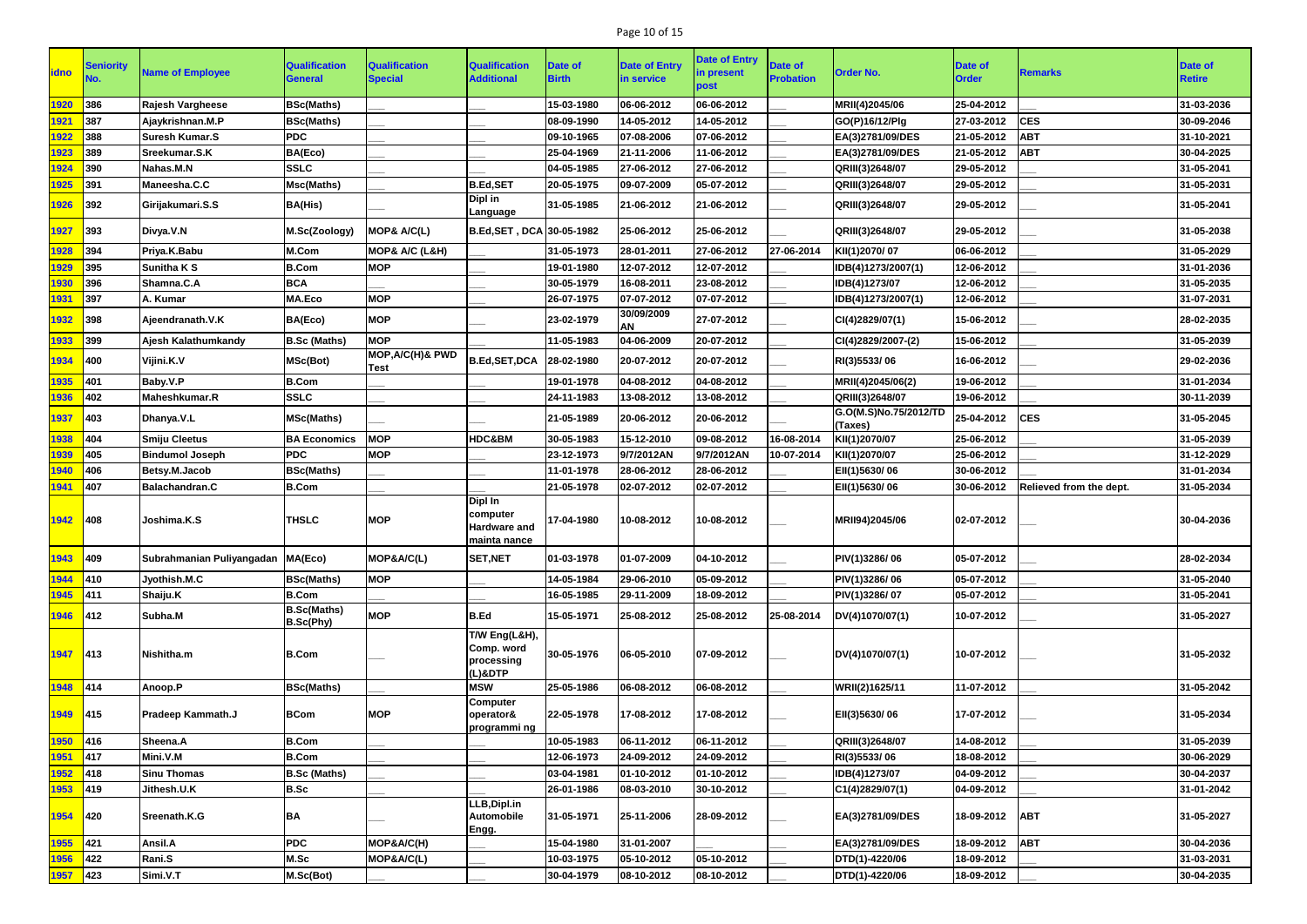# Page 10 of 15

| <b>idno</b> | <b>Seniority</b> | <b>Name of Employee</b>             | <b>Qualification</b><br><b>General</b> | <b>Qualification</b><br><b>Special</b> | <b>Qualification</b><br><b>Additional</b>                         | Date of<br><b>Birth</b> | <b>Date of Entry</b><br>in service | <b>Date of Entry</b><br>in present<br>post | <b>Date of</b><br><b>Probation</b> | <b>Order No.</b>                 | <b>Date of</b><br><b>Order</b> | <b>Remarks</b>          | Date of<br><b>Retire</b> |
|-------------|------------------|-------------------------------------|----------------------------------------|----------------------------------------|-------------------------------------------------------------------|-------------------------|------------------------------------|--------------------------------------------|------------------------------------|----------------------------------|--------------------------------|-------------------------|--------------------------|
| 1920        | 386              | <b>Rajesh Vargheese</b>             | <b>BSc(Maths)</b>                      |                                        |                                                                   | 15-03-1980              | 06-06-2012                         | 06-06-2012                                 |                                    | MRII(4)2045/06                   | 25-04-2012                     |                         | 31-03-2036               |
| 1921        | 387              | Ajaykrishnan.M.P                    | <b>BSc(Maths)</b>                      |                                        |                                                                   | 08-09-1990              | 14-05-2012                         | 14-05-2012                                 |                                    | GO(P)16/12/Plg                   | 27-03-2012                     | <b>CES</b>              | 30-09-2046               |
| 1922        | 388              | <b>Suresh Kumar.S</b>               | <b>PDC</b>                             |                                        |                                                                   | 09-10-1965              | 07-08-2006                         | 07-06-2012                                 |                                    | EA(3)2781/09/DES                 | 21-05-2012                     | <b>ABT</b>              | 31-10-2021               |
| 1923        | 389              | Sreekumar.S.K                       | BA(Eco)                                |                                        |                                                                   | 25-04-1969              | 21-11-2006                         | 11-06-2012                                 |                                    | EA(3)2781/09/DES                 | 21-05-2012                     | <b>ABT</b>              | 30-04-2025               |
| 1924        | 390              | Nahas.M.N                           | <b>SSLC</b>                            |                                        |                                                                   | 04-05-1985              | 27-06-2012                         | 27-06-2012                                 |                                    | QRIII(3)2648/07                  | 29-05-2012                     |                         | 31-05-2041               |
| 1925        | 391              | Maneesha.C.C                        | <b>Msc(Maths)</b>                      |                                        | <b>B.Ed,SET</b>                                                   | 20-05-1975              | 09-07-2009                         | 05-07-2012                                 |                                    | QRIII(3)2648/07                  | 29-05-2012                     |                         | 31-05-2031               |
| 1926        | 392              | Girijakumari.S.S                    | <b>BA(His)</b>                         |                                        | Dipl in<br>Language                                               | 31-05-1985              | 21-06-2012                         | 21-06-2012                                 |                                    | QRIII(3)2648/07                  | 29-05-2012                     |                         | 31-05-2041               |
| 1927        | 393              | Divya.V.N                           | M.Sc(Zoology)                          | MOP& A/C(L)                            | B.Ed, SET, DCA 30-05-1982                                         |                         | 25-06-2012                         | 25-06-2012                                 |                                    | QRIII(3)2648/07                  | 29-05-2012                     |                         | 31-05-2038               |
| 1928        | 394              | Priya.K.Babu                        | M.Com                                  | <b>MOP&amp; A/C (L&amp;H)</b>          |                                                                   | 31-05-1973              | 28-01-2011                         | 27-06-2012                                 | 27-06-2014                         | KII(1)2070/07                    | 06-06-2012                     |                         | 31-05-2029               |
| 1929        | 395              | <b>Sunitha K S</b>                  | <b>B.Com</b>                           | <b>MOP</b>                             |                                                                   | 19-01-1980              | 12-07-2012                         | 12-07-2012                                 |                                    | IDB(4)1273/2007(1)               | 12-06-2012                     |                         | 31-01-2036               |
| 1930        | 396              | Shamna.C.A                          | <b>BCA</b>                             |                                        |                                                                   | 30-05-1979              | 16-08-2011                         | 23-08-2012                                 |                                    | IDB(4)1273/07                    | 12-06-2012                     |                         | 31-05-2035               |
| 1931        | 397              | A. Kumar                            | <b>MA.Eco</b>                          | <b>MOP</b>                             |                                                                   | 26-07-1975              | 07-07-2012                         | 07-07-2012                                 |                                    | IDB(4)1273/2007(1)               | 12-06-2012                     |                         | 31-07-2031               |
| 1932        | 398              | Ajeendranath.V.K                    | BA(Eco)                                | <b>MOP</b>                             |                                                                   | 23-02-1979              | 30/09/2009<br>AN                   | 27-07-2012                                 |                                    | CI(4)2829/07(1)                  | 15-06-2012                     |                         | 28-02-2035               |
| 1933        | 399              | Aiesh Kalathumkandv                 | <b>B.Sc (Maths)</b>                    | <b>MOP</b>                             |                                                                   | 11-05-1983              | 04-06-2009                         | 20-07-2012                                 |                                    | CI(4)2829/2007-(2)               | 15-06-2012                     |                         | 31-05-2039               |
| 1934        | 400              | Vijini.K.V                          | MSc(Bot)                               | <b>MOP, A/C(H)&amp; PWD</b><br>Test    | B.Ed, SET, DCA                                                    | 28-02-1980              | 20-07-2012                         | 20-07-2012                                 |                                    | RI(3)5533/06                     | 16-06-2012                     |                         | 29-02-2036               |
| 1935        | 401              | Baby.V.P                            | <b>B.Com</b>                           |                                        |                                                                   | 19-01-1978              | 04-08-2012                         | 04-08-2012                                 |                                    | MRII(4)2045/06(2)                | 19-06-2012                     |                         | 31-01-2034               |
| 1936        | 402              | Maheshkumar.R                       | <b>SSLC</b>                            |                                        |                                                                   | 24-11-1983              | 13-08-2012                         | 13-08-2012                                 |                                    | QRIII(3)2648/07                  | 19-06-2012                     |                         | 30-11-2039               |
| 1937        | 403              | Dhanya.V.L                          | <b>MSc(Maths)</b>                      |                                        |                                                                   | 21-05-1989              | 20-06-2012                         | 20-06-2012                                 |                                    | G.O(M.S)No.75/2012/TD<br>(Taxes) | 25-04-2012                     | <b>CES</b>              | 31-05-2045               |
| 1938        | 404              | <b>Smiju Cleetus</b>                | <b>BA Economics</b>                    | <b>MOP</b>                             | HDC&BM                                                            | 30-05-1983              | 15-12-2010                         | 09-08-2012                                 | 16-08-2014                         | KII(1)2070/07                    | 25-06-2012                     |                         | 31-05-2039               |
| 1939        | 405              | <b>Bindumol Joseph</b>              | <b>PDC</b>                             | <b>MOP</b>                             |                                                                   | 23-12-1973              | 9/7/2012AN                         | 9/7/2012AN                                 | 10-07-2014                         | KII(1)2070/07                    | 25-06-2012                     |                         | 31-12-2029               |
| 1940        | 406              | Betsy.M.Jacob                       | <b>BSc(Maths)</b>                      |                                        |                                                                   | 11-01-1978              | 28-06-2012                         | 28-06-2012                                 |                                    | EII(1)5630/06                    | 30-06-2012                     |                         | 31-01-2034               |
| 1941        | 407              | <b>Balachandran.C</b>               | <b>B.Com</b>                           |                                        |                                                                   | 21-05-1978              | 02-07-2012                         | 02-07-2012                                 |                                    | EII(1)5630/06                    | 30-06-2012                     | Relieved from the dept. | 31-05-2034               |
| 1942        | <b>1408</b>      | Joshima, K.S                        | <b>THSLC</b>                           | <b>MOP</b>                             | <b>Dipl In</b><br>computer<br><b>Hardware and</b><br>mainta nance | 17-04-1980              | 10-08-2012                         | 10-08-2012                                 |                                    | MRII94)2045/06                   | 02-07-2012                     |                         | 30-04-2036               |
| 1943        | <b>409</b>       | Subrahmanian Puliyangadan   MA(Eco) |                                        | MOP&A/C(L)                             | <b>SET, NET</b>                                                   | 01-03-1978              | 01-07-2009                         | 04-10-2012                                 |                                    | PIV(1)3286/06                    | 05-07-2012                     |                         | 28-02-2034               |
| 1944        | 410              | Jyothish.M.C                        | <b>BSc(Maths)</b>                      | <b>MOP</b>                             |                                                                   | 14-05-1984              | 29-06-2010                         | 05-09-2012                                 |                                    | PIV(1)3286/06                    | 05-07-2012                     |                         | 31-05-2040               |
| 1945        | 411              | Shaiju.K                            | <b>B.Com</b>                           |                                        |                                                                   | 16-05-1985              | 29-11-2009                         | 18-09-2012                                 |                                    | PIV(1)3286/07                    | 05-07-2012                     |                         | 31-05-2041               |
| 1946        | $ 412\rangle$    | Subha.M                             | <b>B.Sc(Maths)</b>                     | <b>MOP</b>                             | <b>B.Ed</b>                                                       | 15-05-1971              | 25-08-2012                         | 25-08-2012                                 | 25-08-2014                         | DV(4)1070/07(1)                  | 10-07-2012                     |                         | 31-05-2027               |
| 1947        | $ 413\rangle$    | Nishitha.m                          | B.Sc(Phy)<br><b>B.Com</b>              |                                        | T/W Eng(L&H),<br>Comp. word<br>processing<br>(L)&DTP              | 30-05-1976              | 06-05-2010                         | 07-09-2012                                 |                                    | DV(4)1070/07(1)                  | 10-07-2012                     |                         | 31-05-2032               |
| 1948        | 414              | Anoop.P                             | <b>BSc(Maths)</b>                      |                                        | <b>MSW</b>                                                        | 25-05-1986              | 06-08-2012                         | 06-08-2012                                 |                                    | WRII(2)1625/11                   | 11-07-2012                     |                         | 31-05-2042               |
| 1949        | $ 415\rangle$    | Pradeep Kammath.J                   | <b>BCom</b>                            | <b>MOP</b>                             | <b>Computer</b><br>operator&<br>programmi ng                      | 22-05-1978              | 17-08-2012                         | 17-08-2012                                 |                                    | EII(3)5630/06                    | 17-07-2012                     |                         | 31-05-2034               |
| 1950        | 416              | Sheena.A                            | <b>B.Com</b>                           |                                        |                                                                   | 10-05-1983              | 06-11-2012                         | 06-11-2012                                 |                                    | QRIII(3)2648/07                  | 14-08-2012                     |                         | 31-05-2039               |
| 1951        | 417              | Mini.V.M                            | <b>B.Com</b>                           |                                        |                                                                   | 12-06-1973              | 24-09-2012                         | 24-09-2012                                 |                                    | RI(3)5533/06                     | 18-08-2012                     |                         | 30-06-2029               |
| 1952        | 418              | <b>Sinu Thomas</b>                  | <b>B.Sc (Maths)</b>                    |                                        |                                                                   | 03-04-1981              | 01-10-2012                         | 01-10-2012                                 |                                    | IDB(4)1273/07                    | 04-09-2012                     |                         | 30-04-2037               |
| 1953        | 419              | Jithesh.U.K                         | <b>B.Sc</b>                            |                                        |                                                                   | 26-01-1986              | 08-03-2010                         | 30-10-2012                                 |                                    | C1(4)2829/07(1)                  | 04-09-2012                     |                         | 31-01-2042               |
| 1954        | 420              | Sreenath.K.G                        | <b>BA</b>                              |                                        | LLB, Dipl.in<br><b>Automobile</b><br>Engg.                        | 31-05-1971              | 25-11-2006                         | 28-09-2012                                 |                                    | EA(3)2781/09/DES                 | 18-09-2012                     | <b>ABT</b>              | 31-05-2027               |
| 1955        | 421              | Ansil.A                             | <b>PDC</b>                             | MOP&A/C(H)                             |                                                                   | 15-04-1980              | 31-01-2007                         |                                            |                                    | EA(3)2781/09/DES                 | 18-09-2012                     | <b>ABT</b>              | 30-04-2036               |
| 1956        | 422              | Rani.S                              | M.Sc                                   | MOP&A/C(L)                             |                                                                   | 10-03-1975              | 05-10-2012                         | 05-10-2012                                 |                                    | DTD(1)-4220/06                   | 18-09-2012                     |                         | 31-03-2031               |
| 1957        | 423              | Simi.V.T                            | M.Sc(Bot)                              |                                        |                                                                   | 30-04-1979              | 08-10-2012                         | 08-10-2012                                 |                                    | DTD(1)-4220/06                   | 18-09-2012                     |                         | 30-04-2035               |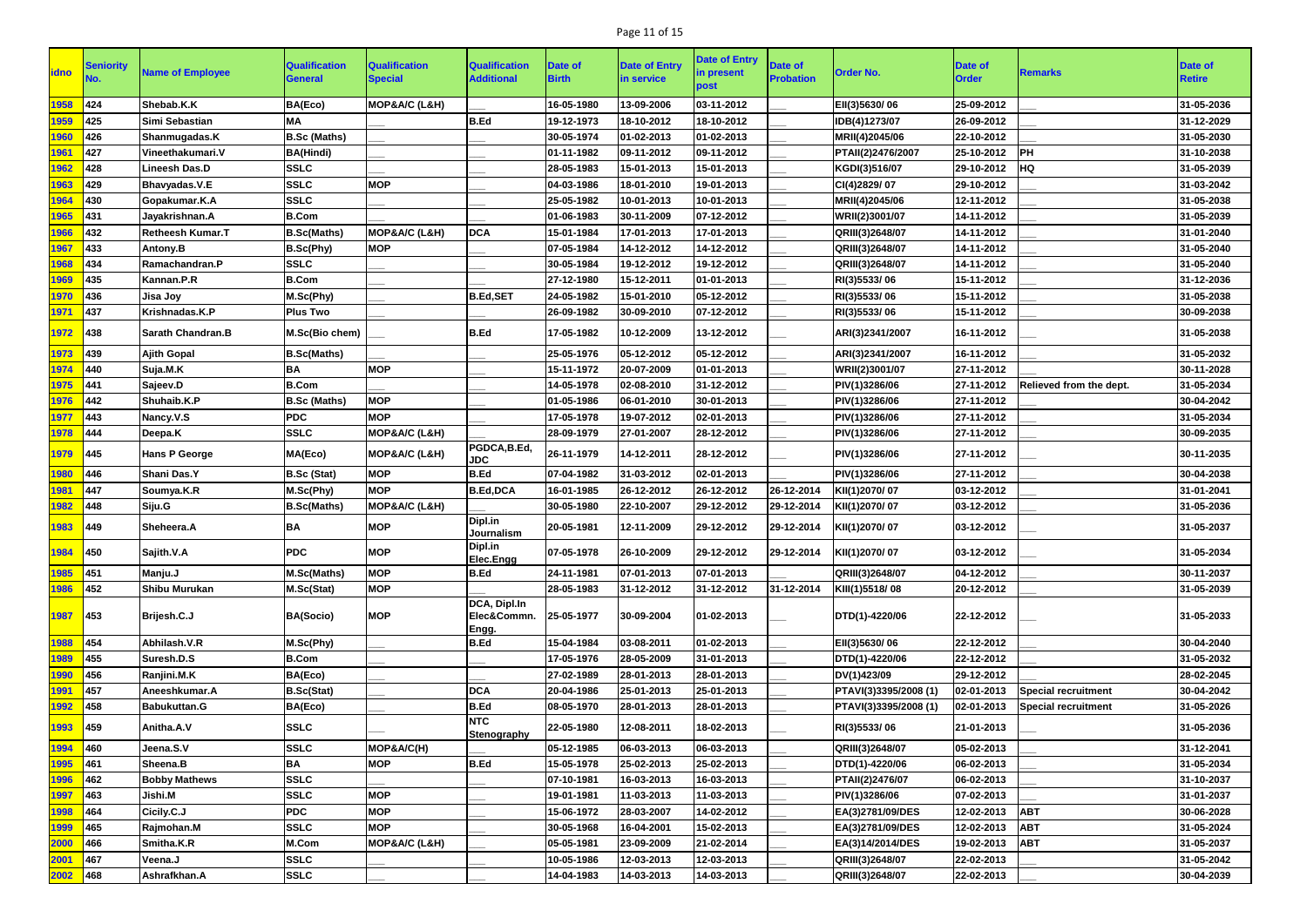## Page 11 of 15

|               | Seniority     |                          | <b>Qualification</b> | <b>Qualification</b> | <b>Qualification</b>                 | Date of      | <b>Date of Entry</b> | <b>Date of Entry</b> | <b>Date of</b>   |                       | <b>Date of</b> |                            | <b>Date of</b> |
|---------------|---------------|--------------------------|----------------------|----------------------|--------------------------------------|--------------|----------------------|----------------------|------------------|-----------------------|----------------|----------------------------|----------------|
| <b>idno</b>   |               | <b>Name of Employee</b>  | <b>General</b>       | <b>Special</b>       | <b>Additional</b>                    | <b>Birth</b> | in service           | in present<br>post   | <b>Probation</b> | <b>Order No.</b>      | <b>Order</b>   | <b>Remarks</b>             | <b>Retire</b>  |
| 1958          | 424           | Shebab.K.K               | BA(Eco)              | MOP&A/C (L&H)        |                                      | 16-05-1980   | 13-09-2006           | 03-11-2012           |                  | EII(3)5630/06         | 25-09-2012     |                            | 31-05-2036     |
| 1959          | 425           | Simi Sebastian           | <b>MA</b>            |                      | <b>B.Ed</b>                          | 19-12-1973   | 18-10-2012           | 18-10-2012           |                  | IDB(4)1273/07         | 26-09-2012     |                            | 31-12-2029     |
| 1960          | 426           | Shanmugadas.K            | <b>B.Sc (Maths)</b>  |                      |                                      | 30-05-1974   | 01-02-2013           | 01-02-2013           |                  | MRII(4)2045/06        | 22-10-2012     |                            | 31-05-2030     |
| 1961          | 427           | Vineethakumari.V         | <b>BA(Hindi)</b>     |                      |                                      | 01-11-1982   | 09-11-2012           | 09-11-2012           |                  | PTAII(2)2476/2007     | 25-10-2012     | <b>PH</b>                  | 31-10-2038     |
| 1962          | 428           | <b>Lineesh Das.D</b>     | <b>SSLC</b>          |                      |                                      | 28-05-1983   | 15-01-2013           | 15-01-2013           |                  | KGDI(3)516/07         | 29-10-2012     | <b>HQ</b>                  | 31-05-2039     |
| 1963          | 429           | Bhavyadas.V.E            | <b>SSLC</b>          | <b>MOP</b>           |                                      | 04-03-1986   | 18-01-2010           | 19-01-2013           |                  | CI(4)2829/07          | 29-10-2012     |                            | 31-03-2042     |
| 1964          | 430           | Gopakumar.K.A            | <b>SSLC</b>          |                      |                                      | 25-05-1982   | 10-01-2013           | 10-01-2013           |                  | MRII(4)2045/06        | 12-11-2012     |                            | 31-05-2038     |
| 965           | 431           | Jayakrishnan.A           | <b>B.Com</b>         |                      |                                      | 01-06-1983   | 30-11-2009           | 07-12-2012           |                  | WRII(2)3001/07        | 14-11-2012     |                            | 31-05-2039     |
| 1966          | 432           | <b>Retheesh Kumar.T</b>  | <b>B.Sc(Maths)</b>   | MOP&A/C (L&H)        | <b>DCA</b>                           | 15-01-1984   | 17-01-2013           | 17-01-2013           |                  | QRIII(3)2648/07       | 14-11-2012     |                            | 31-01-2040     |
| 1967          | 433           | Antony.B                 | <b>B.Sc(Phy)</b>     | <b>MOP</b>           |                                      | 07-05-1984   | 14-12-2012           | 14-12-2012           |                  | QRIII(3)2648/07       | 14-11-2012     |                            | 31-05-2040     |
| 968           | 434           | Ramachandran.P           | <b>SSLC</b>          |                      |                                      | 30-05-1984   | 19-12-2012           | 19-12-2012           |                  | QRIII(3)2648/07       | 14-11-2012     |                            | 31-05-2040     |
| 1969          | 435           | Kannan.P.R               | <b>B.Com</b>         |                      |                                      | 27-12-1980   | 15-12-2011           | 01-01-2013           |                  | RI(3)5533/06          | 15-11-2012     |                            | 31-12-2036     |
| 1970          | 436           | Jisa Joy                 | M.Sc(Phy)            |                      | <b>B.Ed,SET</b>                      | 24-05-1982   | 15-01-2010           | 05-12-2012           |                  | RI(3)5533/06          | 15-11-2012     |                            | 31-05-2038     |
| 1971          | 437           | Krishnadas.K.P           | <b>Plus Two</b>      |                      |                                      | 26-09-1982   | 30-09-2010           | 07-12-2012           |                  | RI(3)5533/06          | 15-11-2012     |                            | 30-09-2038     |
| 1972          | 438           | <b>Sarath Chandran.B</b> | M.Sc(Bio chem)       |                      | <b>B.Ed</b>                          | 17-05-1982   | 10-12-2009           | 13-12-2012           |                  | ARI(3)2341/2007       | 16-11-2012     |                            | 31-05-2038     |
| 1973          | 439           | <b>Ajith Gopal</b>       | <b>B.Sc(Maths)</b>   |                      |                                      | 25-05-1976   | 05-12-2012           | 05-12-2012           |                  | ARI(3)2341/2007       | 16-11-2012     |                            | 31-05-2032     |
| 1974          | <b>440</b>    | Suja.M.K                 | BA                   | <b>MOP</b>           |                                      | 15-11-1972   | 20-07-2009           | 01-01-2013           |                  | WRII(2)3001/07        | 27-11-2012     |                            | 30-11-2028     |
| 1975          | $\vert$ 441   | Sajeev.D                 | <b>B.Com</b>         |                      |                                      | 14-05-1978   | 02-08-2010           | 31-12-2012           |                  | PIV(1)3286/06         | 27-11-2012     | Relieved from the dept.    | 31-05-2034     |
| 1976          | $ 442\rangle$ | Shuhaib.K.P              | <b>B.Sc (Maths)</b>  | <b>MOP</b>           |                                      | 01-05-1986   | 06-01-2010           | 30-01-2013           |                  | PIV(1)3286/06         | 27-11-2012     |                            | 30-04-2042     |
| 1977          | 443           | Nancy.V.S                | <b>PDC</b>           | <b>MOP</b>           |                                      | 17-05-1978   | 19-07-2012           | 02-01-2013           |                  | PIV(1)3286/06         | 27-11-2012     |                            | 31-05-2034     |
| 1978          | 444           | Deepa.K                  | <b>SSLC</b>          | MOP&A/C (L&H)        |                                      | 28-09-1979   | 27-01-2007           | 28-12-2012           |                  | PIV(1)3286/06         | 27-11-2012     |                            | 30-09-2035     |
| 1979          | 445           | <b>Hans P George</b>     | MA(Eco)              | MOP&A/C (L&H)        | PGDCA,B.Ed,<br><b>JDC</b>            | 26-11-1979   | 14-12-2011           | 28-12-2012           |                  | PIV(1)3286/06         | 27-11-2012     |                            | 30-11-2035     |
| 1980          | 446           | Shani Das.Y              | <b>B.Sc (Stat)</b>   | <b>MOP</b>           | <b>B.Ed</b>                          | 07-04-1982   | 31-03-2012           | 02-01-2013           |                  | PIV(1)3286/06         | 27-11-2012     |                            | 30-04-2038     |
| 1981          | $\vert$ 447   | Soumya.K.R               | M.Sc(Phy)            | <b>MOP</b>           | <b>B.Ed,DCA</b>                      | 16-01-1985   | 26-12-2012           | 26-12-2012           | 26-12-2014       | KII(1)2070/07         | 03-12-2012     |                            | 31-01-2041     |
| 1982          | 448           | Siju.G                   | <b>B.Sc(Maths)</b>   | MOP&A/C (L&H)        |                                      | 30-05-1980   | 22-10-2007           | 29-12-2012           | 29-12-2014       | KII(1)2070/07         | 03-12-2012     |                            | 31-05-2036     |
| 1983          | $ 449\rangle$ | Sheheera.A               | ΒA                   | <b>MOP</b>           | Dipl.in<br>Journalism                | 20-05-1981   | 12-11-2009           | 29-12-2012           | 29-12-2014       | KII(1)2070/07         | 03-12-2012     |                            | 31-05-2037     |
| 1984          | 450           | Sajith.V.A               | <b>PDC</b>           | <b>MOP</b>           | Dipl.in<br>Elec.Engg                 | 07-05-1978   | 26-10-2009           | 29-12-2012           | 29-12-2014       | KII(1)2070/07         | 03-12-2012     |                            | 31-05-2034     |
| 1985          | 451           | Manju.J                  | M.Sc(Maths)          | <b>MOP</b>           | <b>B.Ed</b>                          | 24-11-1981   | 07-01-2013           | 07-01-2013           |                  | QRIII(3)2648/07       | 04-12-2012     |                            | 30-11-2037     |
| 1986          | 452           | Shibu Murukan            | M.Sc(Stat)           | <b>MOP</b>           |                                      | 28-05-1983   | 31-12-2012           | 31-12-2012           | 31-12-2014       | KIII(1)5518/08        | 20-12-2012     |                            | 31-05-2039     |
| 1987          | 453           | Brijesh.C.J              | <b>BA(Socio)</b>     | <b>MOP</b>           | DCA, Dipl.In<br>Elec&Commn.<br>Engg. | 25-05-1977   | 30-09-2004           | 01-02-2013           |                  | DTD(1)-4220/06        | 22-12-2012     |                            | 31-05-2033     |
| 1988          | 454           | Abhilash.V.R             | M.Sc(Phy)            |                      | <b>B.Ed</b>                          | 15-04-1984   | 03-08-2011           | 01-02-2013           |                  | EII(3)5630/06         | 22-12-2012     |                            | 30-04-2040     |
| 1989          | 455           | Suresh.D.S               | <b>B.Com</b>         |                      |                                      | 17-05-1976   | 28-05-2009           | 31-01-2013           |                  | DTD(1)-4220/06        | 22-12-2012     |                            | 31-05-2032     |
| 1990          | 456           | Ranjini.M.K              | BA(Eco)              |                      |                                      | 27-02-1989   | 28-01-2013           | 28-01-2013           |                  | DV(1)423/09           | 29-12-2012     |                            | 28-02-2045     |
| 1991          | 457           | Aneeshkumar.A            | <b>B.Sc(Stat)</b>    |                      | <b>DCA</b>                           | 20-04-1986   | 25-01-2013           | 25-01-2013           |                  | PTAVI(3)3395/2008 (1) | 02-01-2013     | <b>Special recruitment</b> | 30-04-2042     |
| <u> 1992 </u> | 458           | <b>Babukuttan.G</b>      | BA(Eco)              |                      | <b>B.Ed</b>                          | 08-05-1970   | 28-01-2013           | 28-01-2013           |                  | PTAVI(3)3395/2008 (1) | 02-01-2013     | <b>Special recruitment</b> | 31-05-2026     |
| 1993          | $ 459\rangle$ | Anitha.A.V               | <b>SSLC</b>          |                      | <b>NTC</b><br><b>Stenography</b>     | 22-05-1980   | 12-08-2011           | 18-02-2013           |                  | RI(3)5533/06          | 21-01-2013     |                            | 31-05-2036     |
| 1994          | 460           | Jeena.S.V                | <b>SSLC</b>          | MOP&A/C(H)           |                                      | 05-12-1985   | 06-03-2013           | 06-03-2013           |                  | QRIII(3)2648/07       | 05-02-2013     |                            | 31-12-2041     |
| 1995          | 461           | Sheena.B                 | <b>BA</b>            | <b>MOP</b>           | <b>B.Ed</b>                          | 15-05-1978   | 25-02-2013           | 25-02-2013           |                  | DTD(1)-4220/06        | 06-02-2013     |                            | 31-05-2034     |
| 1996          | 462           | <b>Bobby Mathews</b>     | <b>SSLC</b>          |                      |                                      | 07-10-1981   | 16-03-2013           | 16-03-2013           |                  | PTAII(2)2476/07       | 06-02-2013     |                            | 31-10-2037     |
| 1997          | 463           | Jishi.M                  | <b>SSLC</b>          | <b>MOP</b>           |                                      | 19-01-1981   | 11-03-2013           | 11-03-2013           |                  | PIV(1)3286/06         | 07-02-2013     |                            | 31-01-2037     |
| 1998          | 464           | Cicily.C.J               | <b>PDC</b>           | <b>MOP</b>           |                                      | 15-06-1972   | 28-03-2007           | 14-02-2012           |                  | EA(3)2781/09/DES      | 12-02-2013     | <b>ABT</b>                 | 30-06-2028     |
| 1999          | 465           | Rajmohan.M               | <b>SSLC</b>          | <b>MOP</b>           |                                      | 30-05-1968   | 16-04-2001           | 15-02-2013           |                  | EA(3)2781/09/DES      | 12-02-2013     | <b>ABT</b>                 | 31-05-2024     |
| 2000          | <b>466</b>    | Smitha.K.R               | M.Com                | MOP&A/C (L&H)        |                                      | 05-05-1981   | 23-09-2009           | 21-02-2014           |                  | EA(3)14/2014/DES      | 19-02-2013     | <b>ABT</b>                 | 31-05-2037     |
| 2001          | 467           | Veena.J                  | <b>SSLC</b>          |                      |                                      | 10-05-1986   | 12-03-2013           | 12-03-2013           |                  | QRIII(3)2648/07       | 22-02-2013     |                            | 31-05-2042     |
| $2002$ 468    |               | Ashrafkhan.A             | <b>SSLC</b>          |                      |                                      | 14-04-1983   | 14-03-2013           | 14-03-2013           |                  | QRIII(3)2648/07       | 22-02-2013     |                            | 30-04-2039     |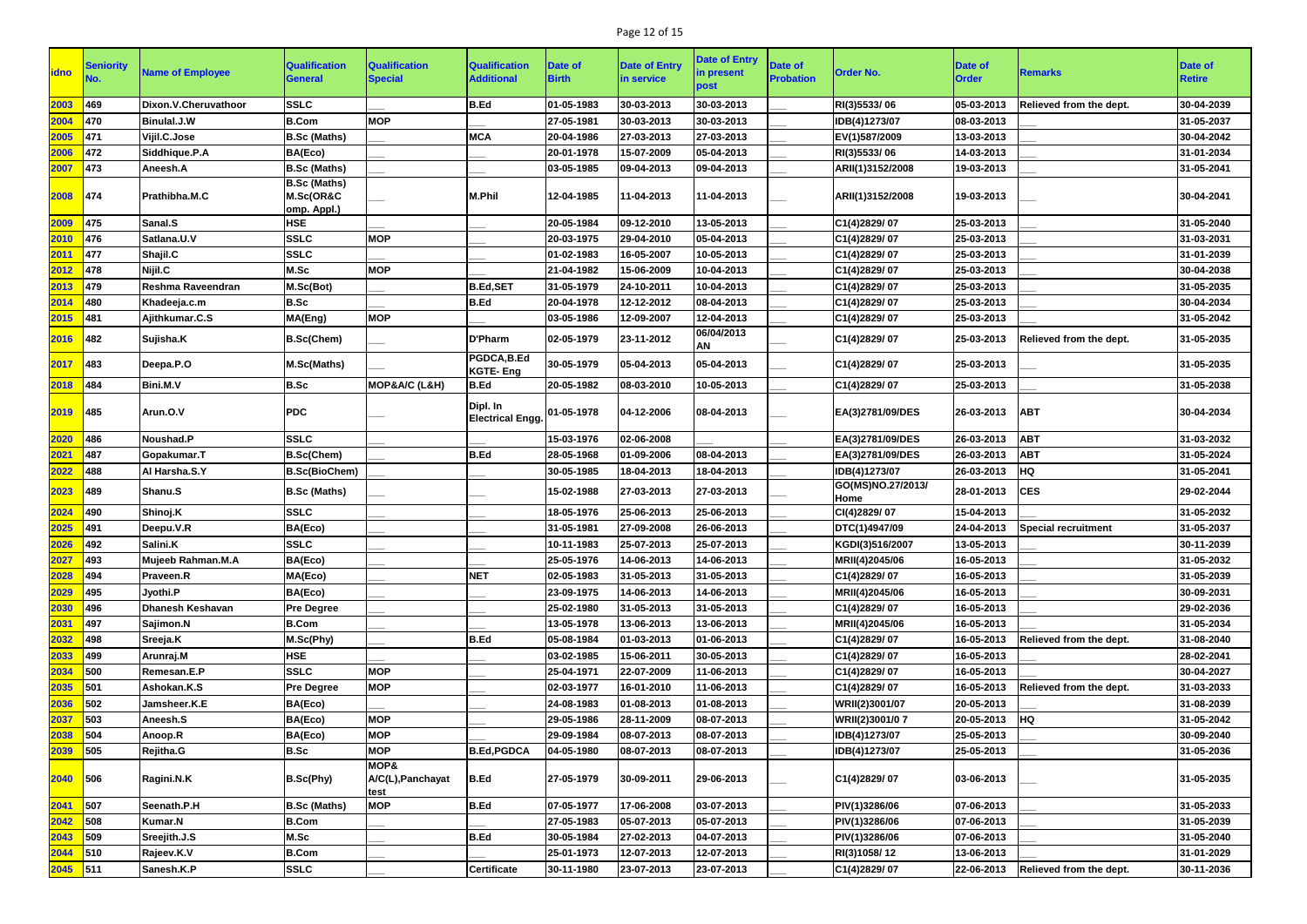## Page 12 of 15

| <b>idno</b> | <b>Seniority</b> | <b>Name of Employee</b> | <b>Qualification</b><br><b>General</b> | <b>Qualification</b><br><b>Special</b>       | <b>Qualification</b><br><b>Additional</b> | Date of<br><b>Birth</b> | <b>Date of Entry</b><br>in service | <b>Date of Entry</b><br>in present<br>post | <b>Date of</b><br><b>Probation</b> | <b>Order No.</b>          | <b>Date of</b><br><b>Order</b> | <b>Remarks</b>             | <b>Date of</b><br><b>Retire</b> |
|-------------|------------------|-------------------------|----------------------------------------|----------------------------------------------|-------------------------------------------|-------------------------|------------------------------------|--------------------------------------------|------------------------------------|---------------------------|--------------------------------|----------------------------|---------------------------------|
| 2003        | 469              | Dixon.V.Cheruvathoor    | <b>SSLC</b>                            |                                              | <b>B.Ed</b>                               | 01-05-1983              | 30-03-2013                         | 30-03-2013                                 |                                    | RI(3)5533/06              | 05-03-2013                     | Relieved from the dept.    | 30-04-2039                      |
| 2004        | 470              | <b>Binulal.J.W</b>      | <b>B.Com</b>                           | <b>MOP</b>                                   |                                           | 27-05-1981              | 30-03-2013                         | 30-03-2013                                 |                                    | IDB(4)1273/07             | 08-03-2013                     |                            | 31-05-2037                      |
| 2005        | 471              | Vijil.C.Jose            | <b>B.Sc (Maths)</b>                    |                                              | <b>MCA</b>                                | 20-04-1986              | 27-03-2013                         | 27-03-2013                                 |                                    | EV(1)587/2009             | 13-03-2013                     |                            | 30-04-2042                      |
| 2006        | 472              | Siddhique.P.A           | BA(Eco)                                |                                              |                                           | 20-01-1978              | 15-07-2009                         | 05-04-2013                                 |                                    | RI(3)5533/06              | 14-03-2013                     |                            | 31-01-2034                      |
| 2007        | 473              | Aneesh.A                | <b>B.Sc (Maths)</b>                    |                                              |                                           | 03-05-1985              | 09-04-2013                         | 09-04-2013                                 |                                    | ARII(1)3152/2008          | 19-03-2013                     |                            | 31-05-2041                      |
|             |                  |                         | <b>B.Sc (Maths)</b>                    |                                              |                                           |                         |                                    |                                            |                                    |                           |                                |                            |                                 |
| 2008        | 474              | Prathibha.M.C           | M.Sc(OR&C<br>omp. Appl.)               |                                              | <b>M.Phil</b>                             | 12-04-1985              | 11-04-2013                         | 11-04-2013                                 |                                    | ARII(1)3152/2008          | 19-03-2013                     |                            | 30-04-2041                      |
| 2009        | 475              | Sanal.S                 | <b>HSE</b>                             |                                              |                                           | 20-05-1984              | 09-12-2010                         | 13-05-2013                                 |                                    | C1(4)2829/07              | 25-03-2013                     |                            | 31-05-2040                      |
| 2010        | 476              | Satlana.U.V             | <b>SSLC</b>                            | <b>MOP</b>                                   |                                           | 20-03-1975              | 29-04-2010                         | 05-04-2013                                 |                                    | C1(4)2829/07              | 25-03-2013                     |                            | 31-03-2031                      |
| 2011        | $\vert$ 477      | Shajil.C                | <b>SSLC</b>                            |                                              |                                           | 01-02-1983              | 16-05-2007                         | 10-05-2013                                 |                                    | C1(4)2829/07              | 25-03-2013                     |                            | 31-01-2039                      |
| 2012        | 478              | Nijil.C                 | M.Sc                                   | <b>MOP</b>                                   |                                           | 21-04-1982              | 15-06-2009                         | 10-04-2013                                 |                                    | C1(4)2829/07              | 25-03-2013                     |                            | 30-04-2038                      |
| 2013        | 479              | Reshma Raveendran       | M.Sc(Bot)                              |                                              | <b>B.Ed,SET</b>                           | 31-05-1979              | 24-10-2011                         | 10-04-2013                                 |                                    | C1(4)2829/07              | 25-03-2013                     |                            | 31-05-2035                      |
| 2014        | 480              | Khadeeja.c.m            | <b>B.Sc</b>                            |                                              | <b>B.Ed</b>                               | 20-04-1978              | 12-12-2012                         | 08-04-2013                                 |                                    | C1(4)2829/07              | 25-03-2013                     |                            | 30-04-2034                      |
| 2015        | 481              | Ajithkumar.C.S          | MA(Eng)                                | <b>MOP</b>                                   |                                           | 03-05-1986              | 12-09-2007                         | 12-04-2013                                 |                                    | C1(4)2829/07              | 25-03-2013                     |                            | 31-05-2042                      |
| 2016        | 482              | Sujisha.K               | <b>B.Sc(Chem)</b>                      |                                              | <b>D'Pharm</b>                            | 02-05-1979              | 23-11-2012                         | 06/04/2013<br>AN                           |                                    | C1(4)2829/07              | 25-03-2013                     | Relieved from the dept.    | 31-05-2035                      |
| 2017        | $ 483\rangle$    | Deepa.P.O               | M.Sc(Maths)                            |                                              | PGDCA,B.Ed<br><b>KGTE-Eng</b>             | 30-05-1979              | 05-04-2013                         | 05-04-2013                                 |                                    | C1(4)2829/07              | 25-03-2013                     |                            | 31-05-2035                      |
| 2018        | $\vert$ 484      | Bini.M.V                | <b>B.Sc</b>                            | MOP&A/C (L&H)                                | <b>B.Ed</b>                               | 20-05-1982              | 08-03-2010                         | 10-05-2013                                 |                                    | C1(4)2829/07              | 25-03-2013                     |                            | 31-05-2038                      |
| 2019        | 485              | Arun.O.V                | <b>PDC</b>                             |                                              | Dipl. In<br><b>Electrical Engg.</b>       | $[01 - 05 - 1978]$      | 04-12-2006                         | 08-04-2013                                 |                                    | EA(3)2781/09/DES          | 26-03-2013                     | <b>ABT</b>                 | 30-04-2034                      |
| 2020        | 486              | Noushad.P               | <b>SSLC</b>                            |                                              |                                           | 15-03-1976              | 02-06-2008                         |                                            |                                    | EA(3)2781/09/DES          | 26-03-2013                     | <b>ABT</b>                 | 31-03-2032                      |
| 2021        | 487              | Gopakumar.T             | <b>B.Sc(Chem)</b>                      |                                              | <b>B.Ed</b>                               | 28-05-1968              | 01-09-2006                         | 08-04-2013                                 |                                    | EA(3)2781/09/DES          | 26-03-2013                     | <b>ABT</b>                 | 31-05-2024                      |
| 2022        | 488              | Al Harsha.S.Y           | <b>B.Sc(BioChem)</b>                   |                                              |                                           | 30-05-1985              | 18-04-2013                         | 18-04-2013                                 |                                    | IDB(4)1273/07             | 26-03-2013                     | HQ                         | 31-05-2041                      |
| 2023        | 489              | Shanu.S                 | <b>B.Sc (Maths)</b>                    |                                              |                                           | 15-02-1988              | 27-03-2013                         | 27-03-2013                                 |                                    | GO(MS)NO.27/2013/<br>Home | 28-01-2013                     | <b>CES</b>                 | 29-02-2044                      |
| 2024        | 490              | Shinoj.K                | <b>SSLC</b>                            |                                              |                                           | 18-05-1976              | 25-06-2013                         | 25-06-2013                                 |                                    | CI(4)2829/07              | 15-04-2013                     |                            | 31-05-2032                      |
| 2025        | 491              | Deepu.V.R               | BA(Eco)                                |                                              |                                           | 31-05-1981              | 27-09-2008                         | 26-06-2013                                 |                                    | DTC(1)4947/09             | 24-04-2013                     | <b>Special recruitment</b> | 31-05-2037                      |
| 2026        | 492              | Salini.K                | <b>SSLC</b>                            |                                              |                                           | 10-11-1983              | 25-07-2013                         | 25-07-2013                                 |                                    | KGDI(3)516/2007           | 13-05-2013                     |                            | 30-11-2039                      |
| 2027        | <b>493</b>       | Mujeeb Rahman.M.A       | BA(Eco)                                |                                              |                                           | 25-05-1976              | 14-06-2013                         | 14-06-2013                                 |                                    | MRII(4)2045/06            | 16-05-2013                     |                            | 31-05-2032                      |
| 2028        | 494              | <b>Praveen.R</b>        | MA(Eco)                                |                                              | <b>NET</b>                                | 02-05-1983              | 31-05-2013                         | 31-05-2013                                 |                                    | C1(4)2829/07              | 16-05-2013                     |                            | 31-05-2039                      |
| 2029        | 495              | Jyothi.P                | BA(Eco)                                |                                              |                                           | 23-09-1975              | 14-06-2013                         | 14-06-2013                                 |                                    | MRII(4)2045/06            | 16-05-2013                     |                            | 30-09-2031                      |
| 2030        | 496              | <b>Dhanesh Keshavan</b> | <b>Pre Degree</b>                      |                                              |                                           | 25-02-1980              | 31-05-2013                         | 31-05-2013                                 |                                    | C1(4)2829/07              | 16-05-2013                     |                            | 29-02-2036                      |
| 2031        | 497              | Sajimon.N               | <b>B.Com</b>                           |                                              |                                           | 13-05-1978              | 13-06-2013                         | 13-06-2013                                 |                                    | MRII(4)2045/06            | 16-05-2013                     |                            | 31-05-2034                      |
| 2032        | 498              | Sreeja.K                | M.Sc(Phy)                              |                                              | <b>B.Ed</b>                               | 05-08-1984              | 01-03-2013                         | 01-06-2013                                 |                                    | C1(4)2829/07              | 16-05-2013                     | Relieved from the dept.    | 31-08-2040                      |
| 2033        | 499              | Arunraj.M               | <b>HSE</b>                             |                                              |                                           | 03-02-1985              | 15-06-2011                         | 30-05-2013                                 |                                    | C1(4)2829/07              | 16-05-2013                     |                            | 28-02-2041                      |
| 2034        | 500              | Remesan.E.P             | <b>SSLC</b>                            | <b>MOP</b>                                   |                                           | 25-04-1971              | 22-07-2009                         | 11-06-2013                                 |                                    | C1(4)2829/07              | 16-05-2013                     |                            | 30-04-2027                      |
| 2035        | 501              | Ashokan.K.S             | <b>Pre Degree</b>                      | <b>MOP</b>                                   |                                           | 02-03-1977              | 16-01-2010                         | 11-06-2013                                 |                                    | C1(4)2829/07              | 16-05-2013                     | Relieved from the dept.    | 31-03-2033                      |
| 2036        | 502              | Jamsheer.K.E            | BA(Eco)                                |                                              |                                           | 24-08-1983              | 01-08-2013                         | 01-08-2013                                 |                                    | WRII(2)3001/07            | 20-05-2013                     |                            | 31-08-2039                      |
| 2037        | 503              | Aneesh.S                | BA(Eco)                                | <b>MOP</b>                                   |                                           | 29-05-1986              | 28-11-2009                         | 08-07-2013                                 |                                    | WRII(2)3001/07            | 20-05-2013                     | <b>HQ</b>                  | 31-05-2042                      |
| 2038        | 504              | Anoop.R                 | BA(Eco)                                | <b>MOP</b>                                   |                                           | 29-09-1984              | 08-07-2013                         | 08-07-2013                                 |                                    | IDB(4)1273/07             | 25-05-2013                     |                            | 30-09-2040                      |
| 2039        | 505              | <b>Rejitha.G</b>        | <b>B.Sc</b>                            | <b>MOP</b>                                   | <b>B.Ed, PGDCA</b>                        | 04-05-1980              | 08-07-2013                         | 08-07-2013                                 |                                    | IDB(4)1273/07             | 25-05-2013                     |                            | 31-05-2036                      |
| $2040$ 506  |                  | Ragini.N.K              | B.Sc(Phy)                              | <b>MOP&amp;</b><br>A/C(L), Panchayat<br>test | <b>B.Ed</b>                               | 27-05-1979              | 30-09-2011                         | 29-06-2013                                 |                                    | C1(4)2829/07              | 03-06-2013                     |                            | 31-05-2035                      |
| 2041        | $\sqrt{507}$     | Seenath.P.H             | <b>B.Sc (Maths)</b>                    | <b>MOP</b>                                   | <b>B.Ed</b>                               | 07-05-1977              | 17-06-2008                         | 03-07-2013                                 |                                    | PIV(1)3286/06             | 07-06-2013                     |                            | 31-05-2033                      |
| 2042        | $\vert$ 508      | <b>Kumar.N</b>          | <b>B.Com</b>                           |                                              |                                           | 27-05-1983              | 05-07-2013                         | 05-07-2013                                 |                                    | PIV(1)3286/06             | 07-06-2013                     |                            | 31-05-2039                      |
| 2043        | 509              | Sreejith.J.S            | M.Sc                                   |                                              | <b>B.Ed</b>                               | 30-05-1984              | 27-02-2013                         | 04-07-2013                                 |                                    | PIV(1)3286/06             | 07-06-2013                     |                            | 31-05-2040                      |
| 2044        | 510              | Rajeev.K.V              | <b>B.Com</b>                           |                                              |                                           | 25-01-1973              | 12-07-2013                         | 12-07-2013                                 |                                    | RI(3)1058/12              | 13-06-2013                     |                            | 31-01-2029                      |
| $2045$ 511  |                  | Sanesh.K.P              | <b>SSLC</b>                            |                                              | <b>Certificate</b>                        | 30-11-1980              | 23-07-2013                         | 23-07-2013                                 |                                    | C1(4)2829/07              | 22-06-2013                     | Relieved from the dept.    | 30-11-2036                      |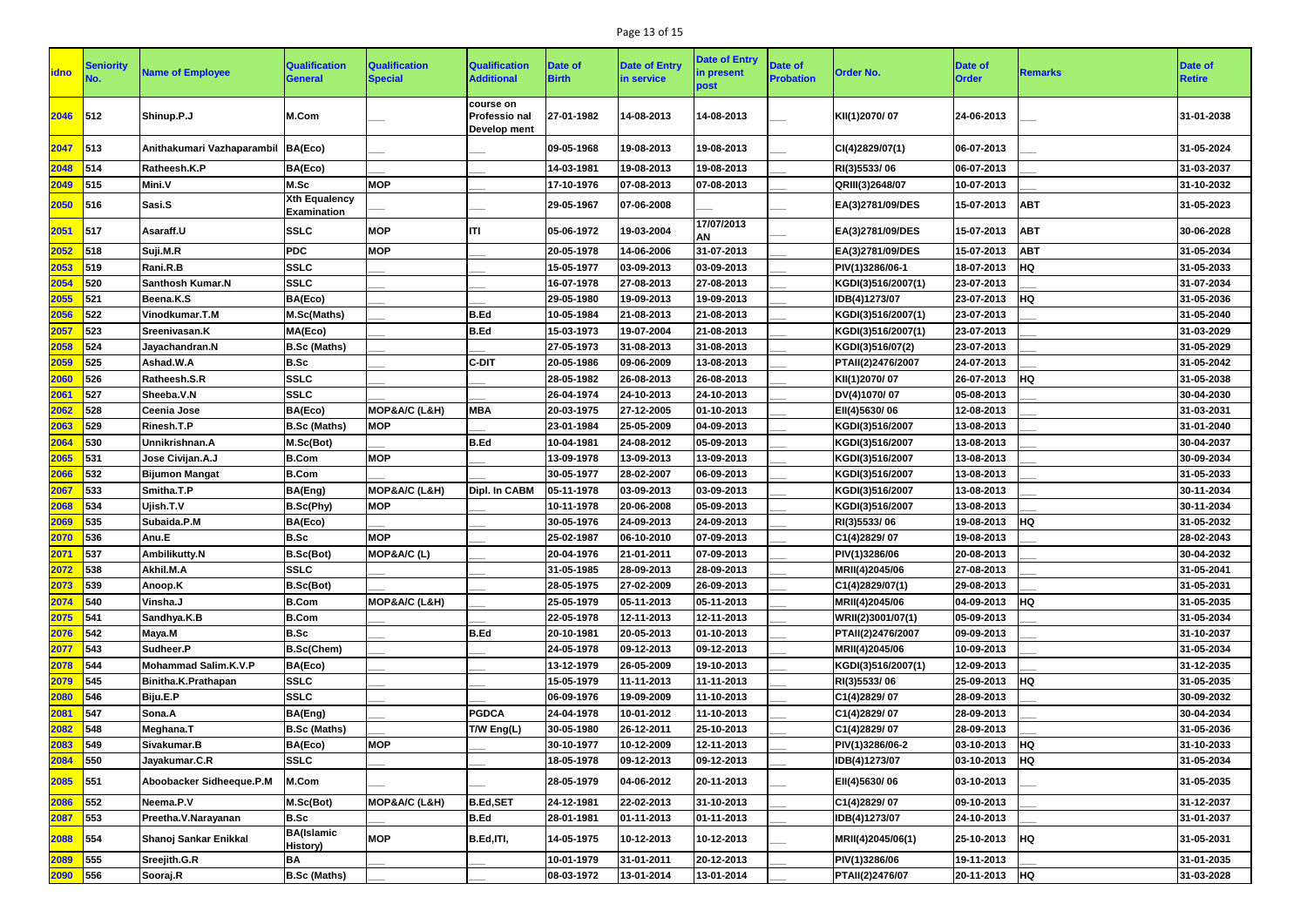## Page 13 of 15

| <b>idno</b> | Seniority       | <b>Name of Employee</b>     | <b>Qualification</b><br>General            | <b>Qualification</b><br><b>Special</b> | <b>Qualification</b><br><b>Additional</b>         | <b>Date of</b><br><b>Birth</b> | <b>Date of Entry</b><br>in service | <b>Date of Entry</b><br>in present<br>post | Date of<br><b>Probation</b> | <b>Order No.</b>   | <b>Date of</b><br><b>Order</b> | <b>Remarks</b> | Date of<br><b>Retire</b> |
|-------------|-----------------|-----------------------------|--------------------------------------------|----------------------------------------|---------------------------------------------------|--------------------------------|------------------------------------|--------------------------------------------|-----------------------------|--------------------|--------------------------------|----------------|--------------------------|
| 2046        | 512             | Shinup.P.J                  | M.Com                                      |                                        | course on<br><b>Professio nal</b><br>Develop ment | 27-01-1982                     | 14-08-2013                         | 14-08-2013                                 |                             | KII(1)2070/07      | 24-06-2013                     |                | 31-01-2038               |
| 2047        | 513             | Anithakumari Vazhaparambil  | BA(Eco)                                    |                                        |                                                   | 09-05-1968                     | 19-08-2013                         | 19-08-2013                                 |                             | CI(4)2829/07(1)    | 06-07-2013                     |                | 31-05-2024               |
| 2048        | 514             | Ratheesh.K.P                | BA(Eco)                                    |                                        |                                                   | 14-03-1981                     | 19-08-2013                         | 19-08-2013                                 |                             | RI(3)5533/06       | 06-07-2013                     |                | 31-03-2037               |
| 2049        | 515             | Mini.V                      | M.Sc                                       | <b>MOP</b>                             |                                                   | 17-10-1976                     | 07-08-2013                         | 07-08-2013                                 |                             | QRIII(3)2648/07    | 10-07-2013                     |                | 31-10-2032               |
| 2050        | 516             | Sasi.S                      | <b>Xth Equalency</b><br><b>Examination</b> |                                        |                                                   | 29-05-1967                     | 07-06-2008                         |                                            |                             | EA(3)2781/09/DES   | 15-07-2013                     | <b>ABT</b>     | 31-05-2023               |
| 2051        | 517             | Asaraff.U                   | <b>SSLC</b>                                | <b>MOP</b>                             | liti                                              | 05-06-1972                     | 19-03-2004                         | 17/07/2013<br><b>AN</b>                    |                             | EA(3)2781/09/DES   | 15-07-2013                     | <b>ABT</b>     | 30-06-2028               |
| 2052        | 518             | Suji.M.R                    | <b>PDC</b>                                 | <b>MOP</b>                             |                                                   | 20-05-1978                     | 14-06-2006                         | 31-07-2013                                 |                             | EA(3)2781/09/DES   | 15-07-2013                     | <b>ABT</b>     | 31-05-2034               |
| 2053        | 519             | Rani.R.B                    | <b>SSLC</b>                                |                                        |                                                   | 15-05-1977                     | 03-09-2013                         | 03-09-2013                                 |                             | PIV(1)3286/06-1    | 18-07-2013                     | <b>HQ</b>      | 31-05-2033               |
| 2054        | 520             | <b>Santhosh Kumar.N</b>     | <b>SSLC</b>                                |                                        |                                                   | 16-07-1978                     | 27-08-2013                         | 27-08-2013                                 |                             | KGDI(3)516/2007(1) | 23-07-2013                     |                | 31-07-2034               |
| 2055        | 521             | Beena.K.S                   | BA(Eco)                                    |                                        |                                                   | 29-05-1980                     | 19-09-2013                         | 19-09-2013                                 |                             | IDB(4)1273/07      | 23-07-2013                     | <b>HQ</b>      | 31-05-2036               |
| 2056        | 522             | Vinodkumar.T.M              | M.Sc(Maths)                                |                                        | B.Ed                                              | 10-05-1984                     | 21-08-2013                         | 21-08-2013                                 |                             | KGDI(3)516/2007(1) | 23-07-2013                     |                | 31-05-2040               |
| 2057        | 523             | Sreenivasan.K               | MA(Eco)                                    |                                        | B.Ed                                              | 15-03-1973                     | 19-07-2004                         | 21-08-2013                                 |                             | KGDI(3)516/2007(1) | 23-07-2013                     |                | 31-03-2029               |
| 2058        | 524             | Jayachandran.N              | <b>B.Sc (Maths)</b>                        |                                        |                                                   | 27-05-1973                     | 31-08-2013                         | 31-08-2013                                 |                             | KGDI(3)516/07(2)   | 23-07-2013                     |                | 31-05-2029               |
| 2059        | 525             | Ashad.W.A                   | <b>B.Sc</b>                                |                                        | <b>C-DIT</b>                                      | 20-05-1986                     | 09-06-2009                         | 13-08-2013                                 |                             | PTAII(2)2476/2007  | 24-07-2013                     |                | 31-05-2042               |
| 2060        | 526             | Ratheesh.S.R                | <b>SSLC</b>                                |                                        |                                                   | 28-05-1982                     | 26-08-2013                         | 26-08-2013                                 |                             | KII(1)2070/07      | 26-07-2013                     | <b>HQ</b>      | 31-05-2038               |
| 2061        | 527             | Sheeba.V.N                  | <b>SSLC</b>                                |                                        |                                                   | 26-04-1974                     | 24-10-2013                         | 24-10-2013                                 |                             | DV(4)1070/07       | 05-08-2013                     |                | 30-04-2030               |
| 2062        | 528             | Ceenia Jose                 | BA(Eco)                                    | MOP&A/C (L&H)                          | <b>MBA</b>                                        | 20-03-1975                     | 27-12-2005                         | 01-10-2013                                 |                             | EII(4)5630/06      | 12-08-2013                     |                | 31-03-2031               |
| 2063        | 529             | Rinesh.T.P                  | <b>B.Sc (Maths)</b>                        | <b>MOP</b>                             |                                                   | 23-01-1984                     | 25-05-2009                         | 04-09-2013                                 |                             | KGDI(3)516/2007    | 13-08-2013                     |                | 31-01-2040               |
| 2064        | 530             | Unnikrishnan.A              | M.Sc(Bot)                                  |                                        | B.Ed                                              | 10-04-1981                     | 24-08-2012                         | 05-09-2013                                 |                             | KGDI(3)516/2007    | 13-08-2013                     |                | 30-04-2037               |
| 2065        | 531             | Jose Civijan.A.J            | <b>B.Com</b>                               | <b>MOP</b>                             |                                                   | 13-09-1978                     | 13-09-2013                         | 13-09-2013                                 |                             | KGDI(3)516/2007    | 13-08-2013                     |                | 30-09-2034               |
| 2066        | 532             | <b>Bijumon Mangat</b>       | <b>B.Com</b>                               |                                        |                                                   | 30-05-1977                     | 28-02-2007                         | 06-09-2013                                 |                             | KGDI(3)516/2007    | 13-08-2013                     |                | 31-05-2033               |
| 2067        | 533             | Smitha.T.P                  | BA(Eng)                                    | MOP&A/C (L&H)                          | Dipl. In CABM                                     | 05-11-1978                     | 03-09-2013                         | 03-09-2013                                 |                             | KGDI(3)516/2007    | 13-08-2013                     |                | 30-11-2034               |
| 2068        | 534             | Ujish.T.V                   | B.Sc(Phy)                                  | <b>MOP</b>                             |                                                   | 10-11-1978                     | 20-06-2008                         | 05-09-2013                                 |                             | KGDI(3)516/2007    | 13-08-2013                     |                | 30-11-2034               |
| 2069        | 535             | Subaida.P.M                 | BA(Eco)                                    |                                        |                                                   | 30-05-1976                     | 24-09-2013                         | 24-09-2013                                 |                             | RI(3)5533/06       | 19-08-2013                     | <b>HQ</b>      | 31-05-2032               |
| 2070        | $\frac{1}{536}$ | Anu.E                       | <b>B.Sc</b>                                | <b>MOP</b>                             |                                                   | 25-02-1987                     | 06-10-2010                         | 07-09-2013                                 |                             | C1(4)2829/07       | 19-08-2013                     |                | 28-02-2043               |
| 2071        | 537             | Ambilikutty.N               | B.Sc(Bot)                                  | MOP&A/C (L)                            |                                                   | 20-04-1976                     | 21-01-2011                         | 07-09-2013                                 |                             | PIV(1)3286/06      | 20-08-2013                     |                | 30-04-2032               |
| 2072        | 538             | Akhil.M.A                   | <b>SSLC</b>                                |                                        |                                                   | 31-05-1985                     | 28-09-2013                         | 28-09-2013                                 |                             | MRII(4)2045/06     | 27-08-2013                     |                | 31-05-2041               |
| 2073        | 539             | Anoop.K                     | <b>B.Sc(Bot)</b>                           |                                        |                                                   | 28-05-1975                     | 27-02-2009                         | 26-09-2013                                 |                             | C1(4)2829/07(1)    | 29-08-2013                     |                | 31-05-2031               |
| 2074        | 540             | Vinsha.J                    | <b>B.Com</b>                               | MOP&A/C (L&H)                          |                                                   | 25-05-1979                     | 05-11-2013                         | 05-11-2013                                 |                             | MRII(4)2045/06     | 04-09-2013                     | <b>HQ</b>      | 31-05-2035               |
| 2075        | 541             | Sandhya.K.B                 | <b>B.Com</b>                               |                                        |                                                   | 22-05-1978                     | 12-11-2013                         | 12-11-2013                                 |                             | WRII(2)3001/07(1)  | 05-09-2013                     |                | 31-05-2034               |
| 2076        | 542             | Maya.M                      | <b>B.Sc</b>                                |                                        | B.Ed                                              | 20-10-1981                     | 20-05-2013                         | 01-10-2013                                 |                             | PTAII(2)2476/2007  | 09-09-2013                     |                | 31-10-2037               |
| 2077        | 543             | Sudheer.P                   | <b>B.Sc(Chem)</b>                          |                                        |                                                   | 24-05-1978                     | 09-12-2013                         | 09-12-2013                                 |                             | MRII(4)2045/06     | 10-09-2013                     |                | 31-05-2034               |
| 2078        | 544             | <b>Mohammad Salim.K.V.P</b> | BA(Eco)                                    |                                        |                                                   | 13-12-1979                     | 26-05-2009                         | 19-10-2013                                 |                             | KGDI(3)516/2007(1) | 12-09-2013                     |                | 31-12-2035               |
| 2079        | 545             | Binitha.K.Prathapan         | <b>SSLC</b>                                |                                        |                                                   | 15-05-1979                     | 11-11-2013                         | 11-11-2013                                 |                             | RI(3)5533/06       | 25-09-2013                     | <b>HQ</b>      | 31-05-2035               |
| 2080        | 546             | Biju.E.P                    | <b>SSLC</b>                                |                                        |                                                   | 06-09-1976                     | 19-09-2009                         | 11-10-2013                                 |                             | C1(4)2829/07       | 28-09-2013                     |                | 30-09-2032               |
| 2081        | 547             | Sona.A                      | BA(Eng)                                    |                                        | <b>PGDCA</b>                                      | 24-04-1978                     | 10-01-2012                         | 11-10-2013                                 |                             | C1(4)2829/07       | 28-09-2013                     |                | 30-04-2034               |
| 2082        | 548             | Meghana.T                   | <b>B.Sc (Maths)</b>                        |                                        | T/W Eng(L)                                        | 30-05-1980                     | 26-12-2011                         | 25-10-2013                                 |                             | C1(4)2829/07       | 28-09-2013                     |                | 31-05-2036               |
| 2083        | 549             | Sivakumar.B                 | BA(Eco)                                    | <b>MOP</b>                             |                                                   | 30-10-1977                     | 10-12-2009                         | 12-11-2013                                 |                             | PIV(1)3286/06-2    | 03-10-2013                     | <b>HQ</b>      | 31-10-2033               |
| 2084        | 550             | Jayakumar.C.R               | <b>SSLC</b>                                |                                        |                                                   | 18-05-1978                     | 09-12-2013                         | 09-12-2013                                 |                             | IDB(4)1273/07      | 03-10-2013                     | <b>HQ</b>      | 31-05-2034               |
| 2085        | 551             | Aboobacker Sidheeque.P.M    | M.Com                                      |                                        |                                                   | 28-05-1979                     | 04-06-2012                         | 20-11-2013                                 |                             | EII(4)5630/06      | 03-10-2013                     |                | 31-05-2035               |
| 2086        | 552             | Neema.P.V                   | M.Sc(Bot)                                  | MOP&A/C (L&H)                          | <b>B.Ed,SET</b>                                   | 24-12-1981                     | 22-02-2013                         | 31-10-2013                                 |                             | C1(4)2829/07       | 09-10-2013                     |                | 31-12-2037               |
| 2087        | 553             | Preetha.V.Narayanan         | <b>B.Sc</b>                                |                                        | <b>B.Ed</b>                                       | 28-01-1981                     | 01-11-2013                         | 01-11-2013                                 |                             | IDB(4)1273/07      | 24-10-2013                     |                | 31-01-2037               |
| 2088        | 554             | Shanoj Sankar Enikkal       | <b>BA</b> (Islamic<br><b>History)</b>      | <b>MOP</b>                             | B.Ed,ITI,                                         | 14-05-1975                     | 10-12-2013                         | 10-12-2013                                 |                             | MRII(4)2045/06(1)  | 25-10-2013                     | <b>HQ</b>      | 31-05-2031               |
| 2089        | 555             | Sreejith.G.R                | <b>BA</b>                                  |                                        |                                                   | 10-01-1979                     | 31-01-2011                         | 20-12-2013                                 |                             | PIV(1)3286/06      | 19-11-2013                     |                | 31-01-2035               |
| 2090        | 556             | Sooraj.R                    | <b>B.Sc (Maths)</b>                        |                                        |                                                   | 08-03-1972                     | 13-01-2014                         | 13-01-2014                                 |                             | PTAII(2)2476/07    | 20-11-2013 HQ                  |                | 31-03-2028               |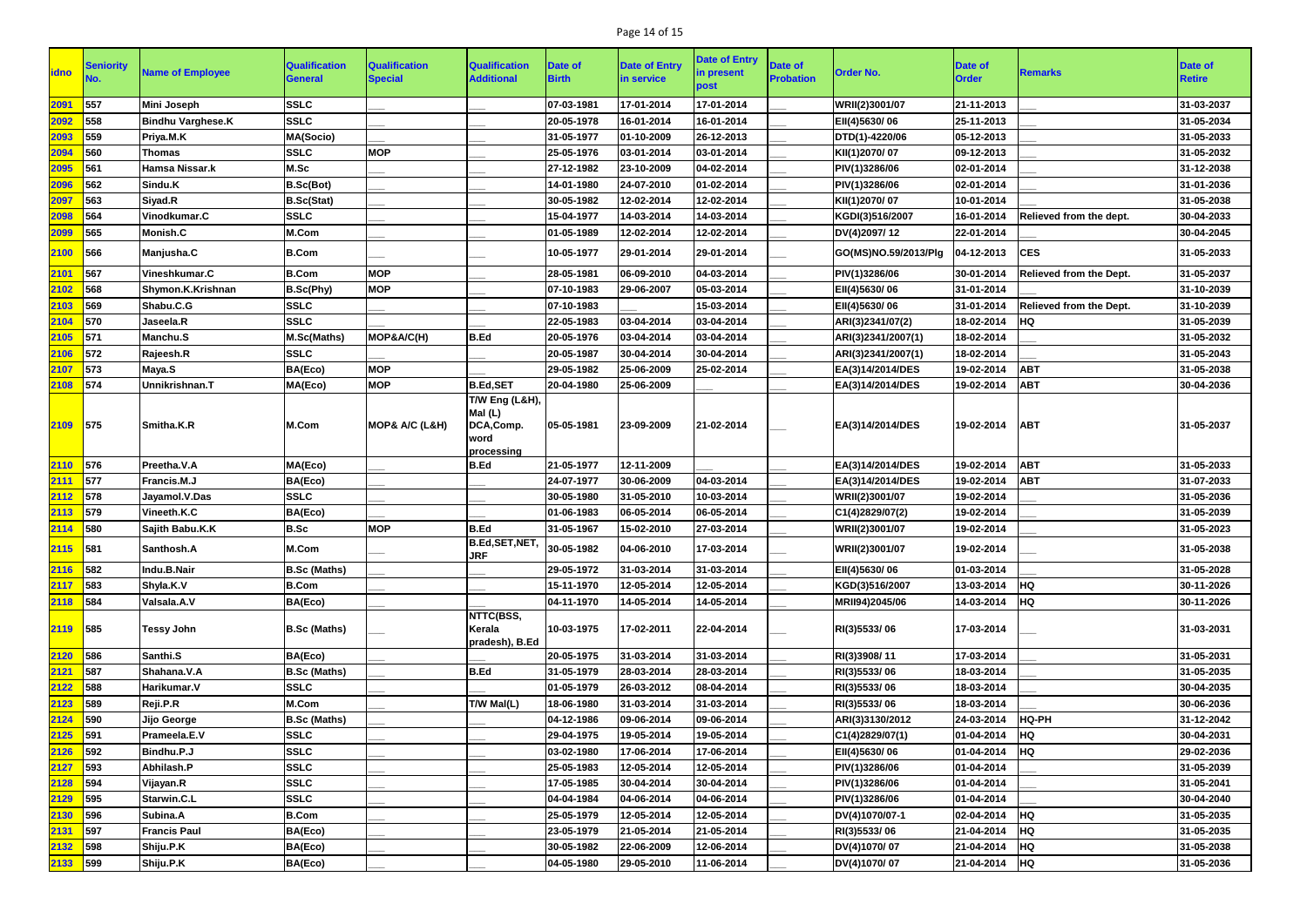## Page 14 of 15

| <b>lidno</b> | <b>Seniority</b>             | <b>Name of Employee</b>  | <b>Qualification</b><br><b>General</b> | <b>Qualification</b><br><b>Special</b> | <b>Qualification</b><br><b>Additional</b>                              | Date of<br><b>Birth</b> | <b>Date of Entry</b><br>in service | <b>Date of Entry</b><br>in present<br>ວ໐st | <b>Date of</b><br><b>Probation</b> | <b>Order No.</b>     | <b>Date of</b><br><b>Order</b> | <b>Remarks</b>                 | Date of<br><b>Retire</b> |
|--------------|------------------------------|--------------------------|----------------------------------------|----------------------------------------|------------------------------------------------------------------------|-------------------------|------------------------------------|--------------------------------------------|------------------------------------|----------------------|--------------------------------|--------------------------------|--------------------------|
| 2091         | 557                          | <b>Mini Joseph</b>       | <b>SSLC</b>                            |                                        |                                                                        | 07-03-1981              | 17-01-2014                         | 17-01-2014                                 |                                    | WRII(2)3001/07       | 21-11-2013                     |                                | 31-03-2037               |
| 2092         | 558                          | <b>Bindhu Varghese.K</b> | <b>SSLC</b>                            |                                        |                                                                        | 20-05-1978              | 16-01-2014                         | 16-01-2014                                 |                                    | EII(4)5630/06        | 25-11-2013                     |                                | 31-05-2034               |
| 2093         | 559                          | Priya.M.K                | <b>MA(Socio)</b>                       |                                        |                                                                        | 31-05-1977              | 01-10-2009                         | 26-12-2013                                 |                                    | DTD(1)-4220/06       | 05-12-2013                     |                                | 31-05-2033               |
| 2094         | 560                          | <b>Thomas</b>            | <b>SSLC</b>                            | <b>MOP</b>                             |                                                                        | 25-05-1976              | 03-01-2014                         | 03-01-2014                                 |                                    | KII(1)2070/07        | 09-12-2013                     |                                | 31-05-2032               |
| 2095         | 561                          | Hamsa Nissar.k           | M.Sc                                   |                                        |                                                                        | 27-12-1982              | 23-10-2009                         | 04-02-2014                                 |                                    | PIV(1)3286/06        | 02-01-2014                     |                                | 31-12-2038               |
| 2096         | 562                          | Sindu.K                  | B.Sc(Bot)                              |                                        |                                                                        | 14-01-1980              | 24-07-2010                         | 01-02-2014                                 |                                    | PIV(1)3286/06        | 02-01-2014                     |                                | 31-01-2036               |
| 2097         | 563                          | Siyad.R                  | <b>B.Sc(Stat)</b>                      |                                        |                                                                        | 30-05-1982              | 12-02-2014                         | 12-02-2014                                 |                                    | KII(1)2070/07        | 10-01-2014                     |                                | 31-05-2038               |
| 2098         | 564                          | Vinodkumar.C             | <b>SSLC</b>                            |                                        |                                                                        | 15-04-1977              | 14-03-2014                         | 14-03-2014                                 |                                    | KGDI(3)516/2007      | 16-01-2014                     | Relieved from the dept.        | 30-04-2033               |
| 2099         | 565                          | Monish.C                 | M.Com                                  |                                        |                                                                        | 01-05-1989              | 12-02-2014                         | 12-02-2014                                 |                                    | DV(4)2097/12         | 22-01-2014                     |                                | 30-04-2045               |
| 2100         | 566                          | Manjusha.C               | <b>B.Com</b>                           |                                        |                                                                        | 10-05-1977              | 29-01-2014                         | 29-01-2014                                 |                                    | GO(MS)NO.59/2013/Plg | 04-12-2013                     | <b>CES</b>                     | 31-05-2033               |
| 2101         | 567                          | Vineshkumar.C            | <b>B.Com</b>                           | <b>MOP</b>                             |                                                                        | 28-05-1981              | 06-09-2010                         | 04-03-2014                                 |                                    | PIV(1)3286/06        | 30-01-2014                     | <b>Relieved from the Dept.</b> | 31-05-2037               |
| 2102         | 568                          | Shymon.K.Krishnan        | B.Sc(Phy)                              | <b>MOP</b>                             |                                                                        | 07-10-1983              | 29-06-2007                         | 05-03-2014                                 |                                    | EII(4)5630/06        | 31-01-2014                     |                                | 31-10-2039               |
| 2103         | 569                          | Shabu.C.G                | <b>SSLC</b>                            |                                        |                                                                        | 07-10-1983              |                                    | 15-03-2014                                 |                                    | EII(4)5630/06        | 31-01-2014                     | Relieved from the Dept.        | 31-10-2039               |
| 2104         | 570                          | Jaseela.R                | <b>SSLC</b>                            |                                        |                                                                        | 22-05-1983              | 03-04-2014                         | 03-04-2014                                 |                                    | ARI(3)2341/07(2)     | 18-02-2014                     | <b>HQ</b>                      | 31-05-2039               |
| 2105         | 571                          | Manchu.S                 | M.Sc(Maths)                            | MOP&A/C(H)                             | <b>B.Ed</b>                                                            | 20-05-1976              | 03-04-2014                         | 03-04-2014                                 |                                    | ARI(3)2341/2007(1)   | 18-02-2014                     |                                | 31-05-2032               |
| 2106         | 572                          | Rajeesh.R                | <b>SSLC</b>                            |                                        |                                                                        | 20-05-1987              | 30-04-2014                         | 30-04-2014                                 |                                    | ARI(3)2341/2007(1)   | 18-02-2014                     |                                | 31-05-2043               |
| 2107         | 573                          | Maya.S                   | BA(Eco)                                | <b>MOP</b>                             |                                                                        | 29-05-1982              | 25-06-2009                         | 25-02-2014                                 |                                    | EA(3)14/2014/DES     | 19-02-2014                     | <b>ABT</b>                     | 31-05-2038               |
| 2108         | 574                          | Unnikrishnan.T           | MA(Eco)                                | <b>MOP</b>                             | <b>B.Ed,SET</b>                                                        | 20-04-1980              | 25-06-2009                         |                                            |                                    | EA(3)14/2014/DES     | 19-02-2014                     | <b>ABT</b>                     | 30-04-2036               |
| 2109         | 575                          | <b>Smitha.K.R</b>        | M.Com                                  | MOP& A/C (L&H)                         | <b>T/W Eng (L&amp;H),</b><br>Mal(L)<br>DCA,Comp.<br>word<br>processing | 05-05-1981              | 23-09-2009                         | 21-02-2014                                 |                                    | EA(3)14/2014/DES     | 19-02-2014                     | <b>ABT</b>                     | 31-05-2037               |
| 2110         | 576                          | Preetha.V.A              | MA(Eco)                                |                                        | <b>B.Ed</b>                                                            | 21-05-1977              | 12-11-2009                         |                                            |                                    | EA(3)14/2014/DES     | 19-02-2014                     | <b>ABT</b>                     | 31-05-2033               |
| 2111         | 577                          | Francis.M.J              | BA(Eco)                                |                                        |                                                                        | 24-07-1977              | 30-06-2009                         | 04-03-2014                                 |                                    | EA(3)14/2014/DES     | 19-02-2014                     | <b>ABT</b>                     | 31-07-2033               |
| 2112         | 578                          | Jayamol.V.Das            | <b>SSLC</b>                            |                                        |                                                                        | 30-05-1980              | 31-05-2010                         | 10-03-2014                                 |                                    | WRII(2)3001/07       | 19-02-2014                     |                                | 31-05-2036               |
| 2113         | 579                          | Vineeth.K.C              | BA(Eco)                                |                                        |                                                                        | 01-06-1983              | 06-05-2014                         | 06-05-2014                                 |                                    | C1(4)2829/07(2)      | 19-02-2014                     |                                | 31-05-2039               |
| 2114         | 580                          | Sajith Babu.K.K          | <b>B.Sc</b>                            | <b>MOP</b>                             | <b>B.Ed</b>                                                            | 31-05-1967              | 15-02-2010                         | 27-03-2014                                 |                                    | WRII(2)3001/07       | 19-02-2014                     |                                | 31-05-2023               |
| 2115 581     |                              | Santhosh.A               | M.Com                                  |                                        | $B.Ed, SET, NET,   30-05-1982$<br><b>JRF</b>                           |                         | 04-06-2010                         | 17-03-2014                                 |                                    | WRII(2)3001/07       | 19-02-2014                     |                                | 31-05-2038               |
| 2116         | $\overline{\phantom{1}}$ 582 | Indu.B.Nair              | <b>B.Sc (Maths)</b>                    |                                        |                                                                        | 29-05-1972              | 31-03-2014                         | 31-03-2014                                 |                                    | EII(4)5630/06        | 01-03-2014                     |                                | 31-05-2028               |
| 2117         | 583                          | Shyla.K.V                | <b>B.Com</b>                           |                                        |                                                                        | 15-11-1970              | 12-05-2014                         | 12-05-2014                                 |                                    | KGD(3)516/2007       | 13-03-2014                     | <b>HQ</b>                      | 30-11-2026               |
| 2118         | 584                          | Valsala.A.V              | BA(Eco)                                |                                        |                                                                        | 04-11-1970              | 14-05-2014                         | 14-05-2014                                 |                                    | MRII94)2045/06       | 14-03-2014                     | <b>HQ</b>                      | 30-11-2026               |
| 2119 585     |                              | <b>Tessy John</b>        | <b>B.Sc (Maths)</b>                    |                                        | NTTC(BSS,<br>Kerala<br>pradesh), B.Ed                                  | 10-03-1975              | 17-02-2011                         | 22-04-2014                                 |                                    | RI(3)5533/06         | 17-03-2014                     |                                | 31-03-2031               |
| 2120         | $\overline{\phantom{1}}$ 586 | Santhi.S                 | BA(Eco)                                |                                        |                                                                        | 20-05-1975              | 31-03-2014                         | 31-03-2014                                 |                                    | RI(3)3908/11         | 17-03-2014                     |                                | 31-05-2031               |
| 2121         | 587                          | Shahana.V.A              | <b>B.Sc (Maths)</b>                    |                                        | <b>B.Ed</b>                                                            | 31-05-1979              | 28-03-2014                         | 28-03-2014                                 |                                    | RI(3)5533/06         | 18-03-2014                     |                                | 31-05-2035               |
| 2122         | 588                          | Harikumar.V              | <b>SSLC</b>                            |                                        |                                                                        | 01-05-1979              | 26-03-2012                         | 08-04-2014                                 |                                    | RI(3)5533/06         | 18-03-2014                     |                                | 30-04-2035               |
| 2123         | 589                          | Reji.P.R                 | M.Com                                  |                                        | T/W Mal(L)                                                             | 18-06-1980              | 31-03-2014                         | 31-03-2014                                 |                                    | RI(3)5533/06         | 18-03-2014                     |                                | 30-06-2036               |
| 2124         | 590                          | Jijo George              | <b>B.Sc (Maths)</b>                    |                                        |                                                                        | 04-12-1986              | 09-06-2014                         | 09-06-2014                                 |                                    | ARI(3)3130/2012      | 24-03-2014                     | HQ-PH                          | 31-12-2042               |
| 2125         | 591                          | Prameela.E.V             | <b>SSLC</b>                            |                                        |                                                                        | 29-04-1975              | 19-05-2014                         | 19-05-2014                                 |                                    | C1(4)2829/07(1)      | 01-04-2014                     | <b>HQ</b>                      | 30-04-2031               |
| 2126         | 592                          | Bindhu.P.J               | <b>SSLC</b>                            |                                        |                                                                        | 03-02-1980              | 17-06-2014                         | 17-06-2014                                 |                                    | EII(4)5630/06        | 01-04-2014                     | <b>HQ</b>                      | 29-02-2036               |
| 2127         | $\vert$ 593                  | Abhilash.P               | <b>SSLC</b>                            |                                        |                                                                        | 25-05-1983              | 12-05-2014                         | 12-05-2014                                 |                                    | PIV(1)3286/06        | 01-04-2014                     |                                | 31-05-2039               |
| 2128         | 594                          | Vijayan.R                | <b>SSLC</b>                            |                                        |                                                                        | 17-05-1985              | 30-04-2014                         | 30-04-2014                                 |                                    | PIV(1)3286/06        | 01-04-2014                     |                                | 31-05-2041               |
| 2129         | $\vert$ 595                  | Starwin.C.L              | <b>SSLC</b>                            |                                        |                                                                        | 04-04-1984              | 04-06-2014                         | 04-06-2014                                 |                                    | PIV(1)3286/06        | 01-04-2014                     |                                | 30-04-2040               |
| 2130         | 596                          | Subina.A                 | <b>B.Com</b>                           |                                        |                                                                        | 25-05-1979              | 12-05-2014                         | 12-05-2014                                 |                                    | DV(4)1070/07-1       | 02-04-2014                     | <b>HQ</b>                      | 31-05-2035               |
| 2131         | 597                          | <b>Francis Paul</b>      | BA(Eco)                                |                                        |                                                                        | 23-05-1979              | 21-05-2014                         | 21-05-2014                                 |                                    | RI(3)5533/06         | 21-04-2014                     | <b>HQ</b>                      | 31-05-2035               |
| 2132 598     |                              | Shiju.P.K                | BA(Eco)                                |                                        |                                                                        | 30-05-1982              | 22-06-2009                         | 12-06-2014                                 |                                    | DV(4)1070/07         | 21-04-2014                     | <b>HQ</b>                      | 31-05-2038               |
| 2133 599     |                              | Shiju.P.K                | BA(Eco)                                |                                        |                                                                        | 04-05-1980              | 29-05-2010                         | 11-06-2014                                 |                                    | DV(4)1070/07         | 21-04-2014                     | <b>HQ</b>                      | 31-05-2036               |